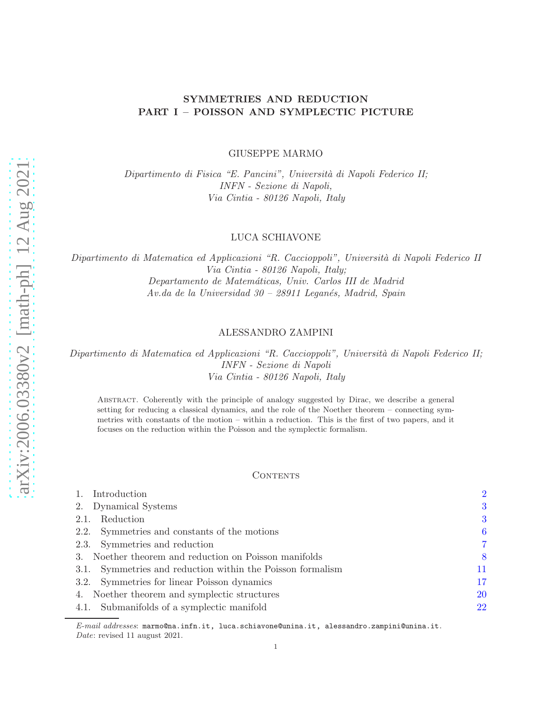# SYMMETRIES AND REDUCTION PART I – POISSON AND SYMPLECTIC PICTURE

GIUSEPPE MARMO

Dipartimento di Fisica "E. Pancini", Università di Napoli Federico II; INFN - Sezione di Napoli, Via Cintia - 80126 Napoli, Italy

### LUCA SCHIAVONE

Dipartimento di Matematica ed Applicazioni "R. Caccioppoli", Università di Napoli Federico II Via Cintia - 80126 Napoli, Italy; Departamento de Matem´aticas, Univ. Carlos III de Madrid  $Av.da$  de la Universidad  $30 - 28911$  Leganés, Madrid, Spain

# ALESSANDRO ZAMPINI

Dipartimento di Matematica ed Applicazioni "R. Caccioppoli", Università di Napoli Federico II; INFN - Sezione di Napoli Via Cintia - 80126 Napoli, Italy

Abstract. Coherently with the principle of analogy suggested by Dirac, we describe a general setting for reducing a classical dynamics, and the role of the Noether theorem – connecting symmetries with constants of the motion – within a reduction. This is the first of two papers, and it focuses on the reduction within the Poisson and the symplectic formalism.

### **CONTENTS**

| Introduction                                               | $\overline{2}$ |
|------------------------------------------------------------|----------------|
| 2. Dynamical Systems                                       | 3              |
| Reduction<br>2.1.                                          | 3              |
| 2.2. Symmetries and constants of the motions               | 6              |
| 2.3. Symmetries and reduction                              | 7              |
| 3. Noether theorem and reduction on Poisson manifolds      | 8              |
| 3.1. Symmetries and reduction within the Poisson formalism | 11             |
| 3.2. Symmetries for linear Poisson dynamics                | 17             |
| 4. Noether theorem and symplectic structures               | 20             |
| 4.1. Submanifolds of a symplectic manifold                 | 22             |

E-mail addresses: marmo@na.infn.it, luca.schiavone@unina.it, alessandro.zampini@unina.it. Date: revised 11 august 2021.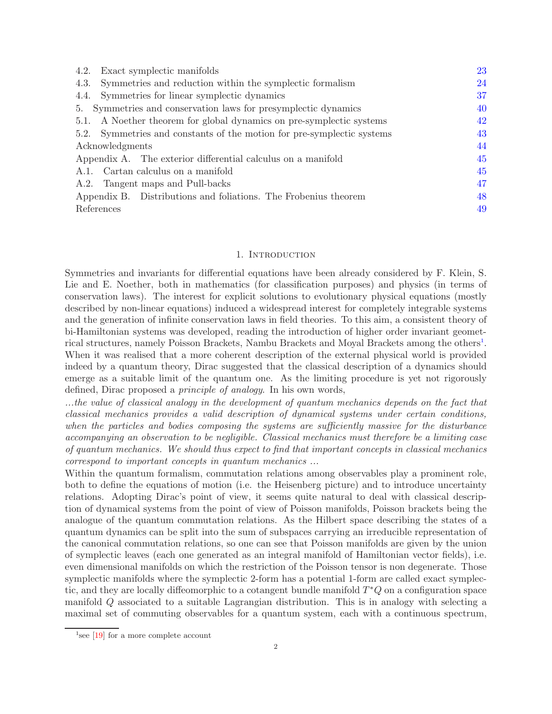| 4.2. Exact symplectic manifolds                                        | 23 |
|------------------------------------------------------------------------|----|
| Symmetries and reduction within the symplectic formalism<br>4.3.       | 24 |
| Symmetries for linear symplectic dynamics<br>4.4.                      | 37 |
| 5. Symmetries and conservation laws for presymplectic dynamics         | 40 |
| 5.1. A Noether theorem for global dynamics on pre-symplectic systems   | 42 |
| 5.2. Symmetries and constants of the motion for pre-symplectic systems | 43 |
| Acknowledgments                                                        | 44 |
| Appendix A. The exterior differential calculus on a manifold           | 45 |
| A.1. Cartan calculus on a manifold                                     | 45 |
| A.2. Tangent maps and Pull-backs                                       | 47 |
| Appendix B. Distributions and foliations. The Frobenius theorem        | 48 |
| References                                                             | 49 |

### 1. INTRODUCTION

<span id="page-1-0"></span>Symmetries and invariants for differential equations have been already considered by F. Klein, S. Lie and E. Noether, both in mathematics (for classification purposes) and physics (in terms of conservation laws). The interest for explicit solutions to evolutionary physical equations (mostly described by non-linear equations) induced a widespread interest for completely integrable systems and the generation of infinite conservation laws in field theories. To this aim, a consistent theory of bi-Hamiltonian systems was developed, reading the introduction of higher order invariant geomet-rical structures, namely Poisson Brackets, Nambu Brackets and Moyal Brackets among the others<sup>[1](#page-1-1)</sup>. When it was realised that a more coherent description of the external physical world is provided indeed by a quantum theory, Dirac suggested that the classical description of a dynamics should emerge as a suitable limit of the quantum one. As the limiting procedure is yet not rigorously defined, Dirac proposed a principle of analogy. In his own words,

...the value of classical analogy in the development of quantum mechanics depends on the fact that classical mechanics provides a valid description of dynamical systems under certain conditions, when the particles and bodies composing the systems are sufficiently massive for the disturbance accompanying an observation to be negligible. Classical mechanics must therefore be a limiting case of quantum mechanics. We should thus expect to find that important concepts in classical mechanics correspond to important concepts in quantum mechanics ...

Within the quantum formalism, commutation relations among observables play a prominent role, both to define the equations of motion (i.e. the Heisenberg picture) and to introduce uncertainty relations. Adopting Dirac's point of view, it seems quite natural to deal with classical description of dynamical systems from the point of view of Poisson manifolds, Poisson brackets being the analogue of the quantum commutation relations. As the Hilbert space describing the states of a quantum dynamics can be split into the sum of subspaces carrying an irreducible representation of the canonical commutation relations, so one can see that Poisson manifolds are given by the union of symplectic leaves (each one generated as an integral manifold of Hamiltonian vector fields), i.e. even dimensional manifolds on which the restriction of the Poisson tensor is non degenerate. Those symplectic manifolds where the symplectic 2-form has a potential 1-form are called exact symplectic, and they are locally diffeomorphic to a cotangent bundle manifold  $T^*Q$  on a configuration space manifold Q associated to a suitable Lagrangian distribution. This is in analogy with selecting a maximal set of commuting observables for a quantum system, each with a continuous spectrum,

<span id="page-1-1"></span><sup>&</sup>lt;sup>1</sup>see [\[19\]](#page-49-0) for a more complete account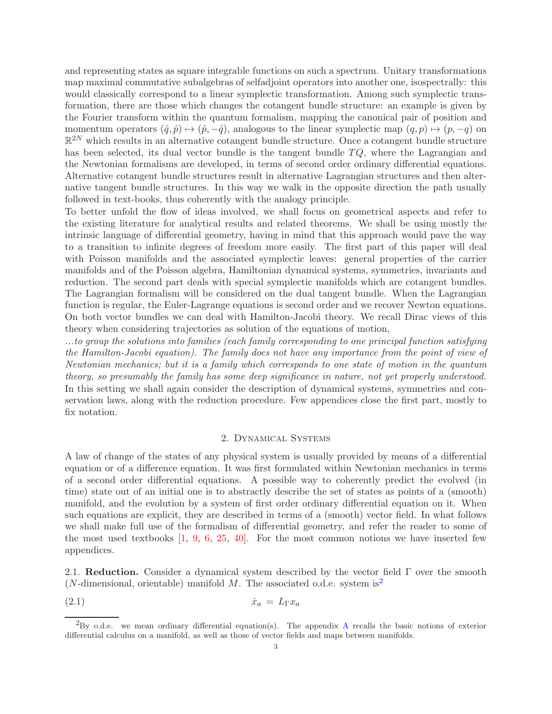and representing states as square integrable functions on such a spectrum. Unitary transformations map maximal commutative subalgebras of selfadjoint operators into another one, isospectrally: this would classically correspond to a linear symplectic transformation. Among such symplectic transformation, there are those which changes the cotangent bundle structure: an example is given by the Fourier transform within the quantum formalism, mapping the canonical pair of position and momentum operators  $(\hat{q}, \hat{p}) \mapsto (\hat{p}, -\hat{q})$ , analogous to the linear symplectic map  $(q, p) \mapsto (p, -q)$  on  $\mathbb{R}^{2N}$  which results in an alternative cotangent bundle structure. Once a cotangent bundle structure has been selected, its dual vector bundle is the tangent bundle  $TQ$ , where the Lagrangian and the Newtonian formalisms are developed, in terms of second order ordinary differential equations. Alternative cotangent bundle structures result in alternative Lagrangian structures and then alternative tangent bundle structures. In this way we walk in the opposite direction the path usually followed in text-books, thus coherently with the analogy principle.

To better unfold the flow of ideas involved, we shall focus on geometrical aspects and refer to the existing literature for analytical results and related theorems. We shall be using mostly the intrinsic language of differential geometry, having in mind that this approach would pave the way to a transition to infinite degrees of freedom more easily. The first part of this paper will deal with Poisson manifolds and the associated symplectic leaves: general properties of the carrier manifolds and of the Poisson algebra, Hamiltonian dynamical systems, symmetries, invariants and reduction. The second part deals with special symplectic manifolds which are cotangent bundles. The Lagrangian formalism will be considered on the dual tangent bundle. When the Lagrangian function is regular, the Euler-Lagrange equations is second order and we recover Newton equations. On both vector bundles we can deal with Hamilton-Jacobi theory. We recall Dirac views of this theory when considering trajectories as solution of the equations of motion,

...to group the solutions into families (each family corresponding to one principal function satisfying the Hamilton-Jacobi equation). The family does not have any importance from the point of view of Newtonian mechanics; but it is a family which corresponds to one state of motion in the quantum theory, so presumably the family has some deep significance in nature, not yet properly understood. In this setting we shall again consider the description of dynamical systems, symmetries and conservation laws, along with the reduction procedure. Few appendices close the first part, mostly to fix notation.

## <span id="page-2-3"></span>2. Dynamical Systems

<span id="page-2-0"></span>A law of change of the states of any physical system is usually provided by means of a differential equation or of a difference equation. It was first formulated within Newtonian mechanics in terms of a second order differential equations. A possible way to coherently predict the evolved (in time) state out of an initial one is to abstractly describe the set of states as points of a (smooth) manifold, and the evolution by a system of first order ordinary differential equation on it. When such equations are explicit, they are described in terms of a (smooth) vector field. In what follows we shall make full use of the formalism of differential geometry, and refer the reader to some of the most used textbooks [\[1,](#page-48-1) [9,](#page-48-2) [6,](#page-48-3) [25,](#page-49-1) [40\]](#page-49-2). For the most common notions we have inserted few appendices.

<span id="page-2-1"></span>2.1. Reduction. Consider a dynamical system described by the vector field  $\Gamma$  over the smooth (*N*-dimensional, orientable) manifold  $M$ . The associated o.d.e. system is<sup>[2](#page-2-2)</sup>

(2.1)  $\dot{x}_a = L_\Gamma x_a$ 

<span id="page-2-2"></span> ${}^{2}_{2}$ By o.d.e. we mean ordinary differential equation(s). The appendix [A](#page-44-0) recalls the basic notions of exterior differential calculus on a manifold, as well as those of vector fields and maps between manifolds.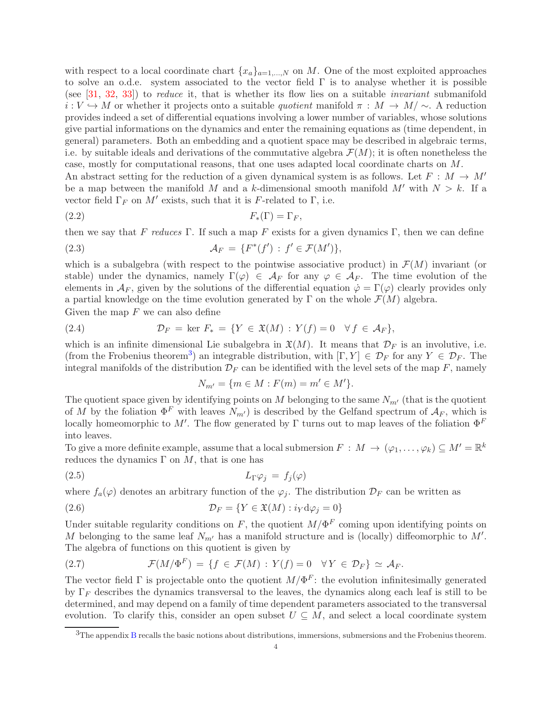with respect to a local coordinate chart  ${x_a}_{a=1,\dots,N}$  on M. One of the most exploited approaches to solve an o.d.e. system associated to the vector field  $\Gamma$  is to analyse whether it is possible (see [\[31,](#page-49-3) [32,](#page-49-4) [33\]](#page-49-5)) to reduce it, that is whether its flow lies on a suitable invariant submanifold  $i: V \hookrightarrow M$  or whether it projects onto a suitable quotient manifold  $\pi: M \to M/\sim$ . A reduction provides indeed a set of differential equations involving a lower number of variables, whose solutions give partial informations on the dynamics and enter the remaining equations as (time dependent, in general) parameters. Both an embedding and a quotient space may be described in algebraic terms, i.e. by suitable ideals and derivations of the commutative algebra  $\mathcal{F}(M)$ ; it is often nonetheless the case, mostly for computational reasons, that one uses adapted local coordinate charts on M. An abstract setting for the reduction of a given dynamical system is as follows. Let  $F : M \to M'$ 

be a map between the manifold M and a k-dimensional smooth manifold  $M'$  with  $N > k$ . If a vector field  $\Gamma_F$  on  $M'$  exists, such that it is F-related to  $\Gamma$ , i.e.

$$
F_*(\Gamma) = \Gamma_F,
$$

then we say that F reduces Γ. If such a map F exists for a given dynamics Γ, then we can define

(2.3) 
$$
\mathcal{A}_F = \{ F^*(f') : f' \in \mathcal{F}(M') \},
$$

which is a subalgebra (with respect to the pointwise associative product) in  $\mathcal{F}(M)$  invariant (or stable) under the dynamics, namely  $\Gamma(\varphi) \in \mathcal{A}_F$  for any  $\varphi \in \mathcal{A}_F$ . The time evolution of the elements in  $\mathcal{A}_F$ , given by the solutions of the differential equation  $\dot{\varphi} = \Gamma(\varphi)$  clearly provides only a partial knowledge on the time evolution generated by  $\Gamma$  on the whole  $\mathcal{F}(M)$  algebra. Given the map  $F$  we can also define

(2.4) 
$$
\mathcal{D}_F = \ker F_* = \{ Y \in \mathfrak{X}(M) : Y(f) = 0 \quad \forall f \in \mathcal{A}_F \},
$$

which is an infinite dimensional Lie subalgebra in  $\mathfrak{X}(M)$ . It means that  $\mathcal{D}_F$  is an involutive, i.e. (from the Frobenius theorem<sup>[3](#page-3-0)</sup>) an integrable distribution, with  $[\Gamma, Y] \in \mathcal{D}_F$  for any  $Y \in \mathcal{D}_F$ . The integral manifolds of the distribution  $\mathcal{D}_F$  can be identified with the level sets of the map F, namely

<span id="page-3-4"></span><span id="page-3-3"></span><span id="page-3-2"></span>
$$
N_{m'} = \{ m \in M : F(m) = m' \in M' \}.
$$

The quotient space given by identifying points on M belonging to the same  $N_{m'}$  (that is the quotient of M by the foliation  $\Phi^F$  with leaves  $N_{m'}$  is described by the Gelfand spectrum of  $A_F$ , which is locally homeomorphic to M'. The flow generated by  $\Gamma$  turns out to map leaves of the foliation  $\Phi^F$ into leaves.

To give a more definite example, assume that a local submersion  $F : M \to (\varphi_1, \ldots, \varphi_k) \subseteq M' = \mathbb{R}^k$ reduces the dynamics  $\Gamma$  on M, that is one has

$$
(2.5) \t\t\t L_{\Gamma}\varphi_j = f_j(\varphi)
$$

where  $f_a(\varphi)$  denotes an arbitrary function of the  $\varphi_j$ . The distribution  $\mathcal{D}_F$  can be written as

(2.6) 
$$
\mathcal{D}_F = \{ Y \in \mathfrak{X}(M) : i_Y d\varphi_j = 0 \}
$$

Under suitable regularity conditions on F, the quotient  $M/\Phi^F$  coming upon identifying points on M belonging to the same leaf  $N_{m'}$  has a manifold structure and is (locally) diffeomorphic to M'. The algebra of functions on this quotient is given by

<span id="page-3-1"></span>(2.7) 
$$
\mathcal{F}(M/\Phi^F) = \{f \in \mathcal{F}(M) : Y(f) = 0 \quad \forall Y \in \mathcal{D}_F\} \simeq \mathcal{A}_F.
$$

The vector field  $\Gamma$  is projectable onto the quotient  $M/\Phi^F$ : the evolution infinitesimally generated by  $\Gamma_F$  describes the dynamics transversal to the leaves, the dynamics along each leaf is still to be determined, and may depend on a family of time dependent parameters associated to the transversal evolution. To clarify this, consider an open subset  $U \subseteq M$ , and select a local coordinate system

<span id="page-3-0"></span><sup>&</sup>lt;sup>3</sup>The appendix [B](#page-47-0) recalls the basic notions about distributions, immersions, submersions and the Frobenius theorem.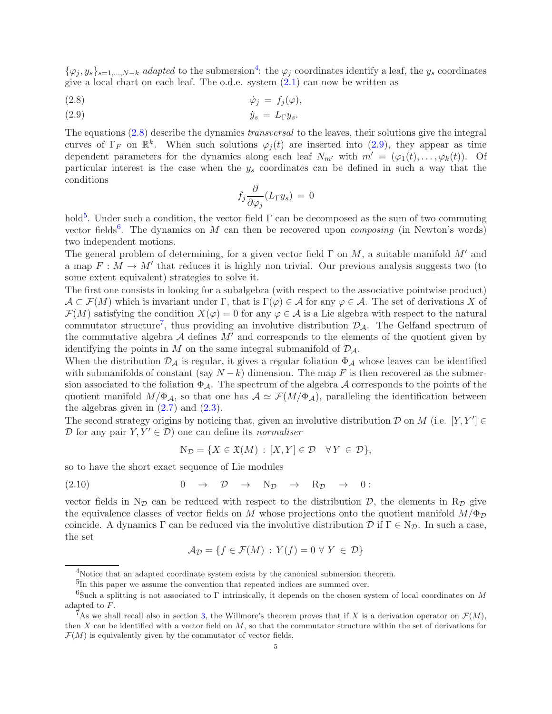$\{\varphi_j, y_s\}_{s=1,\dots,N-k}$  adapted to the submersion<sup>[4](#page-4-0)</sup>: the  $\varphi_j$  coordinates identify a leaf, the  $y_s$  coordinates give a local chart on each leaf. The o.d.e. system  $(2.1)$  can now be written as

<span id="page-4-1"></span>
$$
\dot{\varphi}_j = f_j(\varphi),
$$

<span id="page-4-2"></span>(2.9)  $\dot{y}_s = L_\Gamma y_s$ .

The equations [\(2.8\)](#page-4-1) describe the dynamics transversal to the leaves, their solutions give the integral curves of  $\Gamma_F$  on  $\mathbb{R}^k$ . When such solutions  $\varphi_j(t)$  are inserted into [\(2.9\)](#page-4-2), they appear as time dependent parameters for the dynamics along each leaf  $N_{m'}$  with  $m' = (\varphi_1(t), \ldots, \varphi_k(t))$ . Of particular interest is the case when the  $y_s$  coordinates can be defined in such a way that the conditions

$$
f_j \frac{\partial}{\partial \varphi_j} (L_\Gamma y_s) = 0
$$

hold<sup>[5](#page-4-3)</sup>. Under such a condition, the vector field  $\Gamma$  can be decomposed as the sum of two commuting vector fields<sup>[6](#page-4-4)</sup>. The dynamics on M can then be recovered upon *composing* (in Newton's words) two independent motions.

The general problem of determining, for a given vector field  $\Gamma$  on M, a suitable manifold M' and a map  $F: M \to M'$  that reduces it is highly non trivial. Our previous analysis suggests two (to some extent equivalent) strategies to solve it.

The first one consists in looking for a subalgebra (with respect to the associative pointwise product)  $\mathcal{A} \subset \mathcal{F}(M)$  which is invariant under  $\Gamma$ , that is  $\Gamma(\varphi) \in \mathcal{A}$  for any  $\varphi \in \mathcal{A}$ . The set of derivations X of  $\mathcal{F}(M)$  satisfying the condition  $X(\varphi) = 0$  for any  $\varphi \in \mathcal{A}$  is a Lie algebra with respect to the natural commutator structure<sup>[7](#page-4-5)</sup>, thus providing an involutive distribution  $\mathcal{D}_{\mathcal{A}}$ . The Gelfand spectrum of the commutative algebra  $A$  defines  $M'$  and corresponds to the elements of the quotient given by identifying the points in M on the same integral submanifold of  $\mathcal{D}_{\mathcal{A}}$ .

When the distribution  $\mathcal{D}_{\mathcal{A}}$  is regular, it gives a regular foliation  $\Phi_{\mathcal{A}}$  whose leaves can be identified with submanifolds of constant (say  $N - k$ ) dimension. The map F is then recovered as the submersion associated to the foliation  $\Phi_{\mathcal{A}}$ . The spectrum of the algebra  $\mathcal A$  corresponds to the points of the quotient manifold  $M/\Phi_{\mathcal{A}}$ , so that one has  $\mathcal{A} \simeq \mathcal{F}(M/\Phi_{\mathcal{A}})$ , paralleling the identification between the algebras given in  $(2.7)$  and  $(2.3)$ .

The second strategy origins by noticing that, given an involutive distribution  $D$  on  $M$  (i.e.  $[Y, Y'] \in$ D for any pair  $Y, Y' \in \mathcal{D}$  one can define its normaliser

<span id="page-4-6"></span>
$$
N_{\mathcal{D}} = \{ X \in \mathfrak{X}(M) : [X, Y] \in \mathcal{D} \quad \forall Y \in \mathcal{D} \},
$$

so to have the short exact sequence of Lie modules

$$
(2.10) \t 0 \rightarrow \mathcal{D} \rightarrow N_{\mathcal{D}} \rightarrow R_{\mathcal{D}} \rightarrow 0:
$$

vector fields in N<sub>D</sub> can be reduced with respect to the distribution D, the elements in R<sub>D</sub> give the equivalence classes of vector fields on M whose projections onto the quotient manifold  $M/\Phi_{\mathcal{D}}$ coincide. A dynamics Γ can be reduced via the involutive distribution  $\mathcal{D}$  if  $\Gamma \in N_{\mathcal{D}}$ . In such a case, the set

$$
\mathcal{A}_{\mathcal{D}} = \{ f \in \mathcal{F}(M) : Y(f) = 0 \,\forall \, Y \in \mathcal{D} \}
$$

<sup>4</sup>Notice that an adapted coordinate system exists by the canonical submersion theorem.

<span id="page-4-3"></span><span id="page-4-0"></span><sup>&</sup>lt;sup>5</sup>In this paper we assume the convention that repeated indices are summed over.

<span id="page-4-4"></span><sup>&</sup>lt;sup>6</sup>Such a splitting is not associated to Γ intrinsically, it depends on the chosen system of local coordinates on M adapted to F.

<span id="page-4-5"></span><sup>&</sup>lt;sup>7</sup>As we shall recall also in section [3,](#page-7-0) the Willmore's theorem proves that if X is a derivation operator on  $\mathcal{F}(M)$ , then  $X$  can be identified with a vector field on  $M$ , so that the commutator structure within the set of derivations for  $\mathcal{F}(M)$  is equivalently given by the commutator of vector fields.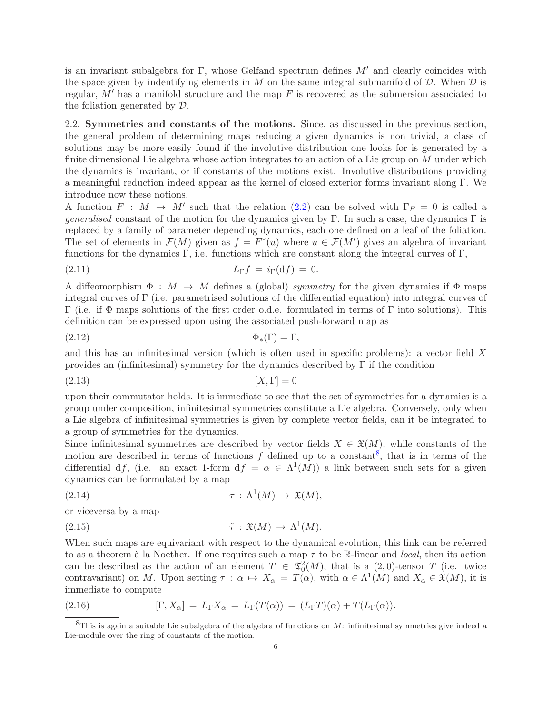is an invariant subalgebra for Γ, whose Gelfand spectrum defines  $M'$  and clearly coincides with the space given by indentifying elements in M on the same integral submanifold of  $\mathcal D$ . When  $\mathcal D$  is regular,  $M'$  has a manifold structure and the map  $F$  is recovered as the submersion associated to the foliation generated by D.

<span id="page-5-0"></span>2.2. Symmetries and constants of the motions. Since, as discussed in the previous section, the general problem of determining maps reducing a given dynamics is non trivial, a class of solutions may be more easily found if the involutive distribution one looks for is generated by a finite dimensional Lie algebra whose action integrates to an action of a Lie group on  $M$  under which the dynamics is invariant, or if constants of the motions exist. Involutive distributions providing a meaningful reduction indeed appear as the kernel of closed exterior forms invariant along Γ. We introduce now these notions.

A function  $F : M \to M'$  such that the relation [\(2.2\)](#page-3-3) can be solved with  $\Gamma_F = 0$  is called a *generalised* constant of the motion for the dynamics given by Γ. In such a case, the dynamics Γ is replaced by a family of parameter depending dynamics, each one defined on a leaf of the foliation. The set of elements in  $\mathcal{F}(M)$  given as  $f = F^*(u)$  where  $u \in \mathcal{F}(M')$  gives an algebra of invariant functions for the dynamics  $\Gamma$ , i.e. functions which are constant along the integral curves of  $\Gamma$ ,

$$
L_{\Gamma}f = i_{\Gamma}(\mathrm{d}f) = 0.
$$

A diffeomorphism  $\Phi : M \to M$  defines a (global) symmetry for the given dynamics if  $\Phi$  maps integral curves of Γ (i.e. parametrised solutions of the differential equation) into integral curves of Γ (i.e. if Φ maps solutions of the first order o.d.e. formulated in terms of Γ into solutions). This definition can be expressed upon using the associated push-forward map as

$$
\Phi_*(\Gamma) = \Gamma,
$$

and this has an infinitesimal version (which is often used in specific problems): a vector field X provides an (infinitesimal) symmetry for the dynamics described by  $\Gamma$  if the condition

(2.13)  $[X, \Gamma] = 0$ 

upon their commutator holds. It is immediate to see that the set of symmetries for a dynamics is a group under composition, infinitesimal symmetries constitute a Lie algebra. Conversely, only when a Lie algebra of infinitesimal symmetries is given by complete vector fields, can it be integrated to a group of symmetries for the dynamics.

Since infinitesimal symmetries are described by vector fields  $X \in \mathfrak{X}(M)$ , while constants of the motion are described in terms of functions  $f$  defined up to a constant<sup>[8](#page-5-1)</sup>, that is in terms of the differential df, (i.e. an exact 1-form  $df = \alpha \in \Lambda^1(M)$ ) a link between such sets for a given dynamics can be formulated by a map

<span id="page-5-2"></span>(2.14) 
$$
\tau : \Lambda^1(M) \to \mathfrak{X}(M),
$$

or viceversa by a map

<span id="page-5-3"></span>(2.15) 
$$
\tilde{\tau} : \mathfrak{X}(M) \to \Lambda^1(M).
$$

When such maps are equivariant with respect to the dynamical evolution, this link can be referred to as a theorem à la Noether. If one requires such a map  $\tau$  to be R-linear and local, then its action can be described as the action of an element  $T \in \mathfrak{T}^2_0(M)$ , that is a  $(2,0)$ -tensor T (i.e. twice contravariant) on M. Upon setting  $\tau : \alpha \mapsto X_{\alpha} = T(\alpha)$ , with  $\alpha \in \Lambda^1(M)$  and  $X_{\alpha} \in \mathfrak{X}(M)$ , it is immediate to compute

(2.16) 
$$
[\Gamma, X_{\alpha}] = L_{\Gamma} X_{\alpha} = L_{\Gamma}(T(\alpha)) = (L_{\Gamma} T)(\alpha) + T(L_{\Gamma}(\alpha)).
$$

<span id="page-5-1"></span> ${}^8$ This is again a suitable Lie subalgebra of the algebra of functions on M: infinitesimal symmetries give indeed a Lie-module over the ring of constants of the motion.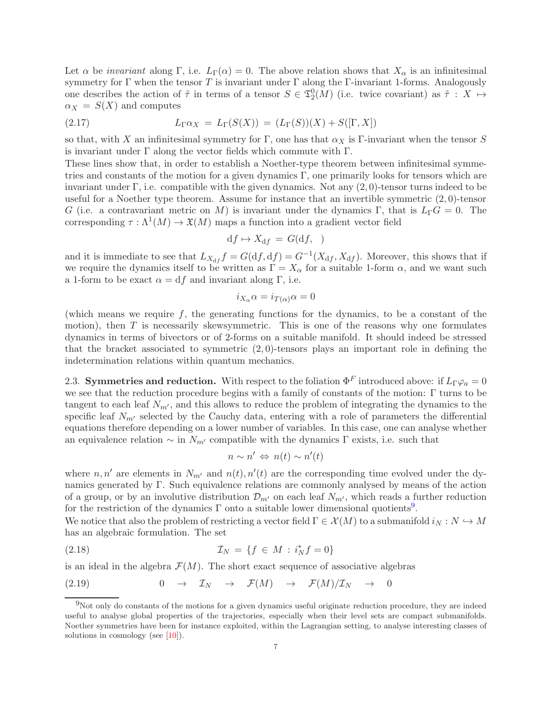Let  $\alpha$  be *invariant* along Γ, i.e.  $L_{\Gamma}(\alpha) = 0$ . The above relation shows that  $X_{\alpha}$  is an infinitesimal symmetry for Γ when the tensor T is invariant under Γ along the Γ-invariant 1-forms. Analogously one describes the action of  $\tilde{\tau}$  in terms of a tensor  $S \in \mathfrak{T}_2^0(M)$  (i.e. twice covariant) as  $\tilde{\tau}: X \mapsto$  $\alpha_X = S(X)$  and computes

(2.17) 
$$
L_{\Gamma}\alpha_X = L_{\Gamma}(S(X)) = (L_{\Gamma}(S))(X) + S([\Gamma, X])
$$

so that, with X an infinitesimal symmetry for  $\Gamma$ , one has that  $\alpha_X$  is  $\Gamma$ -invariant when the tensor S is invariant under  $\Gamma$  along the vector fields which commute with  $\Gamma$ .

These lines show that, in order to establish a Noether-type theorem between infinitesimal symmetries and constants of the motion for a given dynamics  $\Gamma$ , one primarily looks for tensors which are invariant under  $\Gamma$ , i.e. compatible with the given dynamics. Not any  $(2,0)$ -tensor turns indeed to be useful for a Noether type theorem. Assume for instance that an invertible symmetric  $(2, 0)$ -tensor G (i.e. a contravariant metric on M) is invariant under the dynamics Γ, that is  $L_{\Gamma}G = 0$ . The corresponding  $\tau : \Lambda^1(M) \to \mathfrak{X}(M)$  maps a function into a gradient vector field

$$
df \mapsto X_{df} = G(df, )
$$

and it is immediate to see that  $L_{X_{\rm df}}f = G(\mathrm{d}f, \mathrm{d}f) = G^{-1}(X_{\rm df}, X_{\rm df})$ . Moreover, this shows that if we require the dynamics itself to be written as  $\Gamma = X_\alpha$  for a suitable 1-form  $\alpha$ , and we want such a 1-form to be exact  $\alpha = df$  and invariant along Γ, i.e.

$$
i_{X_{\alpha}}\alpha = i_{T(\alpha)}\alpha = 0
$$

(which means we require  $f$ , the generating functions for the dynamics, to be a constant of the motion), then  $T$  is necessarily skewsymmetric. This is one of the reasons why one formulates dynamics in terms of bivectors or of 2-forms on a suitable manifold. It should indeed be stressed that the bracket associated to symmetric  $(2,0)$ -tensors plays an important role in defining the indetermination relations within quantum mechanics.

<span id="page-6-0"></span>2.3. Symmetries and reduction. With respect to the foliation  $\Phi^F$  introduced above: if  $L_{\Gamma}\varphi_a=0$ we see that the reduction procedure begins with a family of constants of the motion: Γ turns to be tangent to each leaf  $N_{m'}$ , and this allows to reduce the problem of integrating the dynamics to the specific leaf  $N_{m'}$  selected by the Cauchy data, entering with a role of parameters the differential equations therefore depending on a lower number of variables. In this case, one can analyse whether an equivalence relation  $\sim$  in  $N_{m'}$  compatible with the dynamics  $\Gamma$  exists, i.e. such that

$$
n \sim n' \Leftrightarrow n(t) \sim n'(t)
$$

where  $n, n'$  are elements in  $N_{m'}$  and  $n(t), n'(t)$  are the corresponding time evolved under the dynamics generated by Γ. Such equivalence relations are commonly analysed by means of the action of a group, or by an involutive distribution  $\mathcal{D}_{m'}$  on each leaf  $N_{m'}$ , which reads a further reduction for the restriction of the dynamics  $\Gamma$  onto a suitable lower dimensional quotients<sup>[9](#page-6-1)</sup>.

We notice that also the problem of restricting a vector field  $\Gamma \in \mathcal{X}(M)$  to a submanifold  $i_N : N \hookrightarrow M$ has an algebraic formulation. The set

(2.18) 
$$
\mathcal{I}_N = \{ f \in M : i_N^* f = 0 \}
$$

is an ideal in the algebra  $\mathcal{F}(M)$ . The short exact sequence of associative algebras

<span id="page-6-2"></span>(2.19) 
$$
0 \rightarrow \mathcal{I}_N \rightarrow \mathcal{F}(M) \rightarrow \mathcal{F}(M)/\mathcal{I}_N \rightarrow 0
$$

<span id="page-6-1"></span><sup>9</sup>Not only do constants of the motions for a given dynamics useful originate reduction procedure, they are indeed useful to analyse global properties of the trajectories, especially when their level sets are compact submanifolds. Noether symmetries have been for instance exploited, within the Lagrangian setting, to analyse interesting classes of solutions in cosmology (see  $[10]$ ).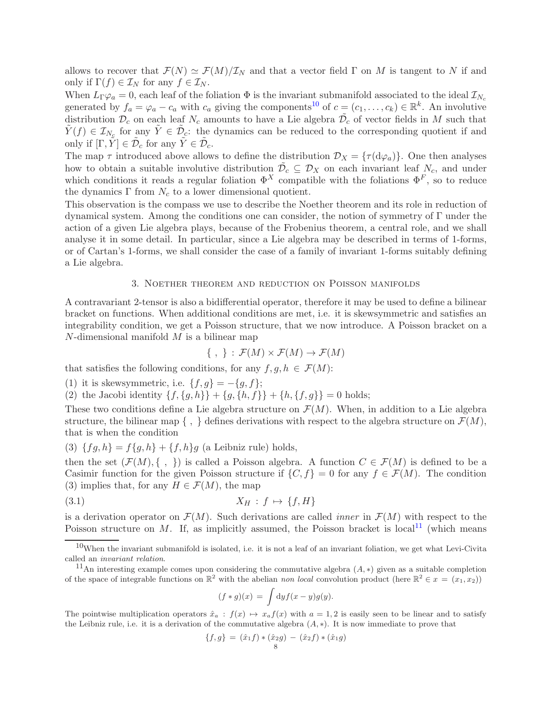allows to recover that  $\mathcal{F}(N) \simeq \mathcal{F}(M)/\mathcal{I}_N$  and that a vector field  $\Gamma$  on M is tangent to N if and only if  $\Gamma(f) \in \mathcal{I}_N$  for any  $f \in \mathcal{I}_N$ .

When  $L_{\Gamma}\varphi_a = 0$ , each leaf of the foliation  $\Phi$  is the invariant submanifold associated to the ideal  $\mathcal{I}_{N_c}$ generated by  $f_a = \varphi_a - c_a$  with  $c_a$  giving the components<sup>[10](#page-7-1)</sup> of  $c = (c_1, \ldots, c_k) \in \mathbb{R}^k$ . An involutive distribution  $\mathcal{D}_c$  on each leaf  $N_c$  amounts to have a Lie algebra  $\tilde{\mathcal{D}}_c$  of vector fields in M such that  $\tilde{Y}(f) \in \mathcal{I}_{N_c}$  for any  $\tilde{Y} \in \tilde{\mathcal{D}}_c$ : the dynamics can be reduced to the corresponding quotient if and only if  $[\Gamma, \tilde{Y}] \in \tilde{\mathcal{D}}_c$  for any  $\tilde{Y} \in \tilde{\mathcal{D}}_c$ .

The map  $\tau$  introduced above allows to define the distribution  $\mathcal{D}_X = {\tau(\mathrm{d}\varphi_a)}$ . One then analyses how to obtain a suitable involutive distribution  $\tilde{\mathcal{D}}_c \subseteq \mathcal{D}_X$  on each invariant leaf  $N_c$ , and under which conditions it reads a regular foliation  $\Phi^X$  compatible with the foliations  $\Phi^F$ , so to reduce the dynamics  $\Gamma$  from  $N_c$  to a lower dimensional quotient.

This observation is the compass we use to describe the Noether theorem and its role in reduction of dynamical system. Among the conditions one can consider, the notion of symmetry of Γ under the action of a given Lie algebra plays, because of the Frobenius theorem, a central role, and we shall analyse it in some detail. In particular, since a Lie algebra may be described in terms of 1-forms, or of Cartan's 1-forms, we shall consider the case of a family of invariant 1-forms suitably defining a Lie algebra.

# 3. Noether theorem and reduction on Poisson manifolds

<span id="page-7-0"></span>A contravariant 2-tensor is also a bidifferential operator, therefore it may be used to define a bilinear bracket on functions. When additional conditions are met, i.e. it is skewsymmetric and satisfies an integrability condition, we get a Poisson structure, that we now introduce. A Poisson bracket on a  $N$ -dimensional manifold  $M$  is a bilinear map

$$
\{\ ,\ \} \,:\, \mathcal{F}(M) \times \mathcal{F}(M) \to \mathcal{F}(M)
$$

that satisfies the following conditions, for any  $f, g, h \in \mathcal{F}(M)$ :

(1) it is skewsymmetric, i.e.  $\{f, g\} = -\{g, f\};$ 

(2) the Jacobi identity  $\{f, \{g, h\}\} + \{g, \{h, f\}\} + \{h, \{f, g\}\} = 0$  holds;

These two conditions define a Lie algebra structure on  $\mathcal{F}(M)$ . When, in addition to a Lie algebra structure, the bilinear map  $\{\ ,\ \}$  defines derivations with respect to the algebra structure on  $\mathcal{F}(M)$ , that is when the condition

(3)  ${fg, h} = f{g, h} + {f, h}g$  (a Leibniz rule) holds,

then the set  $(\mathcal{F}(M), \{\ ,\ \})$  is called a Poisson algebra. A function  $C \in \mathcal{F}(M)$  is defined to be a Casimir function for the given Poisson structure if  $\{C, f\} = 0$  for any  $f \in \mathcal{F}(M)$ . The condition (3) implies that, for any  $H \in \mathcal{F}(M)$ , the map

$$
(3.1) \t\t X_H : f \mapsto \{f, H\}
$$

is a derivation operator on  $\mathcal{F}(M)$ . Such derivations are called *inner* in  $\mathcal{F}(M)$  with respect to the Poisson structure on M. If, as implicitly assumed, the Poisson bracket is local<sup>[11](#page-7-2)</sup> (which means

<span id="page-7-3"></span>
$$
(f * g)(x) = \int dy f(x - y)g(y).
$$

The pointwise multiplication operators  $\hat{x}_a : f(x) \mapsto x_a f(x)$  with  $a = 1, 2$  is easily seen to be linear and to satisfy the Leibniz rule, i.e. it is a derivation of the commutative algebra  $(A, *)$ . It is now immediate to prove that

$$
\{f,g\} = (\hat{x}_1f) * (\hat{x}_2g) - (\hat{x}_2f) * (\hat{x}_1g)
$$

<span id="page-7-1"></span> $10$ When the invariant submanifold is isolated, i.e. it is not a leaf of an invariant foliation, we get what Levi-Civita called an invariant relation.

<span id="page-7-2"></span><sup>&</sup>lt;sup>11</sup>An interesting example comes upon considering the commutative algebra  $(A, *)$  given as a suitable completion of the space of integrable functions on  $\mathbb{R}^2$  with the abelian non local convolution product (here  $\mathbb{R}^2 \in x = (x_1, x_2)$ )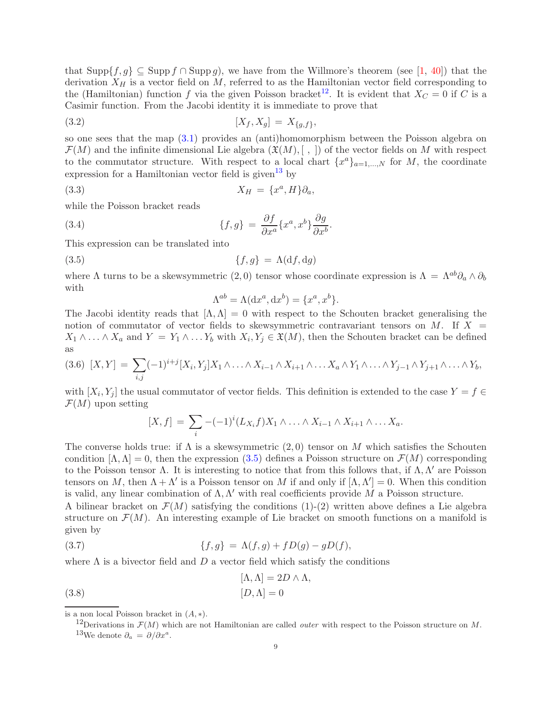that  $\text{Supp}\{f, g\} \subseteq \text{Supp } f \cap \text{Supp } g$ , we have from the Willmore's theorem (see [\[1,](#page-48-1) [40\]](#page-49-2)) that the derivation  $X_H$  is a vector field on M, referred to as the Hamiltonian vector field corresponding to the (Hamiltonian) function f via the given Poisson bracket<sup>[12](#page-8-0)</sup>. It is evident that  $X_C = 0$  if C is a Casimir function. From the Jacobi identity it is immediate to prove that

(3.2) 
$$
[X_f, X_g] = X_{\{g, f\}},
$$

so one sees that the map [\(3.1\)](#page-7-3) provides an (anti)homomorphism between the Poisson algebra on  $\mathcal{F}(M)$  and the infinite dimensional Lie algebra  $(\mathfrak{X}(M), \langle , \rangle)$  of the vector fields on M with respect to the commutator structure. With respect to a local chart  $\{x^a\}_{a=1,\dots,N}$  for M, the coordinate expression for a Hamiltonian vector field is given<sup>[13](#page-8-1)</sup> by

$$
(3.3) \t\t X_H = \{x^a, H\}\partial_a,
$$

while the Poisson bracket reads

(3.4) 
$$
\{f,g\} = \frac{\partial f}{\partial x^a} \{x^a, x^b\} \frac{\partial g}{\partial x^b}
$$

This expression can be translated into

(3.5) 
$$
\{f,g\} = \Lambda(\mathrm{d}f,\mathrm{d}g)
$$

where  $\Lambda$  turns to be a skewsymmetric  $(2,0)$  tensor whose coordinate expression is  $\Lambda = \Lambda^{ab}\partial_a \wedge \partial_b$ with

<span id="page-8-6"></span><span id="page-8-5"></span>.

<span id="page-8-2"></span>
$$
\Lambda^{ab} = \Lambda(\mathrm{d}x^a, \mathrm{d}x^b) = \{x^a, x^b\}.
$$

The Jacobi identity reads that  $[\Lambda, \Lambda] = 0$  with respect to the Schouten bracket generalising the notion of commutator of vector fields to skewsymmetric contravariant tensors on M. If  $X =$  $X_1 \wedge \ldots \wedge X_a$  and  $Y = Y_1 \wedge \ldots Y_b$  with  $X_i, Y_j \in \mathfrak{X}(M)$ , then the Schouten bracket can be defined as

$$
(3.6) [X,Y] = \sum_{i,j} (-1)^{i+j} [X_i, Y_j] X_1 \wedge \ldots \wedge X_{i-1} \wedge X_{i+1} \wedge \ldots X_a \wedge Y_1 \wedge \ldots \wedge Y_{j-1} \wedge Y_{j+1} \wedge \ldots \wedge Y_b,
$$

with  $[X_i, Y_j]$  the usual commutator of vector fields. This definition is extended to the case  $Y = f \in$  $\mathcal{F}(M)$  upon setting

$$
[X,f] = \sum_{i} -(-1)^{i} (L_{X_i}f)X_1 \wedge \ldots \wedge X_{i-1} \wedge X_{i+1} \wedge \ldots X_a.
$$

The converse holds true: if  $\Lambda$  is a skewsymmetric  $(2,0)$  tensor on M which satisfies the Schouten condition  $[\Lambda, \Lambda] = 0$ , then the expression [\(3.5\)](#page-8-2) defines a Poisson structure on  $\mathcal{F}(M)$  corresponding to the Poisson tensor  $Λ$ . It is interesting to notice that from this follows that, if  $Λ, Λ'$  are Poisson tensors on M, then  $\Lambda + \Lambda'$  is a Poisson tensor on M if and only if  $[\Lambda, \Lambda'] = 0$ . When this condition is valid, any linear combination of  $\Lambda, \Lambda'$  with real coefficients provide M a Poisson structure.

A bilinear bracket on  $\mathcal{F}(M)$  satisfying the conditions (1)-(2) written above defines a Lie algebra structure on  $\mathcal{F}(M)$ . An interesting example of Lie bracket on smooth functions on a manifold is given by

<span id="page-8-3"></span>(3.7) 
$$
\{f,g\} = \Lambda(f,g) + fD(g) - gD(f),
$$

where  $\Lambda$  is a bivector field and  $D$  a vector field which satisfy the conditions

<span id="page-8-4"></span>(3.8) 
$$
[\Lambda, \Lambda] = 2D \wedge \Lambda,
$$

$$
[D, \Lambda] = 0
$$

is a non local Poisson bracket in  $(A, *)$ .

<span id="page-8-1"></span><span id="page-8-0"></span><sup>&</sup>lt;sup>12</sup>Derivations in  $\mathcal{F}(M)$  which are not Hamiltonian are called *outer* with respect to the Poisson structure on M. <sup>13</sup>We denote  $\partial_a = \partial/\partial x^a$ .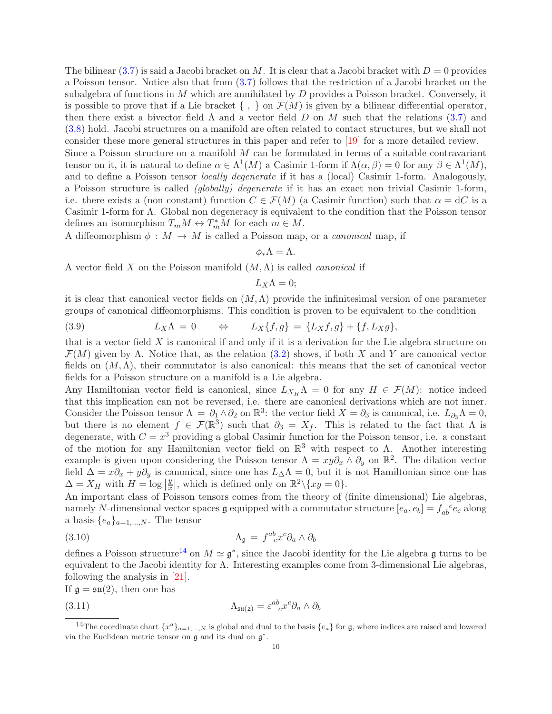The bilinear [\(3.7\)](#page-8-3) is said a Jacobi bracket on M. It is clear that a Jacobi bracket with  $D = 0$  provides a Poisson tensor. Notice also that from [\(3.7\)](#page-8-3) follows that the restriction of a Jacobi bracket on the subalgebra of functions in  $M$  which are annihilated by  $D$  provides a Poisson bracket. Conversely, it is possible to prove that if a Lie bracket  $\{\ ,\ \}$  on  $\mathcal{F}(M)$  is given by a bilinear differential operator, then there exist a bivector field  $\Lambda$  and a vector field  $D$  on  $M$  such that the relations [\(3.7\)](#page-8-3) and [\(3.8\)](#page-8-4) hold. Jacobi structures on a manifold are often related to contact structures, but we shall not consider these more general structures in this paper and refer to [\[19\]](#page-49-0) for a more detailed review.

Since a Poisson structure on a manifold  $M$  can be formulated in terms of a suitable contravariant tensor on it, it is natural to define  $\alpha \in \Lambda^1(M)$  a Casimir 1-form if  $\Lambda(\alpha, \beta) = 0$  for any  $\beta \in \Lambda^1(M)$ , and to define a Poisson tensor *locally degenerate* if it has a (local) Casimir 1-form. Analogously, a Poisson structure is called (globally) degenerate if it has an exact non trivial Casimir 1-form, i.e. there exists a (non constant) function  $C \in \mathcal{F}(M)$  (a Casimir function) such that  $\alpha = dC$  is a Casimir 1-form for Λ. Global non degeneracy is equivalent to the condition that the Poisson tensor defines an isomorphism  $T_m M \leftrightarrow T_m^* M$  for each  $m \in M$ .

A diffeomorphism  $\phi : M \to M$  is called a Poisson map, or a *canonical* map, if

$$
\phi_*\Lambda=\Lambda.
$$

A vector field X on the Poisson manifold  $(M, \Lambda)$  is called *canonical* if

$$
L_X\Lambda=0;
$$

it is clear that canonical vector fields on  $(M, \Lambda)$  provide the infinitesimal version of one parameter groups of canonical diffeomorphisms. This condition is proven to be equivalent to the condition

<span id="page-9-1"></span>(3.9) 
$$
L_X \Lambda = 0 \qquad \Leftrightarrow \qquad L_X \{f, g\} = \{L_X f, g\} + \{f, L_X g\},
$$

that is a vector field  $X$  is canonical if and only if it is a derivation for the Lie algebra structure on  $\mathcal{F}(M)$  given by  $\Lambda$ . Notice that, as the relation [\(3.2\)](#page-8-5) shows, if both X and Y are canonical vector fields on  $(M, \Lambda)$ , their commutator is also canonical: this means that the set of canonical vector fields for a Poisson structure on a manifold is a Lie algebra.

Any Hamiltonian vector field is canonical, since  $L_{X_H}\Lambda = 0$  for any  $H \in \mathcal{F}(M)$ : notice indeed that this implication can not be reversed, i.e. there are canonical derivations which are not inner. Consider the Poisson tensor  $\Lambda = \partial_1 \wedge \partial_2$  on  $\mathbb{R}^3$ : the vector field  $X = \partial_3$  is canonical, i.e.  $L_{\partial_3} \Lambda = 0$ , but there is no element  $f \in \mathcal{F}(\mathbb{R}^3)$  such that  $\partial_3 = X_f$ . This is related to the fact that  $\Lambda$  is degenerate, with  $C = x^3$  providing a global Casimir function for the Poisson tensor, i.e. a constant of the motion for any Hamiltonian vector field on  $\mathbb{R}^3$  with respect to  $\Lambda$ . Another interesting example is given upon considering the Poisson tensor  $\Lambda = xy\partial_x \wedge \partial_y$  on  $\mathbb{R}^2$ . The dilation vector field  $\Delta = x\partial_x + y\partial_y$  is canonical, since one has  $L_\Delta\Lambda = 0$ , but it is not Hamiltonian since one has  $\Delta = X_H$  with  $H = \log |\frac{1}{\Delta}$  $\overline{y}$  $\frac{y}{x}$ , which is defined only on  $\mathbb{R}^2 \setminus \{xy = 0\}$ .

An important class of Poisson tensors comes from the theory of (finite dimensional) Lie algebras, namely N-dimensional vector spaces  $\mathfrak g$  equipped with a commutator structure  $[e_a, e_b] = f_{ab}^{\phantom{ab}c}e_c$  along a basis  $\{e_a\}_{a=1,\dots,N}$ . The tensor

<span id="page-9-2"></span>(3.10) 
$$
\Lambda_{\mathfrak{g}} = f^{ab}_{\phantom{ab}c} x^c \partial_a \wedge \partial_b
$$

defines a Poisson structure<sup>[14](#page-9-0)</sup> on  $M \simeq \mathfrak{g}^*$ , since the Jacobi identity for the Lie algebra g turns to be equivalent to the Jacobi identity for Λ. Interesting examples come from 3-dimensional Lie algebras, following the analysis in [\[21\]](#page-49-6).

If  $\mathfrak{g} = \mathfrak{su}(2)$ , then one has

<span id="page-9-3"></span>(3.11) 
$$
\Lambda_{\mathfrak{su}(2)} = \varepsilon^{ab}_{\ \ c} x^c \partial_a \wedge \partial_b
$$

<span id="page-9-0"></span><sup>&</sup>lt;sup>14</sup>The coordinate chart  $\{x^a\}_{a=1,...,N}$  is global and dual to the basis  $\{e_a\}$  for g, where indices are raised and lowered via the Euclidean metric tensor on  $\mathfrak g$  and its dual on  $\mathfrak g^*$ .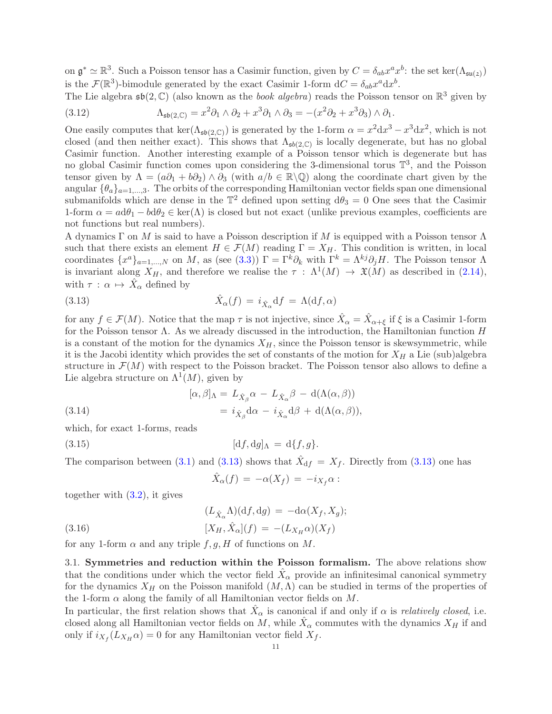on  $\mathfrak{g}^* \simeq \mathbb{R}^3$ . Such a Poisson tensor has a Casimir function, given by  $C = \delta_{ab} x^a x^b$ : the set ker $(\Lambda_{\mathfrak{su}(2)})$ is the  $\mathcal{F}(\mathbb{R}^3)$ -bimodule generated by the exact Casimir 1-form  $dC = \delta_{ab} x^a dx^b$ .

The Lie algebra  $\mathfrak{sb}(2,\mathbb{C})$  (also known as the *book algebra*) reads the Poisson tensor on  $\mathbb{R}^3$  given by 2 3 2 3

<span id="page-10-4"></span>(3.12) 
$$
\Lambda_{\mathfrak{sb}(2,\mathbb{C})} = x^2 \partial_1 \wedge \partial_2 + x^3 \partial_1 \wedge \partial_3 = -(x^2 \partial_2 + x^3 \partial_3) \wedge \partial_1.
$$

One easily computes that  $\ker(\Lambda_{\mathfrak{sb}(2,\mathbb{C})})$  is generated by the 1-form  $\alpha = x^2 dx^3 - x^3 dx^2$ , which is not closed (and then neither exact). This shows that  $\Lambda_{\mathfrak{sb}(2,\mathbb{C})}$  is locally degenerate, but has no global Casimir function. Another interesting example of a Poisson tensor which is degenerate but has no global Casimir function comes upon considering the 3-dimensional torus  $\mathbb{T}^3$ , and the Poisson tensor given by  $\Lambda = (a\partial_1 + b\partial_2) \wedge \partial_3$  (with  $a/b \in \mathbb{R}\backslash\mathbb{Q}$ ) along the coordinate chart given by the angular  $\{\theta_a\}_{a=1,\dots,3}$ . The orbits of the corresponding Hamiltonian vector fields span one dimensional submanifolds which are dense in the  $\mathbb{T}^2$  defined upon setting  $d\theta_3 = 0$  One sees that the Casimir 1-form  $\alpha = a d\theta_1 - b d\theta_2 \in \text{ker}(\Lambda)$  is closed but not exact (unlike previous examples, coefficients are not functions but real numbers).

A dynamics Γ on M is said to have a Poisson description if M is equipped with a Poisson tensor  $\Lambda$ such that there exists an element  $H \in \mathcal{F}(M)$  reading  $\Gamma = X_H$ . This condition is written, in local coordinates  $\{x^a\}_{a=1,\dots,N}$  on M, as (see [\(3.3\)](#page-8-6))  $\Gamma = \Gamma^k \partial_k$  with  $\Gamma^k = \Lambda^{kj} \partial_j H$ . The Poisson tensor  $\Lambda$ is invariant along  $X_H$ , and therefore we realise the  $\tau$ :  $\Lambda^1(M) \to \mathfrak{X}(M)$  as described in [\(2.14\)](#page-5-2), with  $\tau : \alpha \mapsto \hat{X}_{\alpha}$  defined by

<span id="page-10-1"></span>(3.13) 
$$
\hat{X}_{\alpha}(f) = i_{\hat{X}_{\alpha}} df = \Lambda(df, \alpha)
$$

for any  $f \in \mathcal{F}(M)$ . Notice that the map  $\tau$  is not injective, since  $\hat{X}_{\alpha} = \hat{X}_{\alpha+\xi}$  if  $\xi$  is a Casimir 1-form for the Poisson tensor  $\Lambda$ . As we already discussed in the introduction, the Hamiltonian function  $H$ is a constant of the motion for the dynamics  $X_H$ , since the Poisson tensor is skewsymmetric, while it is the Jacobi identity which provides the set of constants of the motion for  $X_H$  a Lie (sub)algebra structure in  $\mathcal{F}(M)$  with respect to the Poisson bracket. The Poisson tensor also allows to define a Lie algebra structure on  $\Lambda^1(M)$ , given by

<span id="page-10-3"></span>(3.14)  
\n
$$
[\alpha, \beta]_{\Lambda} = L_{\hat{X}_{\beta}} \alpha - L_{\hat{X}_{\alpha}} \beta - d(\Lambda(\alpha, \beta))
$$
\n
$$
= i_{\hat{X}_{\beta}} d\alpha - i_{\hat{X}_{\alpha}} d\beta + d(\Lambda(\alpha, \beta)),
$$

which, for exact 1-forms, reads

$$
(3.15) \t\t [df, dg]_\Lambda = d\{f, g\}.
$$

The comparison between [\(3.1\)](#page-7-3) and [\(3.13\)](#page-10-1) shows that  $\hat{X}_{df} = X_f$ . Directly from (3.13) one has

$$
\hat{X}_{\alpha}(f) = -\alpha(X_f) = -i_{X_f}\alpha:
$$

together with [\(3.2\)](#page-8-5), it gives

<span id="page-10-2"></span>(3.16) 
$$
(L_{\hat{X}_{\alpha}}\Lambda)(df, dg) = -d\alpha(X_f, X_g);
$$

$$
[X_H, \hat{X}_{\alpha}](f) = -(L_{X_H}\alpha)(X_f)
$$

<span id="page-10-0"></span>for any 1-form  $\alpha$  and any triple  $f, g, H$  of functions on M.

3.1. Symmetries and reduction within the Poisson formalism. The above relations show that the conditions under which the vector field  $\hat{X}_{\alpha}$  provide an infinitesimal canonical symmetry for the dynamics  $X_H$  on the Poisson manifold  $(M, \Lambda)$  can be studied in terms of the properties of the 1-form  $\alpha$  along the family of all Hamiltonian vector fields on M.

In particular, the first relation shows that  $\hat{X}_{\alpha}$  is canonical if and only if  $\alpha$  is *relatively closed*, i.e. closed along all Hamiltonian vector fields on M, while  $\hat{X}_{\alpha}$  commutes with the dynamics  $X_H$  if and only if  $i_{X_f}(L_{X_H}\alpha) = 0$  for any Hamiltonian vector field  $X_f$ .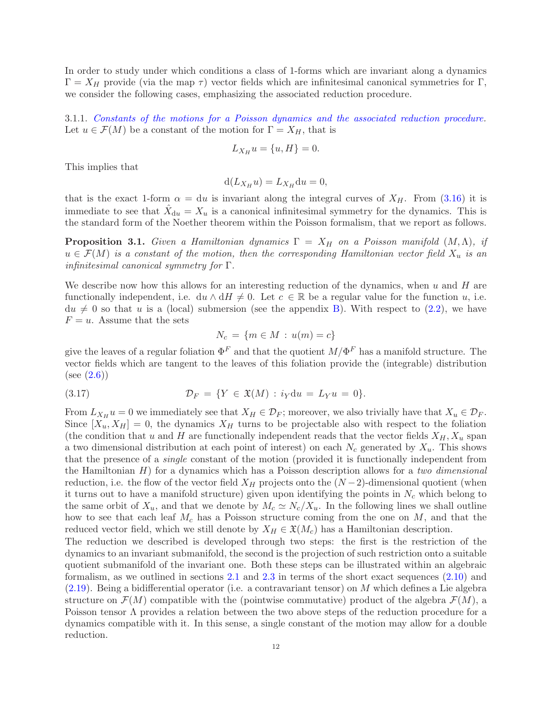In order to study under which conditions a class of 1-forms which are invariant along a dynamics  $\Gamma = X_H$  provide (via the map  $\tau$ ) vector fields which are infinitesimal canonical symmetries for Γ, we consider the following cases, emphasizing the associated reduction procedure.

<span id="page-11-2"></span>3.1.1. Constants of the motions for a Poisson dynamics and the associated reduction procedure. Let  $u \in \mathcal{F}(M)$  be a constant of the motion for  $\Gamma = X_H$ , that is

$$
L_{X_H}u = \{u, H\} = 0.
$$

This implies that

$$
d(L_{X_H}u) = L_{X_H}du = 0,
$$

that is the exact 1-form  $\alpha = du$  is invariant along the integral curves of  $X_H$ . From [\(3.16\)](#page-10-2) it is immediate to see that  $\hat{X}_{du} = X_u$  is a canonical infinitesimal symmetry for the dynamics. This is the standard form of the Noether theorem within the Poisson formalism, that we report as follows.

<span id="page-11-1"></span>**Proposition 3.1.** Given a Hamiltonian dynamics  $\Gamma = X_H$  on a Poisson manifold  $(M, \Lambda)$ , if  $u \in \mathcal{F}(M)$  is a constant of the motion, then the corresponding Hamiltonian vector field  $X_u$  is an infinitesimal canonical symmetry for Γ.

We describe now how this allows for an interesting reduction of the dynamics, when u and  $H$  are functionally independent, i.e.  $du \wedge dH \neq 0$ . Let  $c \in \mathbb{R}$  be a regular value for the function u, i.e.  $du \neq 0$  so that u is a (local) submersion (see the appendix [B\)](#page-47-0). With respect to [\(2.2\)](#page-3-3), we have  $F = u$ . Assume that the sets

<span id="page-11-0"></span>
$$
N_c = \{m \in M : u(m) = c\}
$$

give the leaves of a regular foliation  $\Phi^F$  and that the quotient  $M/\Phi^F$  has a manifold structure. The vector fields which are tangent to the leaves of this foliation provide the (integrable) distribution  $(see (2.6))$  $(see (2.6))$  $(see (2.6))$ 

(3.17) 
$$
\mathcal{D}_F = \{ Y \in \mathfrak{X}(M) : i_Y \mathrm{d}u = L_Y u = 0 \}.
$$

From  $L_{X_H} u = 0$  we immediately see that  $X_H \in \mathcal{D}_F$ ; moreover, we also trivially have that  $X_u \in \mathcal{D}_F$ . Since  $[X_u, X_H] = 0$ , the dynamics  $X_H$  turns to be projectable also with respect to the foliation (the condition that u and H are functionally independent reads that the vector fields  $X_H, X_u$  span a two dimensional distribution at each point of interest) on each  $N_c$  generated by  $X_u$ . This shows that the presence of a single constant of the motion (provided it is functionally independent from the Hamiltonian  $H$ ) for a dynamics which has a Poisson description allows for a two dimensional reduction, i.e. the flow of the vector field  $X_H$  projects onto the  $(N-2)$ -dimensional quotient (when it turns out to have a manifold structure) given upon identifying the points in  $N_c$  which belong to the same orbit of  $X_u$ , and that we denote by  $M_c \simeq N_c/X_u$ . In the following lines we shall outline how to see that each leaf  $M_c$  has a Poisson structure coming from the one on  $M$ , and that the reduced vector field, which we still denote by  $X_H \in \mathfrak{X}(M_c)$  has a Hamiltonian description.

The reduction we described is developed through two steps: the first is the restriction of the dynamics to an invariant submanifold, the second is the projection of such restriction onto a suitable quotient submanifold of the invariant one. Both these steps can be illustrated within an algebraic formalism, as we outlined in sections [2.1](#page-2-1) and [2.3](#page-6-0) in terms of the short exact sequences [\(2.10\)](#page-4-6) and  $(2.19)$ . Being a bidifferential operator (i.e. a contravariant tensor) on M which defines a Lie algebra structure on  $\mathcal{F}(M)$  compatible with the (pointwise commutative) product of the algebra  $\mathcal{F}(M)$ , a Poisson tensor Λ provides a relation between the two above steps of the reduction procedure for a dynamics compatible with it. In this sense, a single constant of the motion may allow for a double reduction.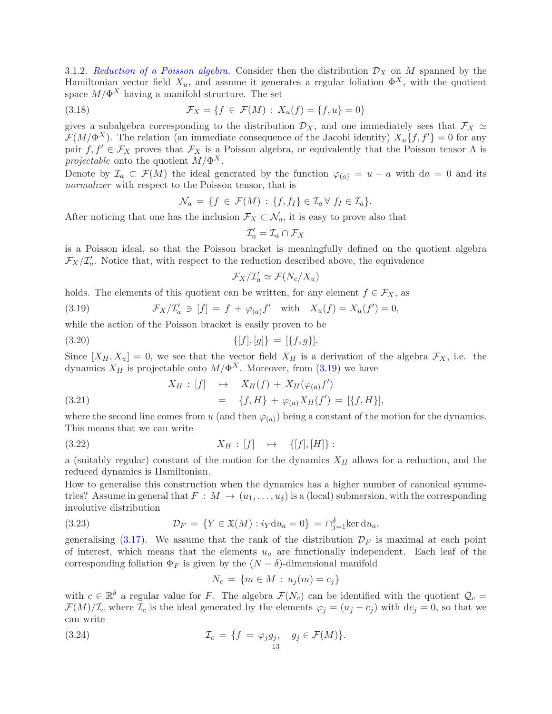<span id="page-12-3"></span>3.1.2. Reduction of a Poisson algebra. Consider then the distribution  $\mathcal{D}_X$  on M spanned by the Hamiltonian vector field  $X_u$ , and assume it generates a regular foliation  $\Phi^X$ , with the quotient space  $M/\Phi^X$  having a manifold structure. The set

(3.18) 
$$
\mathcal{F}_X = \{ f \in \mathcal{F}(M) : X_u(f) = \{ f, u \} = 0 \}
$$

gives a subalgebra corresponding to the distribution  $\mathcal{D}_X$ , and one immediately sees that  $\mathcal{F}_X \simeq$  $\mathcal{F}(M/\Phi^X)$ . The relation (an immediate consequence of the Jacobi identity)  $X_u\{f, f'\}=0$  for any pair  $f, f' \in \mathcal{F}_X$  proves that  $\mathcal{F}_X$  is a Poisson algebra, or equivalently that the Poisson tensor  $\Lambda$  is projectable onto the quotient  $M/\Phi^X$ .

Denote by  $\mathcal{I}_a \subset \mathcal{F}(M)$  the ideal generated by the function  $\varphi_{(a)} = u - a$  with  $da = 0$  and its normalizer with respect to the Poisson tensor, that is

$$
\mathcal{N}_a = \{ f \in \mathcal{F}(M) : \{ f, f_I \} \in \mathcal{I}_a \ \forall \ f_I \in \mathcal{I}_a \}.
$$

After noticing that one has the inclusion  $\mathcal{F}_X \subset \mathcal{N}_a$ , it is easy to prove also that

$$
\mathcal{I}'_a = \mathcal{I}_a \cap \mathcal{F}_X
$$

is a Poisson ideal, so that the Poisson bracket is meaningfully defined on the quotient algebra  $\mathcal{F}_X/\mathcal{I}'_a$ . Notice that, with respect to the reduction described above, the equivalence

<span id="page-12-0"></span>
$$
\mathcal{F}_X/\mathcal{I}'_a \simeq \mathcal{F}(N_c/X_u)
$$

holds. The elements of this quotient can be written, for any element  $f \in \mathcal{F}_X$ , as

(3.19) 
$$
\mathcal{F}_X/\mathcal{I}_a' \ni [f] = f + \varphi_{(a)} f' \quad \text{with} \quad X_u(f) = X_u(f') = 0,
$$

while the action of the Poisson bracket is easily proven to be

$$
\{[f],[g]\} = [\{f,g\}].
$$

Since  $[X_H, X_u] = 0$ , we see that the vector field  $X_H$  is a derivation of the algebra  $\mathcal{F}_X$ , i.e. the dynamics  $X_H$  is projectable onto  $M/\Phi^X$ . Moreover, from [\(3.19\)](#page-12-0) we have

(3.21) 
$$
X_H : [f] \mapsto X_H(f) + X_H(\varphi_{(a)} f')
$$

$$
= \{f, H\} + \varphi_{(a)} X_H(f') = [\{f, H\}],
$$

where the second line comes from u (and then  $\varphi_{(a)}$ ) being a constant of the motion for the dynamics. This means that we can write

$$
(3.22) \t\t X_H : [f] \rightarrow \{[f], [H]\} :
$$

a (suitably regular) constant of the motion for the dynamics  $X_H$  allows for a reduction, and the reduced dynamics is Hamiltonian.

How to generalise this construction when the dynamics has a higher number of canonical symmetries? Assume in general that  $F : M \to (u_1, \ldots, u_\delta)$  is a (local) submersion, with the corresponding involutive distribution

(3.23) 
$$
\mathcal{D}_F = \{ Y \in \mathfrak{X}(M) : i_Y \mathrm{d}u_a = 0 \} = \bigcap_{j=1}^{\delta} \ker \mathrm{d}u_a,
$$

generalising [\(3.17\)](#page-11-0). We assume that the rank of the distribution  $\mathcal{D}_F$  is maximal at each point of interest, which means that the elements  $u_a$  are functionally independent. Each leaf of the corresponding foliation  $\Phi_F$  is given by the  $(N - \delta)$ -dimensional manifold

<span id="page-12-2"></span><span id="page-12-1"></span>
$$
N_c = \{ m \in M : u_j(m) = c_j \}
$$

with  $c \in \mathbb{R}^{\delta}$  a regular value for F. The algebra  $\mathcal{F}(N_c)$  can be identified with the quotient  $\mathcal{Q}_c =$  $\mathcal{F}(M)/\mathcal{I}_c$  where  $\mathcal{I}_c$  is the ideal generated by the elements  $\varphi_j = (u_j - c_j)$  with  $dc_j = 0$ , so that we can write

(3.24) 
$$
\mathcal{I}_c = \{f = \varphi_j g_j, \quad g_j \in \mathcal{F}(M)\}.
$$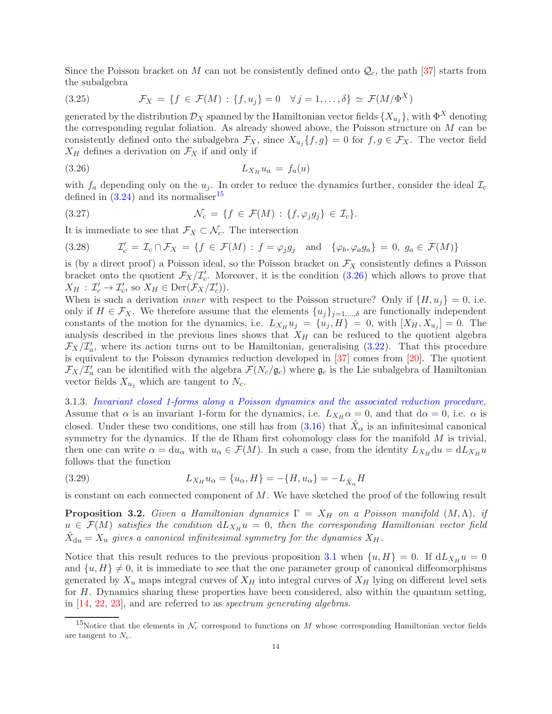Since the Poisson bracket on M can not be consistently defined onto  $\mathcal{Q}_c$ , the path [\[37\]](#page-49-7) starts from the subalgebra

<span id="page-13-4"></span>(3.25) 
$$
\mathcal{F}_X = \{ f \in \mathcal{F}(M) : \{ f, u_j \} = 0 \quad \forall j = 1, ..., \delta \} \simeq \mathcal{F}(M/\Phi^X)
$$

generated by the distribution  $\mathcal{D}_X$  spanned by the Hamiltonian vector fields  $\{X_{u_j}\}$ , with  $\Phi^X$  denoting the corresponding regular foliation. As already showed above, the Poisson structure on M can be consistently defined onto the subalgebra  $\mathcal{F}_X$ , since  $X_{u_j}\{f, g\} = 0$  for  $f, g \in \mathcal{F}_X$ . The vector field  $X_H$  defines a derivation on  $\mathcal{F}_X$  if and only if

<span id="page-13-1"></span>
$$
(3.26) \t\t\t L_{X_H} u_a = f_a(u)
$$

with  $f_a$  depending only on the  $u_j$ . In order to reduce the dynamics further, consider the ideal  $\mathcal{I}_c$ defined in  $(3.24)$  and its normaliser<sup>[15](#page-13-0)</sup>

(3.27) 
$$
\mathcal{N}_c = \{f \in \mathcal{F}(M) : \{f, \varphi_j g_j\} \in \mathcal{I}_c\}.
$$

It is immediate to see that  $\mathcal{F}_X \subset \mathcal{N}_c$ . The intersection

(3.28) 
$$
\mathcal{I}'_c = \mathcal{I}_c \cap \mathcal{F}_X = \{ f \in \mathcal{F}(M) : f = \varphi_j g_j \text{ and } \{ \varphi_b, \varphi_a g_a \} = 0, g_a \in \mathcal{F}(M) \}
$$

is (by a direct proof) a Poisson ideal, so the Poisson bracket on  $\mathcal{F}_X$  consistently defines a Poisson bracket onto the quotient  $\mathcal{F}_X/\mathcal{I}'_c$ . Moreover, it is the condition [\(3.26\)](#page-13-1) which allows to prove that  $X_H : \mathcal{I}'_c \to \mathcal{I}'_c$ , so  $X_H \in \text{Der}(\mathcal{F}_X/\mathcal{I}'_c)$ .

When is such a derivation *inner* with respect to the Poisson structure? Only if  $\{H, u_i\} = 0$ , i.e. only if  $H \in \mathcal{F}_X$ . We therefore assume that the elements  $\{u_j\}_{j=1,\dots,\delta}$  are functionally independent constants of the motion for the dynamics, i.e.  $L_{X_H} u_j = \{u_j, H\} = 0$ , with  $[X_H, X_{u_j}] = 0$ . The analysis described in the previous lines shows that  $X_H$  can be reduced to the quotient algebra  $\mathcal{F}_X/\mathcal{I}'_a$ , where its action turns out to be Hamiltonian, generalising [\(3.22\)](#page-12-2). That this procedure is equivalent to the Poisson dynamics reduction developed in [\[37\]](#page-49-7) comes from [\[20\]](#page-49-8). The quotient  $\mathcal{F}_X/\mathcal{I}'_a$  can be identified with the algebra  $\mathcal{F}(N_c/\mathfrak{g}_c)$  where  $\mathfrak{g}_c$  is the Lie subalgebra of Hamiltonian vector fields  $X_{u_i}$  which are tangent to  $N_c$ .

<span id="page-13-2"></span>3.1.3. Invariant closed 1-forms along a Poisson dynamics and the associated reduction procedure. Assume that  $\alpha$  is an invariant 1-form for the dynamics, i.e.  $L_{X_H} \alpha = 0$ , and that  $d\alpha = 0$ , i.e.  $\alpha$  is closed. Under these two conditions, one still has from  $(3.16)$  that  $\hat{X}_{\alpha}$  is an infinitesimal canonical symmetry for the dynamics. If the de Rham first cohomology class for the manifold  $M$  is trivial, then one can write  $\alpha = du_\alpha$  with  $u_\alpha \in \mathcal{F}(M)$ . In such a case, from the identity  $L_{X_H} du = dL_{X_H} u$ follows that the function

<span id="page-13-3"></span>(3.29) 
$$
L_{X_H} u_\alpha = \{u_\alpha, H\} = -\{H, u_\alpha\} = -L_{\hat{X}_\alpha} H
$$

is constant on each connected component of  $M$ . We have sketched the proof of the following result

<span id="page-13-5"></span>**Proposition 3.2.** Given a Hamiltonian dynamics  $\Gamma = X_H$  on a Poisson manifold  $(M, \Lambda)$ , if  $u \in \mathcal{F}(M)$  satisfies the condition  $dL_{X_H}u = 0$ , then the corresponding Hamiltonian vector field  $\hat{X}_{\mathrm{d}u} = X_u$  gives a canonical infinitesimal symmetry for the dynamics  $X_H$ .

Notice that this result reduces to the previous proposition [3.1](#page-11-1) when  $\{u, H\} = 0$ . If  $dL_{X_H} u = 0$ and  $\{u, H\} \neq 0$ , it is immediate to see that the one parameter group of canonical diffeomorphisms generated by  $X_u$  maps integral curves of  $X_H$  into integral curves of  $X_H$  lying on different level sets for  $H$ . Dynamics sharing these properties have been considered, also within the quantum setting, in [\[14,](#page-49-9) [22,](#page-49-10) [23\]](#page-49-11), and are referred to as spectrum generating algebras.

<span id="page-13-0"></span><sup>&</sup>lt;sup>15</sup>Notice that the elements in  $\mathcal{N}_c$  correspond to functions on M whose corresponding Hamiltonian vector fields are tangent to  $N_c$ .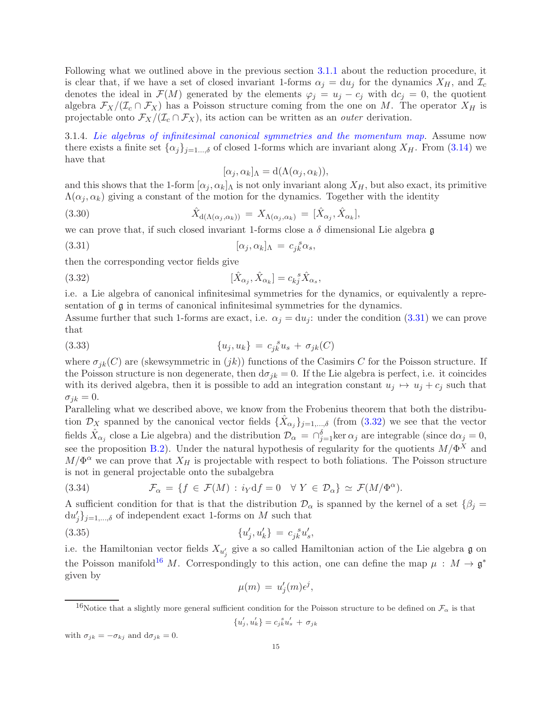Following what we outlined above in the previous section [3.1.1](#page-11-2) about the reduction procedure, it is clear that, if we have a set of closed invariant 1-forms  $\alpha_j = du_j$  for the dynamics  $X_H$ , and  $\mathcal{I}_c$ denotes the ideal in  $\mathcal{F}(M)$  generated by the elements  $\varphi_j = u_j - c_j$  with  $dc_j = 0$ , the quotient algebra  $\mathcal{F}_X/(\mathcal{I}_c \cap \mathcal{F}_X)$  has a Poisson structure coming from the one on M. The operator  $X_H$  is projectable onto  $\mathcal{F}_X/(\mathcal{I}_c \cap \mathcal{F}_X)$ , its action can be written as an *outer* derivation.

<span id="page-14-4"></span>3.1.4. Lie algebras of infinitesimal canonical symmetries and the momentum map. Assume now there exists a finite set  $\{\alpha_j\}_{j=1...,\delta}$  of closed 1-forms which are invariant along  $X_H$ . From [\(3.14\)](#page-10-3) we have that

<span id="page-14-1"></span><span id="page-14-0"></span>
$$
[\alpha_j, \alpha_k]_{\Lambda} = d(\Lambda(\alpha_j, \alpha_k)),
$$

and this shows that the 1-form  $[\alpha_j, \alpha_k]$  is not only invariant along  $X_H$ , but also exact, its primitive  $\Lambda(\alpha_i, \alpha_k)$  giving a constant of the motion for the dynamics. Together with the identity

(3.30) 
$$
\hat{X}_{\mathrm{d}(\Lambda(\alpha_j,\alpha_k))} = X_{\Lambda(\alpha_j,\alpha_k)} = [\hat{X}_{\alpha_j}, \hat{X}_{\alpha_k}],
$$

we can prove that, if such closed invariant 1-forms close a  $\delta$  dimensional Lie algebra g

(3.31) 
$$
[\alpha_j, \alpha_k]_{\Lambda} = c_{jk}^{\ \ s} \alpha_s,
$$

then the corresponding vector fields give

(3.32) 
$$
[\hat{X}_{\alpha_j}, \hat{X}_{\alpha_k}] = c_{kj}^{\ \ s}\hat{X}_{\alpha_s},
$$

i.e. a Lie algebra of canonical infinitesimal symmetries for the dynamics, or equivalently a representation of g in terms of canonical infinitesimal symmetries for the dynamics.

Assume further that such 1-forms are exact, i.e.  $\alpha_j = du_j$ : under the condition [\(3.31\)](#page-14-0) we can prove that

<span id="page-14-5"></span>(3.33) 
$$
\{u_j, u_k\} = c_{jk}^{\ s} u_s + \sigma_{jk}(C)
$$

where  $\sigma_{ik}(C)$  are (skewsymmetric in  $(jk)$ ) functions of the Casimirs C for the Poisson structure. If the Poisson structure is non degenerate, then  $d\sigma_{ik} = 0$ . If the Lie algebra is perfect, i.e. it coincides with its derived algebra, then it is possible to add an integration constant  $u_j \mapsto u_j + c_j$  such that  $\sigma_{ik} = 0.$ 

Paralleling what we described above, we know from the Frobenius theorem that both the distribution  $\mathcal{D}_X$  spanned by the canonical vector fields  $\{\hat{X}_{\alpha_j}\}_{j=1,\dots,\delta}$  (from  $(3.32)$  we see that the vector fields  $\hat{X}_{\alpha_j}$  close a Lie algebra) and the distribution  $\mathcal{D}_{\alpha} = \bigcap_{j=1}^{\delta} \ker \alpha_j$  are integrable (since  $d\alpha_j = 0$ , see the proposition [B.2\)](#page-48-5). Under the natural hypothesis of regularity for the quotients  $M/\Phi^X$  and  $M/\Phi^{\alpha}$  we can prove that  $X_H$  is projectable with respect to both foliations. The Poisson structure is not in general projectable onto the subalgebra

<span id="page-14-3"></span>(3.34) 
$$
\mathcal{F}_{\alpha} = \{ f \in \mathcal{F}(M) : i_Y \mathrm{d} f = 0 \quad \forall Y \in \mathcal{D}_{\alpha} \} \simeq \mathcal{F}(M/\Phi^{\alpha}).
$$

A sufficient condition for that is that the distribution  $\mathcal{D}_{\alpha}$  is spanned by the kernel of a set  $\{\beta_j =$  $\{du'_j\}_{j=1,\ldots,\delta}$  of independent exact 1-forms on M such that

(3.35) 
$$
\{u'_j, u'_k\} = c_{jk}^{s} u'_s,
$$

i.e. the Hamiltonian vector fields  $X_{u'_j}$  give a so called Hamiltonian action of the Lie algebra  $\mathfrak g$  on the Poisson manifold<sup>[16](#page-14-2)</sup> M. Correspondingly to this action, one can define the map  $\mu$  :  $M \to \mathfrak{g}^*$ given by

$$
\mu(m) = u'_j(m)\epsilon^j,
$$

<span id="page-14-2"></span><sup>16</sup>Notice that a slightly more general sufficient condition for the Poisson structure to be defined on  $\mathcal{F}_{\alpha}$  is that

 ${u'_j, u'_k} = c_{jk}^{s}u'_s + \sigma_{jk}$ 

with  $\sigma_{ik} = -\sigma_{kj}$  and  $d\sigma_{jk} = 0$ .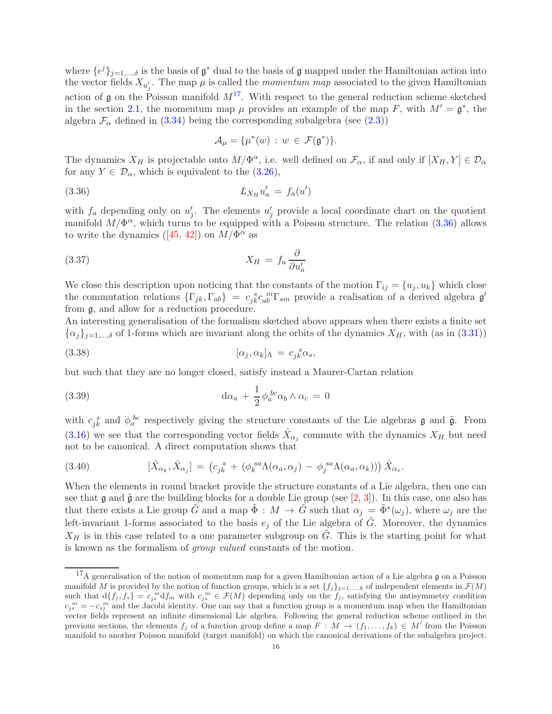where  $\{\epsilon^j\}_{j=1,\dots,\delta}$  is the basis of  $\mathfrak{g}^*$  dual to the basis of  $\mathfrak{g}$  mapped under the Hamiltonian action into the vector fields  $X_{u'_j}$ . The map  $\mu$  is called the *momentum map* associated to the given Hamiltonian action of  $\mathfrak g$  on the Poisson manifold  $M^{17}$  $M^{17}$  $M^{17}$ . With respect to the general reduction scheme sketched in the section [2.1,](#page-2-1) the momentum map  $\mu$  provides an example of the map F, with  $M' = \mathfrak{g}^*$ , the algebra  $\mathcal{F}_{\alpha}$  defined in [\(3.34\)](#page-14-3) being the corresponding subalgebra (see [\(2.3\)](#page-3-2))

<span id="page-15-2"></span><span id="page-15-1"></span>
$$
\mathcal{A}_\mu = \{\mu^*(w) \, : \, w \, \in \, \mathcal{F}(\mathfrak{g}^*)\}.
$$

The dynamics  $X_H$  is projectable onto  $M/\Phi^{\alpha}$ , i.e. well defined on  $\mathcal{F}_{\alpha}$ , if and only if  $[X_H, Y] \in \mathcal{D}_{\alpha}$ for any  $Y \in \mathcal{D}_{\alpha}$ , which is equivalent to the  $(3.26)$ ,

$$
L_{X_H} u'_a = f_a(u')
$$

with  $f_a$  depending only on  $u'_j$ . The elements  $u'_j$  provide a local coordinate chart on the quotient manifold  $M/\Phi^{\alpha}$ , which turns to be equipped with a Poisson structure. The relation [\(3.36\)](#page-15-1) allows towrite the dynamics ([\[45,](#page-49-12) [42\]](#page-49-13)) on  $M/\Phi^{\alpha}$  as

$$
X_H = f_a \frac{\partial}{\partial u'_a}
$$

We close this description upon noticing that the constants of the motion  $\Gamma_{ij} = \{u_j, u_k\}$  which close the commutation relations  $\{\Gamma_{jk},\Gamma_{ab}\} = c_{jk}^{\ s}c_{ab}^{\ m}\Gamma_{sm}$  provide a realisation of a derived algebra  $\mathfrak{g}'$ from g, and allow for a reduction procedure.

An interesting generalisation of the formalism sketched above appears when there exists a finite set  $\{\alpha_j\}_{j=1,\dots,\delta}$  of 1-forms which are invariant along the orbits of the dynamics  $X_H$ , with (as in [\(3.31\)](#page-14-0))

(3.38) 
$$
[\alpha_j, \alpha_k]_{\Lambda} = c_{jk}^{\ \ s} \alpha_s,
$$

but such that they are no longer closed, satisfy instead a Maurer-Cartan relation

(3.39) 
$$
\mathrm{d}\alpha_a + \frac{1}{2} \phi_a^{bc} \alpha_b \wedge \alpha_c = 0
$$

with  $c_{jk}^s$  and  $\phi_a^{bc}$  respectively giving the structure constants of the Lie algebras **g** and  $\tilde{\mathfrak{g}}$ . From [\(3.16\)](#page-10-2) we see that the corresponding vector fields  $\hat{X}_{\alpha_j}$  commute with the dynamics  $X_H$  but need not to be canonical. A direct computation shows that

(3.40) 
$$
[\hat{X}_{\alpha_k}, \hat{X}_{\alpha_j}] = (c_{jk}^s + (\phi_k^{sa}\Lambda(\alpha_a, \alpha_j) - \phi_j^{sa}\Lambda(\alpha_a, \alpha_k))) \hat{X}_{\alpha_s}.
$$

When the elements in round bracket provide the structure constants of a Lie algebra, then one can see that g and  $\tilde{g}$  are the building blocks for a double Lie group (see [\[2,](#page-48-6) [3\]](#page-48-7)). In this case, one also has that there exists a Lie group  $\tilde{G}$  and a map  $\tilde{\Phi}: M \to \tilde{G}$  such that  $\alpha_j = \tilde{\Phi}^*(\omega_j)$ , where  $\omega_j$  are the left-invariant 1-forms associated to the basis  $e_j$  of the Lie algebra of  $\tilde{G}$ . Moreover, the dynamics  $X_H$  is in this case related to a one parameter subgroup on  $\tilde{G}$ . This is the starting point for what is known as the formalism of group valued constants of the motion.

<span id="page-15-0"></span><sup>&</sup>lt;sup>17</sup>A generalisation of the notion of momentum map for a given Hamiltonian action of a Lie algebra g on a Poisson manifold M is provided by the notion of function groups, which is a set  $\{f_j\}_{j=1,\dots,k}$  of independent elements in  $\mathcal{F}(M)$ such that  $d\{f_j, f_s\} = c_{j_s}^m d f_m$  with  $c_{j_s}^m \in \mathcal{F}(M)$  depending only on the  $f_j$ , satisfying the antisymmetry condition  $c_j^m = -c_{sj}^m$  and the Jacobi identity. One can say that a function group is a momentum map when the Hamiltonian vector fields represent an infinite dimensional Lie algebra. Following the general reduction scheme outlined in the previous sections, the elements  $f_j$  of a function group define a map  $\overline{F}$  :  $\overline{M}$   $\rightarrow$   $(f_1,\ldots,f_k)$   $\in$   $\overline{M}'$  from the Poisson manifold to another Poisson manifold (target manifold) on which the canonical derivations of the subalgebra project.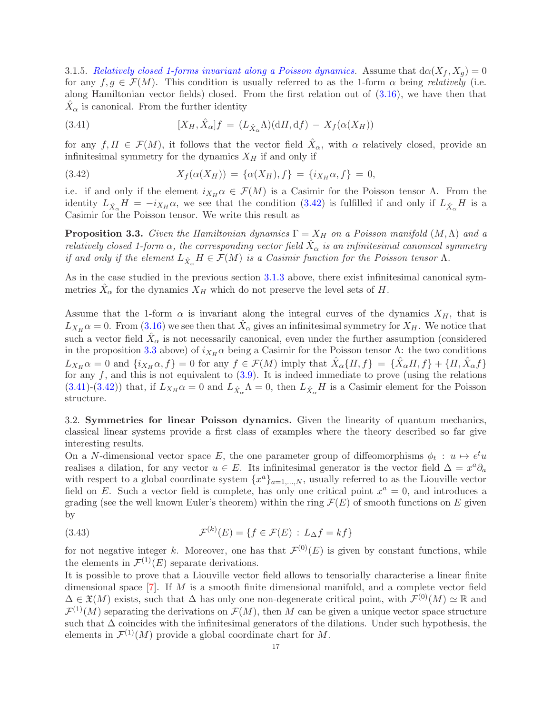3.1.5. Relatively closed 1-forms invariant along a Poisson dynamics. Assume that  $d\alpha(X_f, X_g) = 0$ for any  $f, g \in \mathcal{F}(M)$ . This condition is usually referred to as the 1-form  $\alpha$  being *relatively* (i.e. along Hamiltonian vector fields) closed. From the first relation out of [\(3.16\)](#page-10-2), we have then that  $\hat{X}_{\alpha}$  is canonical. From the further identity

<span id="page-16-3"></span>(3.41) 
$$
[X_H, \hat{X}_\alpha]f = (L_{\hat{X}_\alpha}\Lambda)(\mathrm{d}H, \mathrm{d}f) - X_f(\alpha(X_H))
$$

for any  $f, H \in \mathcal{F}(M)$ , it follows that the vector field  $\hat{X}_{\alpha}$ , with  $\alpha$  relatively closed, provide an infinitesimal symmetry for the dynamics  $X_H$  if and only if

<span id="page-16-1"></span>(3.42) 
$$
X_f(\alpha(X_H)) = {\alpha(X_H), f} = {i_{X_H}\alpha, f} = 0,
$$

i.e. if and only if the element  $i_{X_H} \alpha \in \mathcal{F}(M)$  is a Casimir for the Poisson tensor  $\Lambda$ . From the identity  $L_{\hat{X}_{\alpha}}H = -i_{X_H}\alpha$ , we see that the condition [\(3.42\)](#page-16-1) is fulfilled if and only if  $L_{\hat{X}_{\alpha}}H$  is a Casimir for the Poisson tensor. We write this result as

<span id="page-16-2"></span>**Proposition 3.3.** Given the Hamiltonian dynamics  $\Gamma = X_H$  on a Poisson manifold  $(M, \Lambda)$  and a relatively closed 1-form  $\alpha$ , the corresponding vector field  $\hat{X}_{\alpha}$  is an infinitesimal canonical symmetry if and only if the element  $L_{\hat{X}_\alpha}H \in \mathcal{F}(M)$  is a Casimir function for the Poisson tensor  $\Lambda$ .

As in the case studied in the previous section [3.1.3](#page-13-2) above, there exist infinitesimal canonical symmetries  $\hat{X}_{\alpha}$  for the dynamics  $X_H$  which do not preserve the level sets of H.

Assume that the 1-form  $\alpha$  is invariant along the integral curves of the dynamics  $X_H$ , that is  $L_{X_H} \alpha = 0$ . From [\(3.16\)](#page-10-2) we see then that  $\hat{X}_{\alpha}$  gives an infinitesimal symmetry for  $X_H$ . We notice that such a vector field  $\hat{X}_{\alpha}$  is not necessarily canonical, even under the further assumption (considered in the proposition [3.3](#page-16-2) above) of  $i_{X_H} \alpha$  being a Casimir for the Poisson tensor  $\Lambda$ : the two conditions  $L_{X_H} \alpha = 0$  and  $\{i_{X_H} \alpha, f\} = 0$  for any  $f \in \mathcal{F}(M)$  imply that  $\hat{X}_{\alpha} \{H, f\} = \{\hat{X}_{\alpha} H, f\} + \{H, \hat{X}_{\alpha} f\}$ for any  $f$ , and this is not equivalent to  $(3.9)$ . It is indeed immediate to prove (using the relations [\(3.41\)](#page-16-3)-[\(3.42\)](#page-16-1)) that, if  $L_{X_H} \alpha = 0$  and  $L_{\hat{X}_\alpha} \Lambda = 0$ , then  $L_{\hat{X}_\alpha} H$  is a Casimir element for the Poisson structure.

<span id="page-16-0"></span>3.2. Symmetries for linear Poisson dynamics. Given the linearity of quantum mechanics, classical linear systems provide a first class of examples where the theory described so far give interesting results.

On a N-dimensional vector space E, the one parameter group of diffeomorphisms  $\phi_t : u \mapsto e^t u$ realises a dilation, for any vector  $u \in E$ . Its infinitesimal generator is the vector field  $\Delta = x^a \partial_a$ with respect to a global coordinate system  $\{x^a\}_{a=1,\dots,N}$ , usually referred to as the Liouville vector field on E. Such a vector field is complete, has only one critical point  $x^a = 0$ , and introduces a grading (see the well known Euler's theorem) within the ring  $\mathcal{F}(E)$  of smooth functions on E given by

<span id="page-16-4"></span>(3.43) 
$$
\mathcal{F}^{(k)}(E) = \{f \in \mathcal{F}(E) : L_{\Delta}f = kf\}
$$

for not negative integer k. Moreover, one has that  $\mathcal{F}^{(0)}(E)$  is given by constant functions, while the elements in  $\mathcal{F}^{(1)}(E)$  separate derivations.

It is possible to prove that a Liouville vector field allows to tensorially characterise a linear finite dimensional space  $[7]$ . If M is a smooth finite dimensional manifold, and a complete vector field  $\Delta \in \mathfrak{X}(M)$  exists, such that  $\Delta$  has only one non-degenerate critical point, with  $\mathcal{F}^{(0)}(M) \simeq \mathbb{R}$  and  $\mathcal{F}^{(1)}(M)$  separating the derivations on  $\mathcal{F}(M)$ , then M can be given a unique vector space structure such that ∆ coincides with the infinitesimal generators of the dilations. Under such hypothesis, the elements in  $\mathcal{F}^{(1)}(M)$  provide a global coordinate chart for M.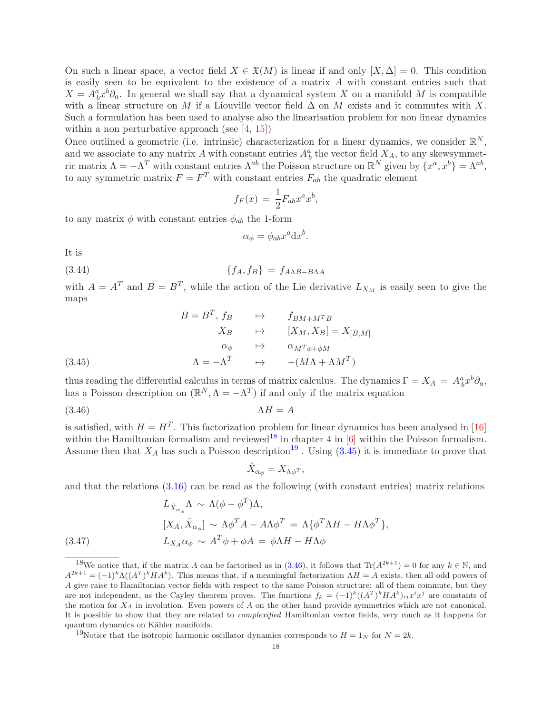On such a linear space, a vector field  $X \in \mathfrak{X}(M)$  is linear if and only  $[X, \Delta] = 0$ . This condition is easily seen to be equivalent to the existence of a matrix A with constant entries such that  $X = A_b^a x^b \partial_a$ . In general we shall say that a dynamical system X on a manifold M is compatible with a linear structure on M if a Liouville vector field  $\Delta$  on M exists and it commutes with X. Such a formulation has been used to analyse also the linearisation problem for non linear dynamics within a non perturbative approach (see  $[4, 15]$  $[4, 15]$ )

Once outlined a geometric (i.e. intrinsic) characterization for a linear dynamics, we consider  $\mathbb{R}^N$ , and we associate to any matrix A with constant entries  $A_b^a$  the vector field  $X_A$ , to any skewsymmetric matrix  $\Lambda = -\Lambda^T$  with constant entries  $\Lambda^{ab}$  the Poisson structure on  $\mathbb{R}^N$  given by  $\{x^a, x^b\} = \Lambda^{ab}$ , to any symmetric matrix  $F = F^T$  with constant entries  $F_{ab}$  the quadratic element

$$
f_F(x) = \frac{1}{2} F_{ab} x^a x^b,
$$

to any matrix  $\phi$  with constant entries  $\phi_{ab}$  the 1-form

<span id="page-17-5"></span>
$$
\alpha_{\phi} = \phi_{ab} x^a \mathrm{d} x^b.
$$

It is

$$
\{f_A, f_B\} = f_{A\Lambda B - B\Lambda A}
$$

with  $A = A^T$  and  $B = B^T$ , while the action of the Lie derivative  $L_{X_M}$  is easily seen to give the maps

(3.45) 
$$
B = B^{T}, f_{B} \longrightarrow f_{BM+M^{T}B} \nX_{B} \longrightarrow [X_{M}, X_{B}] = X_{[B,M]} \n\alpha_{\phi} \longrightarrow \alpha_{M^{T}\phi+\phi M} \n\Lambda = -\Lambda^{T} \longrightarrow -(M\Lambda + \Lambda M^{T})
$$

<span id="page-17-2"></span>thus reading the differential calculus in terms of matrix calculus. The dynamics  $\Gamma = X_A = A_b^a x^b \partial_a$ , has a Poisson description on  $(\mathbb{R}^N, \Lambda = -\Lambda^T)$  if and only if the matrix equation

 $(3.46)$   $\Lambda H = A$ 

is satisfied, with  $H = H<sup>T</sup>$ . This factorization problem for linear dynamics has been analysed in [\[16\]](#page-49-15) within the Hamiltonian formalism and reviewed<sup>[18](#page-17-0)</sup> in chapter 4 in  $[6]$  within the Poisson formalism. Assume then that  $X_A$  has such a Poisson description<sup>[19](#page-17-1)</sup>. Using [\(3.45\)](#page-17-2) it is immediate to prove that

<span id="page-17-3"></span>
$$
\hat{X}_{\alpha_{\phi}} = X_{\Lambda \phi^T},
$$

and that the relations  $(3.16)$  can be read as the following (with constant entries) matrix relations

(3.47) 
$$
L_{\hat{X}_{\alpha_{\phi}}} \Lambda \sim \Lambda(\phi - \phi^{T})\Lambda,
$$

$$
[X_{A}, \hat{X}_{\alpha_{\phi}}] \sim \Lambda \phi^{T} A - A\Lambda \phi^{T} = \Lambda \{\phi^{T} \Lambda H - H\Lambda \phi^{T}\},
$$

$$
L_{X_{A}} \alpha_{\phi} \sim A^{T} \phi + \phi A = \phi \Lambda H - H\Lambda \phi
$$

<span id="page-17-4"></span><span id="page-17-0"></span><sup>&</sup>lt;sup>18</sup>We notice that, if the matrix A can be factorised as in  $(3.46)$ , it follows that  $\text{Tr}(A^{2k+1}) = 0$  for any  $k \in \mathbb{N}$ , and  $A^{2k+1} = (-1)^k \Lambda((A^T)^k H A^k)$ . This means that, if a meaningful factorization  $\Lambda H = A$  exists, then all odd powers of A give raise to Hamiltonian vector fields with respect to the same Poisson structure: all of them commute, but they are not independent, as the Cayley theorem proves. The functions  $f_k = (-1)^k ((A^T)^k H A^k)_{ij} x^i x^j$  are constants of the motion for  $X_A$  in involution. Even powers of A on the other hand provide symmetries which are not canonical. It is possible to show that they are related to complexified Hamiltonian vector fields, very much as it happens for quantum dynamics on Kähler manifolds.

<span id="page-17-1"></span><sup>&</sup>lt;sup>19</sup>Notice that the isotropic harmonic oscillator dynamics corresponds to  $H = 1_N$  for  $N = 2k$ .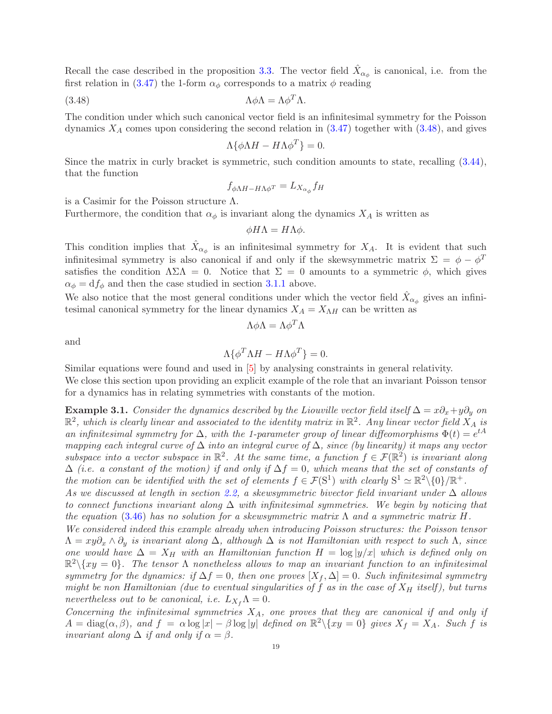Recall the case described in the proposition [3.3.](#page-16-2) The vector field  $\hat{X}_{\alpha_{\phi}}$  is canonical, i.e. from the first relation in [\(3.47\)](#page-17-4) the 1-form  $\alpha_{\phi}$  corresponds to a matrix  $\phi$  reading

(3.48) 
$$
\Lambda \phi \Lambda = \Lambda \phi^T \Lambda.
$$

The condition under which such canonical vector field is an infinitesimal symmetry for the Poisson dynamics  $X_A$  comes upon considering the second relation in  $(3.47)$  together with  $(3.48)$ , and gives

<span id="page-18-0"></span>
$$
\Lambda \{ \phi \Lambda H - H \Lambda \phi^T \} = 0.
$$

Since the matrix in curly bracket is symmetric, such condition amounts to state, recalling [\(3.44\)](#page-17-5), that the function

$$
f_{\phi \Lambda H - H \Lambda \phi^T} = L_{X_{\alpha_\phi}} f_H
$$

is a Casimir for the Poisson structure  $\Lambda$ .

Furthermore, the condition that  $\alpha_{\phi}$  is invariant along the dynamics  $X_A$  is written as

$$
\phi H\Lambda = H\Lambda \phi.
$$

This condition implies that  $\hat{X}_{\alpha_{\phi}}$  is an infinitesimal symmetry for  $X_A$ . It is evident that such infinitesimal symmetry is also canonical if and only if the skewsymmetric matrix  $\Sigma = \phi - \phi^T$ satisfies the condition  $\Lambda\Sigma\Lambda = 0$ . Notice that  $\Sigma = 0$  amounts to a symmetric  $\phi$ , which gives  $\alpha_{\phi} = df_{\phi}$  and then the case studied in section [3.1.1](#page-11-2) above.

We also notice that the most general conditions under which the vector field  $\hat{X}_{\alpha_{\phi}}$  gives an infinitesimal canonical symmetry for the linear dynamics  $X_A = X_{\Lambda H}$  can be written as

$$
\Lambda\phi\Lambda=\Lambda\phi^T\Lambda
$$

and

$$
\Lambda \{ \phi^T \Lambda H - H \Lambda \phi^T \} = 0.
$$

Similar equations were found and used in [\[5\]](#page-48-10) by analysing constraints in general relativity.

We close this section upon providing an explicit example of the role that an invariant Poisson tensor for a dynamics has in relating symmetries with constants of the motion.

<span id="page-18-1"></span>**Example 3.1.** Consider the dynamics described by the Liouville vector field itself  $\Delta = x\partial_x + y\partial_y$  on  $\mathbb{R}^2$ , which is clearly linear and associated to the identity matrix in  $\mathbb{R}^2$ . Any linear vector field  $X_A$  is an infinitesimal symmetry for  $\Delta$ , with the 1-parameter group of linear diffeomorphisms  $\Phi(t) = e^{tA}$ mapping each integral curve of  $\Delta$  into an integral curve of  $\Delta$ , since (by linearity) it maps any vector subspace into a vector subspace in  $\mathbb{R}^2$ . At the same time, a function  $f \in \mathcal{F}(\mathbb{R}^2)$  is invariant along  $\Delta$  (i.e. a constant of the motion) if and only if  $\Delta f = 0$ , which means that the set of constants of the motion can be identified with the set of elements  $f \in \mathcal{F}(\mathbb{S}^1)$  with clearly  $\mathbb{S}^1 \simeq \mathbb{R}^2 \setminus \{0\} / \mathbb{R}^+$ .

As we discussed at length in section [2.2,](#page-5-0) a skewsymmetric bivector field invariant under  $\Delta$  allows to connect functions invariant along  $\Delta$  with infinitesimal symmetries. We begin by noticing that the equation [\(3.46\)](#page-17-3) has no solution for a skewsymmetric matrix  $\Lambda$  and a symmetric matrix H.

We considered indeed this example already when introducing Poisson structures: the Poisson tensor  $\Lambda = xy\partial_x \wedge \partial_y$  is invariant along  $\Delta$ , although  $\Delta$  is not Hamiltonian with respect to such  $\Lambda$ , since one would have  $\Delta = X_H$  with an Hamiltonian function  $H = \log |y/x|$  which is defined only on  $\mathbb{R}^2 \setminus \{xy = 0\}$ . The tensor  $\Lambda$  nonetheless allows to map an invariant function to an infinitesimal symmetry for the dynamics: if  $\Delta f = 0$ , then one proves  $[X_f, \Delta] = 0$ . Such infinitesimal symmetry might be non Hamiltonian (due to eventual singularities of f as in the case of  $X_H$  itself), but turns nevertheless out to be canonical, i.e.  $L_{X_f}\Lambda = 0$ .

Concerning the infinitesimal symmetries  $X_A$ , one proves that they are canonical if and only if  $A = \text{diag}(\alpha, \beta)$ , and  $f = \alpha \log |x| - \beta \log |y|$  defined on  $\mathbb{R}^2 \setminus \{xy = 0\}$  gives  $X_f = X_A$ . Such f is invariant along  $\Delta$  if and only if  $\alpha = \beta$ .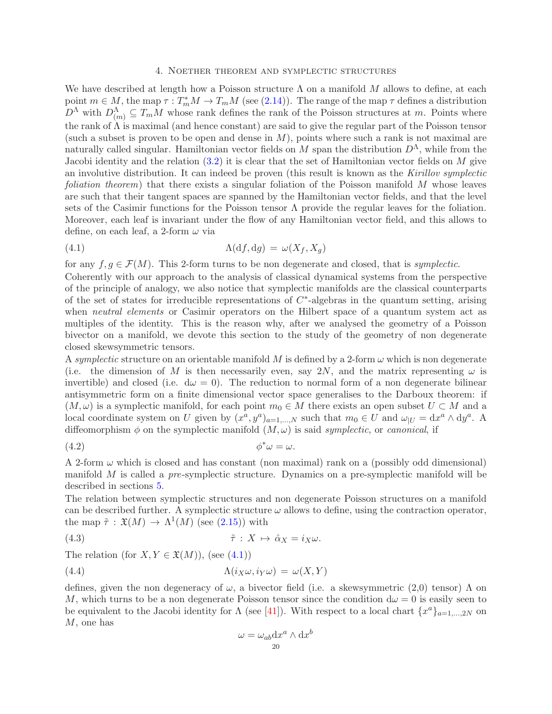### 4. Noether theorem and symplectic structures

<span id="page-19-0"></span>We have described at length how a Poisson structure  $\Lambda$  on a manifold M allows to define, at each point  $m \in M$ , the map  $\tau : T_m^*M \to T_mM$  (see [\(2.14\)](#page-5-2)). The range of the map  $\tau$  defines a distribution  $D^{\Lambda}$  with  $D^{\Lambda}_{(m)} \subseteq T_mM$  whose rank defines the rank of the Poisson structures at m. Points where the rank of  $\Lambda$  is maximal (and hence constant) are said to give the regular part of the Poisson tensor (such a subset is proven to be open and dense in  $M$ ), points where such a rank is not maximal are naturally called singular. Hamiltonian vector fields on M span the distribution  $D^{\Lambda}$ , while from the Jacobi identity and the relation  $(3.2)$  it is clear that the set of Hamiltonian vector fields on M give an involutive distribution. It can indeed be proven (this result is known as the Kirillov symplectic foliation theorem) that there exists a singular foliation of the Poisson manifold M whose leaves are such that their tangent spaces are spanned by the Hamiltonian vector fields, and that the level sets of the Casimir functions for the Poisson tensor  $\Lambda$  provide the regular leaves for the foliation. Moreover, each leaf is invariant under the flow of any Hamiltonian vector field, and this allows to define, on each leaf, a 2-form  $\omega$  via

<span id="page-19-1"></span>(4.1) 
$$
\Lambda(\mathrm{d}f, \mathrm{d}g) = \omega(X_f, X_g)
$$

for any  $f, g \in \mathcal{F}(M)$ . This 2-form turns to be non degenerate and closed, that is symplectic.

Coherently with our approach to the analysis of classical dynamical systems from the perspective of the principle of analogy, we also notice that symplectic manifolds are the classical counterparts of the set of states for irreducible representations of  $C^*$ -algebras in the quantum setting, arising when *neutral elements* or Casimir operators on the Hilbert space of a quantum system act as multiples of the identity. This is the reason why, after we analysed the geometry of a Poisson bivector on a manifold, we devote this section to the study of the geometry of non degenerate closed skewsymmetric tensors.

A symplectic structure on an orientable manifold M is defined by a 2-form  $\omega$  which is non degenerate (i.e. the dimension of M is then necessarily even, say 2N, and the matrix representing  $\omega$  is invertible) and closed (i.e.  $d\omega = 0$ ). The reduction to normal form of a non degenerate bilinear antisymmetric form on a finite dimensional vector space generalises to the Darboux theorem: if  $(M, \omega)$  is a symplectic manifold, for each point  $m_0 \in M$  there exists an open subset  $U \subset M$  and a local coordinate system on U given by  $(x^a, y^a)_{a=1,\dots,N}$  such that  $m_0 \in U$  and  $\omega_{|U} = dx^a \wedge dy^a$ . A diffeomorphism  $\phi$  on the symplectic manifold  $(M, \omega)$  is said *symplectic*, or *canonical*, if

$$
\phi^*\omega = \omega.
$$

A 2-form  $\omega$  which is closed and has constant (non maximal) rank on a (possibly odd dimensional) manifold M is called a pre-symplectic structure. Dynamics on a pre-symplectic manifold will be described in sections [5.](#page-39-0)

The relation between symplectic structures and non degenerate Poisson structures on a manifold can be described further. A symplectic structure  $\omega$  allows to define, using the contraction operator, the map  $\tilde{\tau}$  :  $\mathfrak{X}(M) \to \Lambda^1(M)$  (see [\(2.15\)](#page-5-3)) with

(4.3) 
$$
\tilde{\tau}: X \mapsto \hat{\alpha}_X = i_X \omega.
$$

The relation (for  $X, Y \in \mathfrak{X}(M)$ ), (see [\(4.1\)](#page-19-1))

(4.4) 
$$
\Lambda(i_X \omega, i_Y \omega) = \omega(X, Y)
$$

defines, given the non degeneracy of  $\omega$ , a bivector field (i.e. a skewsymmetric (2,0) tensor)  $\Lambda$  on M, which turns to be a non degenerate Poisson tensor since the condition  $d\omega = 0$  is easily seen to be equivalent to the Jacobi identity for  $\Lambda$  (see [\[41\]](#page-49-16)). With respect to a local chart  $\{x^a\}_{a=1,\dots,2N}$  on M, one has

<span id="page-19-3"></span><span id="page-19-2"></span>
$$
\omega = \omega_{ab} \mathrm{d} x^a \wedge \mathrm{d} x^b
$$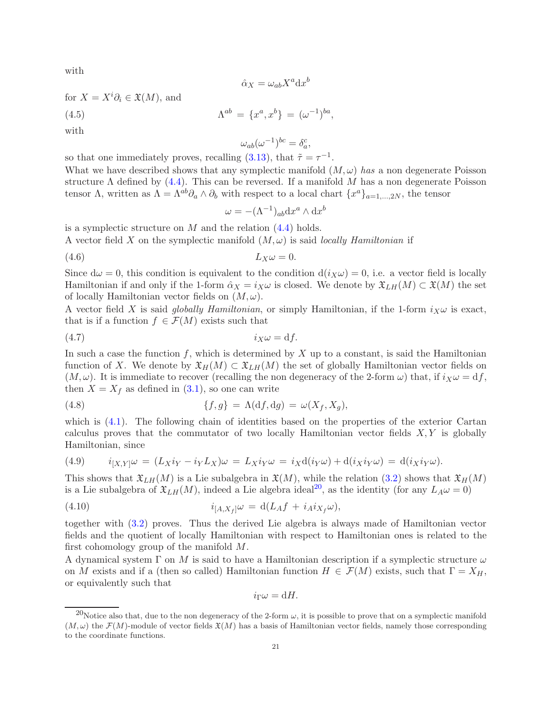with

$$
\hat\alpha_X=\omega_{ab}X^a\mathrm{d} x^b
$$

for  $X = X^i \partial_i \in \mathfrak{X}(M)$ , and (4.5)  $\Lambda^{ab} = \{x^a, x^b\} = (\omega^{-1})^{ba},$ 

with

<span id="page-20-1"></span>
$$
\omega_{ab}(\omega^{-1})^{bc}=\delta^c_a,
$$

so that one immediately proves, recalling [\(3.13\)](#page-10-1), that  $\tilde{\tau} = \tau^{-1}$ .

What we have described shows that any symplectic manifold  $(M, \omega)$  has a non degenerate Poisson structure  $\Lambda$  defined by [\(4.4\)](#page-19-2). This can be reversed. If a manifold M has a non degenerate Poisson tensor  $\Lambda$ , written as  $\Lambda = \Lambda^{ab}\partial_a \wedge \partial_b$  with respect to a local chart  $\{x^a\}_{a=1,\dots,2N}$ , the tensor

<span id="page-20-2"></span>
$$
\omega = -(\Lambda^{-1})_{ab} dx^a \wedge dx^b
$$

is a symplectic structure on  $M$  and the relation  $(4.4)$  holds.

A vector field X on the symplectic manifold  $(M, \omega)$  is said *locally Hamiltonian* if

$$
(4.6) \t\t\t L_X\omega = 0.
$$

Since  $d\omega = 0$ , this condition is equivalent to the condition  $d(i_X\omega) = 0$ , i.e. a vector field is locally Hamiltonian if and only if the 1-form  $\hat{\alpha}_X = i_X \omega$  is closed. We denote by  $\mathfrak{X}_{LH}(M) \subset \mathfrak{X}(M)$  the set of locally Hamiltonian vector fields on  $(M, \omega)$ .

A vector field X is said globally Hamiltonian, or simply Hamiltonian, if the 1-form  $i_X \omega$  is exact, that is if a function  $f \in \mathcal{F}(M)$  exists such that

$$
(4.7) \t\t i_X \omega = df.
$$

In such a case the function f, which is determined by  $X$  up to a constant, is said the Hamiltonian function of X. We denote by  $\mathfrak{X}_H(M) \subset \mathfrak{X}_{L}(\mathfrak{M})$  the set of globally Hamiltonian vector fields on  $(M, \omega)$ . It is immediate to recover (recalling the non degeneracy of the 2-form  $\omega$ ) that, if  $i_X \omega = df$ , then  $X = X_f$  as defined in  $(3.1)$ , so one can write

(4.8) 
$$
\{f,g\} = \Lambda(\mathrm{d}f,\mathrm{d}g) = \omega(X_f,X_g),
$$

which is  $(4.1)$ . The following chain of identities based on the properties of the exterior Cartan calculus proves that the commutator of two locally Hamiltonian vector fields  $X, Y$  is globally Hamiltonian, since

(4.9) 
$$
i_{[X,Y]}\omega = (L_X i_Y - i_Y L_X)\omega = L_X i_Y \omega = i_X d(i_Y \omega) + d(i_X i_Y \omega) = d(i_X i_Y \omega).
$$

This shows that  $\mathfrak{X}_{LH}(M)$  is a Lie subalgebra in  $\mathfrak{X}(M)$ , while the relation [\(3.2\)](#page-8-5) shows that  $\mathfrak{X}_{H}(M)$ is a Lie subalgebra of  $\mathfrak{X}_{LH}(M)$ , indeed a Lie algebra ideal<sup>[20](#page-20-0)</sup>, as the identity (for any  $L_A\omega = 0$ )

(4.10) 
$$
i_{[A,X_f]} \omega = d(L_A f + i_A i_{X_f} \omega),
$$

together with [\(3.2\)](#page-8-5) proves. Thus the derived Lie algebra is always made of Hamiltonian vector fields and the quotient of locally Hamiltonian with respect to Hamiltonian ones is related to the first cohomology group of the manifold M.

A dynamical system  $\Gamma$  on M is said to have a Hamiltonian description if a symplectic structure  $\omega$ on M exists and if a (then so called) Hamiltonian function  $H \in \mathcal{F}(M)$  exists, such that  $\Gamma = X_H$ , or equivalently such that

$$
i_{\Gamma}\omega=\mathrm{d}H.
$$

<span id="page-20-0"></span><sup>&</sup>lt;sup>20</sup>Notice also that, due to the non degeneracy of the 2-form  $\omega$ , it is possible to prove that on a symplectic manifold  $(M,\omega)$  the  $\mathcal{F}(M)$ -module of vector fields  $\mathfrak{X}(M)$  has a basis of Hamiltonian vector fields, namely those corresponding to the coordinate functions.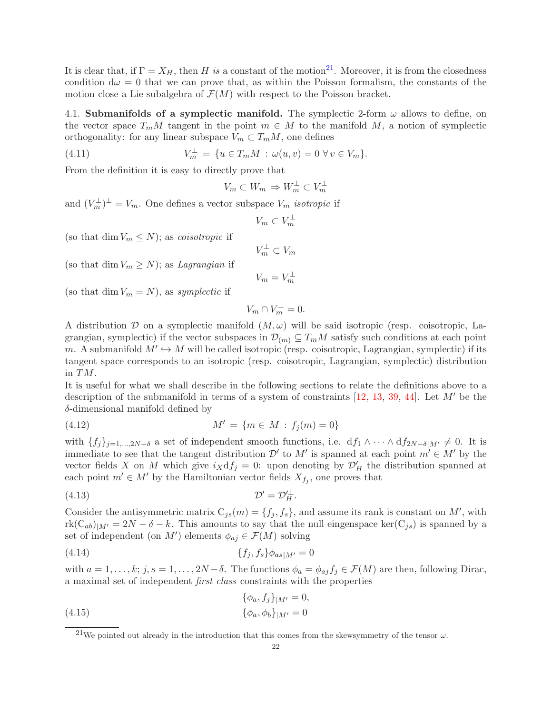It is clear that, if  $\Gamma = X_H$ , then H is a constant of the motion<sup>[21](#page-21-1)</sup>. Moreover, it is from the closedness condition  $d\omega = 0$  that we can prove that, as within the Poisson formalism, the constants of the motion close a Lie subalgebra of  $\mathcal{F}(M)$  with respect to the Poisson bracket.

<span id="page-21-0"></span>4.1. Submanifolds of a symplectic manifold. The symplectic 2-form  $\omega$  allows to define, on the vector space  $T_mM$  tangent in the point  $m \in M$  to the manifold M, a notion of symplectic orthogonality: for any linear subspace  $V_m \subset T_mM$ , one defines

(4.11) 
$$
V_m^{\perp} = \{ u \in T_m M : \omega(u, v) = 0 \,\forall v \in V_m \}.
$$

From the definition it is easy to directly prove that

<span id="page-21-5"></span>
$$
V_m \subset W_m \Rightarrow W_m^{\perp} \subset V_m^{\perp}
$$

and  $(V_m^{\perp})^{\perp} = V_m$ . One defines a vector subspace  $V_m$  isotropic if

$$
V_m \subset V_m^{\perp}
$$

(so that dim  $V_m \leq N$ ); as *coisotropic* if

(so that dim  $V_m \geq N$ ); as *Lagrangian* if

$$
V_m = V_m^{\perp}
$$

 $V_m^{\perp} \subset V_m$ 

(so that dim  $V_m = N$ ), as symplectic if

<span id="page-21-4"></span><span id="page-21-3"></span>
$$
V_m \cap V_m^{\perp} = 0.
$$

A distribution D on a symplectic manifold  $(M, \omega)$  will be said isotropic (resp. coisotropic, Lagrangian, symplectic) if the vector subspaces in  $\mathcal{D}_{(m)} \subseteq T_mM$  satisfy such conditions at each point m. A submanifold  $M' \hookrightarrow M$  will be called isotropic (resp. coisotropic, Lagrangian, symplectic) if its tangent space corresponds to an isotropic (resp. coisotropic, Lagrangian, symplectic) distribution in TM.

It is useful for what we shall describe in the following sections to relate the definitions above to a description of the submanifold in terms of a system of constraints [\[12,](#page-49-17) [13,](#page-49-18) [39,](#page-49-19) [44\]](#page-49-20). Let  $M'$  be the δ-dimensional manifold defined by

(4.12) 
$$
M' = \{m \in M : f_j(m) = 0\}
$$

with  $\{f_j\}_{j=1,\dots,2N-\delta}$  a set of independent smooth functions, i.e.  $df_1 \wedge \cdots \wedge df_{2N-\delta|M'} \neq 0$ . It is immediate to see that the tangent distribution  $\mathcal{D}'$  to  $M'$  is spanned at each point  $m' \in M'$  by the vector fields X on M which give  $i_X df_j = 0$ : upon denoting by  $\mathcal{D}'_H$  the distribution spanned at each point  $m' \in M'$  by the Hamiltonian vector fields  $X_{f_j}$ , one proves that

$$
(4.13)\t\t\t \mathcal{D}' = \mathcal{D}'^{\perp}_{H}.
$$

Consider the antisymmetric matrix  $C_{js}(m) = \{f_j, f_s\}$ , and assume its rank is constant on M', with  $rk(C_{ab})_{|M'}=2N-\delta-k$ . This amounts to say that the null eingenspace ker $(C_{js})$  is spanned by a set of independent (on  $M'$ ) elements  $\phi_{aj} \in \mathcal{F}(M)$  solving

(4.14) 
$$
\{f_j, f_s\} \phi_{as|M'} = 0
$$

with  $a = 1, \ldots, k; j, s = 1, \ldots, 2N - \delta$ . The functions  $\phi_a = \phi_{aj} f_j \in \mathcal{F}(M)$  are then, following Dirac, a maximal set of independent first class constraints with the properties

<span id="page-21-2"></span>(4.15) 
$$
\{\phi_a, f_j\}_{|M'} = 0,
$$

$$
\{\phi_a, \phi_b\}_{|M'} = 0
$$

<span id="page-21-1"></span><sup>&</sup>lt;sup>21</sup>We pointed out already in the introduction that this comes from the skewsymmetry of the tensor  $\omega$ .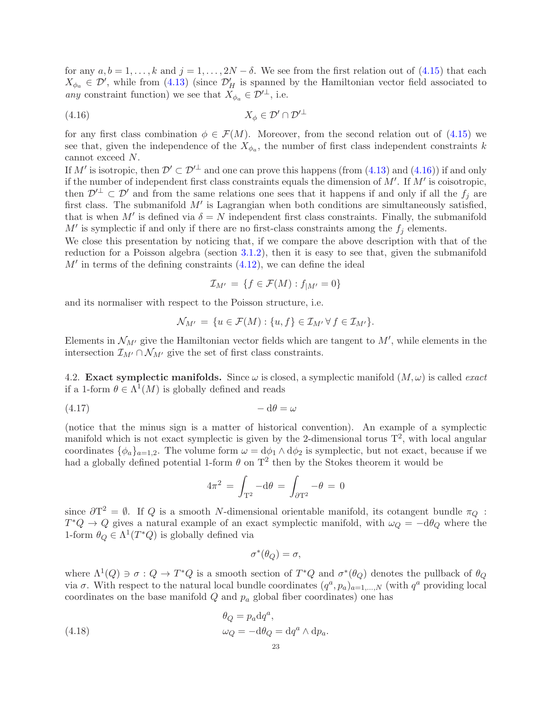for any  $a, b = 1, ..., k$  and  $j = 1, ..., 2N - \delta$ . We see from the first relation out of [\(4.15\)](#page-21-2) that each  $X_{\phi_a} \in \mathcal{D}'$ , while from [\(4.13\)](#page-21-3) (since  $\mathcal{D}'_H$  is spanned by the Hamiltonian vector field associated to any constraint function) we see that  $X_{\phi_a} \in \mathcal{D}'^{\perp}$ , i.e.

$$
(4.16)\t\t X_{\phi} \in \mathcal{D}' \cap \mathcal{D}'^{\perp}
$$

for any first class combination  $\phi \in \mathcal{F}(M)$ . Moreover, from the second relation out of [\(4.15\)](#page-21-2) we see that, given the independence of the  $X_{\phi_a}$ , the number of first class independent constraints k cannot exceed N.

If M' is isotropic, then  $\mathcal{D}' \subset \mathcal{D}'^{\perp}$  and one can prove this happens (from [\(4.13\)](#page-21-3) and [\(4.16\)](#page-22-1)) if and only if the number of independent first class constraints equals the dimension of  $M'$ . If  $M'$  is coisotropic, then  $\mathcal{D}'^{\perp} \subset \mathcal{D}'$  and from the same relations one sees that it happens if and only if all the  $f_i$  are first class. The submanifold  $M'$  is Lagrangian when both conditions are simultaneously satisfied, that is when M' is defined via  $\delta = N$  independent first class constraints. Finally, the submanifold  $M'$  is symplectic if and only if there are no first-class constraints among the  $f_j$  elements.

We close this presentation by noticing that, if we compare the above description with that of the reduction for a Poisson algebra (section [3.1.2\)](#page-12-3), then it is easy to see that, given the submanifold  $M'$  in terms of the defining constraints  $(4.12)$ , we can define the ideal

<span id="page-22-1"></span>
$$
\mathcal{I}_{M'} = \{ f \in \mathcal{F}(M) : f_{|M'} = 0 \}
$$

and its normaliser with respect to the Poisson structure, i.e.

$$
\mathcal{N}_{M'} = \{ u \in \mathcal{F}(M) : \{ u, f \} \in \mathcal{I}_{M'} \, \forall \, f \in \mathcal{I}_{M'} \}.
$$

Elements in  $\mathcal{N}_{M'}$  give the Hamiltonian vector fields which are tangent to  $M'$ , while elements in the intersection  $\mathcal{I}_{M'} \cap \mathcal{N}_{M'}$  give the set of first class constraints.

<span id="page-22-0"></span>4.2. Exact symplectic manifolds. Since  $\omega$  is closed, a symplectic manifold  $(M, \omega)$  is called *exact* if a 1-form  $\theta \in \Lambda^1(M)$  is globally defined and reads

$$
(4.17) \t - d\theta = \omega
$$

(notice that the minus sign is a matter of historical convention). An example of a symplectic manifold which is not exact symplectic is given by the 2-dimensional torus  $T^2$ , with local angular coordinates  $\{\phi_a\}_{a=1,2}$ . The volume form  $\omega = d\phi_1 \wedge d\phi_2$  is symplectic, but not exact, because if we had a globally defined potential 1-form  $\theta$  on  $T^2$  then by the Stokes theorem it would be

$$
4\pi^2 = \int_{\mathbf{T}^2} -\mathrm{d}\theta = \int_{\partial \mathbf{T}^2} -\theta = 0
$$

since  $\partial T^2 = \emptyset$ . If Q is a smooth N-dimensional orientable manifold, its cotangent bundle  $\pi_Q$ :  $T^*Q \to Q$  gives a natural example of an exact symplectic manifold, with  $\omega_Q = -d\theta_Q$  where the 1-form  $\theta_Q \in \Lambda^1(T^*Q)$  is globally defined via

$$
\sigma^*(\theta_Q) = \sigma,
$$

where  $\Lambda^1(Q) \ni \sigma : Q \to T^*Q$  is a smooth section of  $T^*Q$  and  $\sigma^*(\theta_Q)$  denotes the pullback of  $\theta_Q$ via  $\sigma$ . With respect to the natural local bundle coordinates  $(q^a, p_a)_{a=1,\dots,N}$  (with  $q^a$  providing local coordinates on the base manifold  $Q$  and  $p_a$  global fiber coordinates) one has

a

(4.18) 
$$
\theta_Q = p_a \mathrm{d} q^a,
$$

$$
\omega_Q = -\mathrm{d} \theta_Q = \mathrm{d} q^a \wedge \mathrm{d} p_a.
$$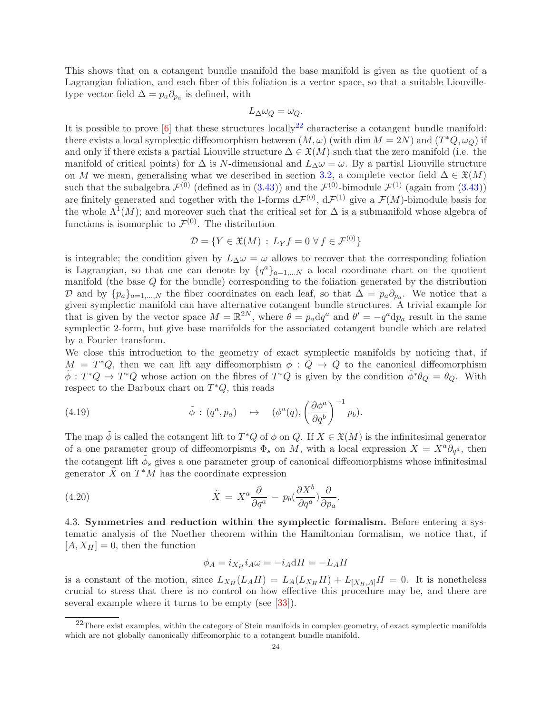This shows that on a cotangent bundle manifold the base manifold is given as the quotient of a Lagrangian foliation, and each fiber of this foliation is a vector space, so that a suitable Liouvilletype vector field  $\Delta = p_a \partial_{p_a}$  is defined, with

$$
L_{\Delta}\omega_Q=\omega_Q.
$$

It is possible to prove  $[6]$  that these structures locally<sup>[22](#page-23-1)</sup> characterise a cotangent bundle manifold: there exists a local symplectic diffeomorphism between  $(M, \omega)$  (with dim  $M = 2N$ ) and  $(T^*Q, \omega_Q)$  if and only if there exists a partial Liouville structure  $\Delta \in \mathfrak{X}(M)$  such that the zero manifold (i.e. the manifold of critical points) for  $\Delta$  is N-dimensional and  $L_{\Delta}\omega = \omega$ . By a partial Liouville structure on M we mean, generalising what we described in section [3.2,](#page-16-0) a complete vector field  $\Delta \in \mathfrak{X}(M)$ such that the subalgebra  $\mathcal{F}^{(0)}$  (defined as in [\(3.43\)](#page-16-4)) and the  $\mathcal{F}^{(0)}$ -bimodule  $\mathcal{F}^{(1)}$  (again from (3.43)) are finitely generated and together with the 1-forms  $d\mathcal{F}^{(0)}$ ,  $d\mathcal{F}^{(1)}$  give a  $\mathcal{F}(M)$ -bimodule basis for the whole  $\Lambda^1(M)$ ; and moreover such that the critical set for  $\Delta$  is a submanifold whose algebra of functions is isomorphic to  $\mathcal{F}^{(0)}$ . The distribution

$$
\mathcal{D} = \{ Y \in \mathfrak{X}(M) : L_Y f = 0 \,\forall \, f \in \mathcal{F}^{(0)} \}
$$

is integrable; the condition given by  $L_{\Delta}\omega = \omega$  allows to recover that the corresponding foliation is Lagrangian, so that one can denote by  $\{q^{a}\}_{a=1,...N}$  a local coordinate chart on the quotient manifold (the base Q for the bundle) corresponding to the foliation generated by the distribution D and by  $\{p_a\}_{a=1,\dots,N}$  the fiber coordinates on each leaf, so that  $\Delta = p_a \partial_{p_a}$ . We notice that a given symplectic manifold can have alternative cotangent bundle structures. A trivial example for that is given by the vector space  $M = \mathbb{R}^{2N}$ , where  $\theta = p_a dq^a$  and  $\theta' = -q^a dp_a$  result in the same symplectic 2-form, but give base manifolds for the associated cotangent bundle which are related by a Fourier transform.

We close this introduction to the geometry of exact symplectic manifolds by noticing that, if  $M = T^*Q$ , then we can lift any diffeomorphism  $\phi: Q \to Q$  to the canonical diffeomorphism  $\tilde{\phi}: T^*Q \to T^*Q$  whose action on the fibres of  $T^*Q$  is given by the condition  $\tilde{\phi}^*\theta_Q = \theta_Q$ . With respect to the Darboux chart on  $T^*Q$ , this reads

(4.19) 
$$
\tilde{\phi} : (q^a, p_a) \rightarrow (\phi^a(q), \left(\frac{\partial \phi^a}{\partial q^b}\right)^{-1} p_b).
$$

The map  $\tilde{\phi}$  is called the cotangent lift to  $T^*Q$  of  $\phi$  on Q. If  $X \in \mathfrak{X}(M)$  is the infinitesimal generator of a one parameter group of diffeomorpisms  $\Phi_s$  on M, with a local expression  $X = X^a \partial_{q^a}$ , then the cotangent lift  $\tilde{\phi}_s$  gives a one parameter group of canonical diffeomorphisms whose infinitesimal generator  $\tilde{X}$  on  $T^*M$  has the coordinate expression

(4.20) 
$$
\tilde{X} = X^a \frac{\partial}{\partial q^a} - p_b \left(\frac{\partial X^b}{\partial q^a}\right) \frac{\partial}{\partial p_a}.
$$

<span id="page-23-0"></span>4.3. Symmetries and reduction within the symplectic formalism. Before entering a systematic analysis of the Noether theorem within the Hamiltonian formalism, we notice that, if  $[A, X_H] = 0$ , then the function

$$
\phi_A = i_{X_H} i_A \omega = -i_A dH = -L_A H
$$

is a constant of the motion, since  $L_{X_H}(L_A H) = L_A(L_{X_H} H) + L_{[X_H, A]} H = 0$ . It is nonetheless crucial to stress that there is no control on how effective this procedure may be, and there are several example where it turns to be empty (see [\[33\]](#page-49-5)).

<span id="page-23-1"></span> $^{22}$ There exist examples, within the category of Stein manifolds in complex geometry, of exact symplectic manifolds which are not globally canonically diffeomorphic to a cotangent bundle manifold.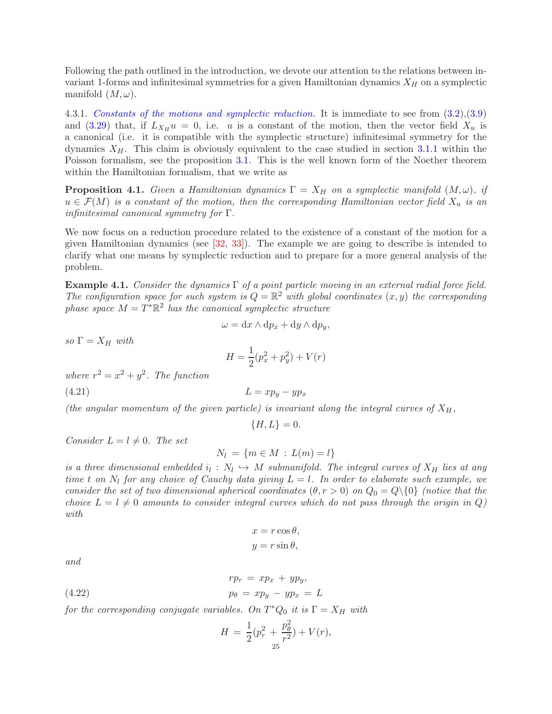Following the path outlined in the introduction, we devote our attention to the relations between invariant 1-forms and infinitesimal symmetries for a given Hamiltonian dynamics  $X_H$  on a symplectic manifold  $(M, \omega)$ .

4.3.1. Constants of the motions and symplectic reduction. It is immediate to see from  $(3.2),(3.9)$  $(3.2),(3.9)$ and [\(3.29\)](#page-13-3) that, if  $L_{X_H} u = 0$ , i.e. u is a constant of the motion, then the vector field  $X_u$  is a canonical (i.e. it is compatible with the symplectic structure) infinitesimal symmetry for the dynamics  $X_H$ . This claim is obviously equivalent to the case studied in section [3.1.1](#page-11-2) within the Poisson formalism, see the proposition [3.1.](#page-11-1) This is the well known form of the Noether theorem within the Hamiltonian formalism, that we write as

<span id="page-24-1"></span>**Proposition 4.1.** Given a Hamiltonian dynamics  $\Gamma = X_H$  on a symplectic manifold  $(M, \omega)$ , if  $u \in \mathcal{F}(M)$  is a constant of the motion, then the corresponding Hamiltonian vector field  $X_u$  is an infinitesimal canonical symmetry for Γ.

We now focus on a reduction procedure related to the existence of a constant of the motion for a given Hamiltonian dynamics (see [\[32,](#page-49-4) [33\]](#page-49-5)). The example we are going to describe is intended to clarify what one means by symplectic reduction and to prepare for a more general analysis of the problem.

<span id="page-24-0"></span>**Example 4.1.** Consider the dynamics  $\Gamma$  of a point particle moving in an external radial force field. The configuration space for such system is  $Q = \mathbb{R}^2$  with global coordinates  $(x, y)$  the corresponding phase space  $M = T^* \mathbb{R}^2$  has the canonical symplectic structure

$$
\omega = \mathrm{d}x \wedge \mathrm{d}p_x + \mathrm{d}y \wedge \mathrm{d}p_y,
$$

so  $\Gamma = X_H$  with

$$
H = \frac{1}{2}(p_x^2 + p_y^2) + V(r)
$$

where  $r^2 = x^2 + y^2$ . The function

$$
(4.21)\t\t\t L = xp_y - yp_x
$$

(the angular momentum of the given particle) is invariant along the integral curves of  $X_H$ ,

<span id="page-24-2"></span> ${H, L} = 0.$ 

Consider  $L = l \neq 0$ . The set

$$
N_l = \{m \in M : L(m) = l\}
$$

is a three dimensional embedded  $i_l : N_l \hookrightarrow M$  submanifold. The integral curves of  $X_H$  lies at any time t on  $N_l$  for any choice of Cauchy data giving  $L = l$ . In order to elaborate such example, we consider the set of two dimensional spherical coordinates  $(\theta, r > 0)$  on  $Q_0 = Q \setminus \{0\}$  (notice that the choice  $L = l \neq 0$  amounts to consider integral curves which do not pass through the origin in Q) with

$$
x = r \cos \theta,
$$
  

$$
y = r \sin \theta,
$$

and

(4.22) 
$$
rp_r = xp_x + yp_y,
$$

$$
p_\theta = xp_y - yp_x = L
$$

for the corresponding conjugate variables. On  $T^*Q_0$  it is  $\Gamma = X_H$  with

$$
H = \frac{1}{2}(p_r^2 + \frac{p_\theta^2}{r^2}) + V(r),
$$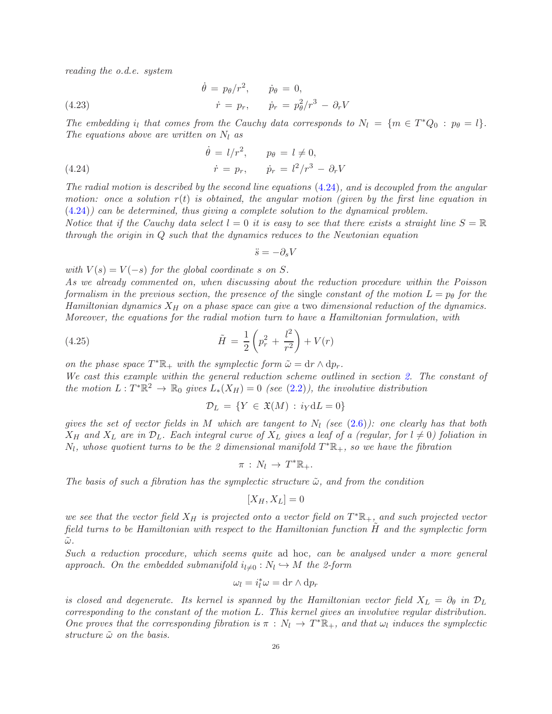reading the o.d.e. system

(4.23) 
$$
\dot{\theta} = p_{\theta}/r^2, \qquad \dot{p}_{\theta} = 0, \n\dot{r} = p_r, \qquad \dot{p}_r = p_{\theta}^2/r^3 - \partial_r V
$$

The embedding  $i_l$  that comes from the Cauchy data corresponds to  $N_l = \{m \in T^*Q_0 : p_\theta = l\}.$ The equations above are written on  $N_l$  as

<span id="page-25-0"></span>(4.24) 
$$
\dot{\theta} = l/r^2, \qquad p_{\theta} = l \neq 0, \n\dot{r} = p_r, \qquad \dot{p}_r = l^2/r^3 - \partial_r V
$$

The radial motion is described by the second line equations [\(4.24\)](#page-25-0), and is decoupled from the angular motion: once a solution  $r(t)$  is obtained, the angular motion (given by the first line equation in [\(4.24\)](#page-25-0)) can be determined, thus giving a complete solution to the dynamical problem.

Notice that if the Cauchy data select  $l = 0$  it is easy to see that there exists a straight line  $S = \mathbb{R}$ through the origin in Q such that the dynamics reduces to the Newtonian equation

$$
\ddot{s} = -\partial_s V
$$

with  $V(s) = V(-s)$  for the global coordinate s on S.

As we already commented on, when discussing about the reduction procedure within the Poisson formalism in the previous section, the presence of the single constant of the motion  $L = p_{\theta}$  for the Hamiltonian dynamics  $X_H$  on a phase space can give a two dimensional reduction of the dynamics. Moreover, the equations for the radial motion turn to have a Hamiltonian formulation, with

(4.25) 
$$
\tilde{H} = \frac{1}{2} \left( p_r^2 + \frac{l^2}{r^2} \right) + V(r)
$$

on the phase space  $T^*\mathbb{R}_+$  with the symplectic form  $\tilde{\omega} = dr \wedge dp_r$ .

We cast this example within the general reduction scheme outlined in section [2.](#page-2-0) The constant of the motion  $L: T^*\mathbb{R}^2 \to \mathbb{R}_0$  gives  $L_*(X_H) = 0$  (see [\(2.2\)](#page-3-3)), the involutive distribution

<span id="page-25-1"></span>
$$
\mathcal{D}_L = \{ Y \in \mathfrak{X}(M) : i_Y \mathrm{d}L = 0 \}
$$

gives the set of vector fields in M which are tangent to  $N_l$  (see [\(2.6\)](#page-3-4)): one clearly has that both  $X_H$  and  $X_L$  are in  $\mathcal{D}_L$ . Each integral curve of  $X_L$  gives a leaf of a (regular, for  $l \neq 0$ ) foliation in  $N_l$ , whose quotient turns to be the 2 dimensional manifold  $T^*\mathbb{R}_+$ , so we have the fibration

$$
\pi\,:\,N_l\,\to\,T^*\mathbb{R}_+.
$$

The basis of such a fibration has the symplectic structure  $\tilde{\omega}$ , and from the condition

$$
[X_H, X_L] = 0
$$

we see that the vector field  $X_H$  is projected onto a vector field on  $T^*\mathbb{R}_+$ , and such projected vector field turns to be Hamiltonian with respect to the Hamiltonian function H˜ and the symplectic form  $\tilde{\omega}$  .

Such a reduction procedure, which seems quite ad hoc, can be analysed under a more general approach. On the embedded submanifold  $i_{l\neq0}: N_l \hookrightarrow M$  the 2-form

$$
\omega_l=i_l^*\omega=\mathrm{d} r\wedge\mathrm{d} p_r
$$

is closed and degenerate. Its kernel is spanned by the Hamiltonian vector field  $X_L = \partial_\theta$  in  $\mathcal{D}_L$ corresponding to the constant of the motion L. This kernel gives an involutive regular distribution. One proves that the corresponding fibration is  $\pi : N_l \to T^*\mathbb{R}_+$ , and that  $\omega_l$  induces the symplectic structure  $\tilde{\omega}$  on the basis.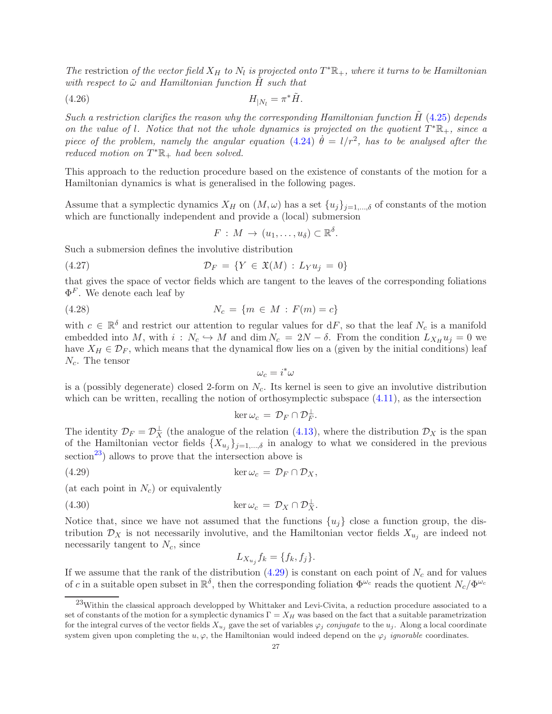The restriction of the vector field  $X_H$  to  $N_l$  is projected onto  $T^*\mathbb{R}_+$ , where it turns to be Hamiltonian with respect to  $\tilde{\omega}$  and Hamiltonian function H such that

$$
(4.26)\t\t\t H_{|N_l} = \pi^* \tilde{H}.
$$

Such a restriction clarifies the reason why the corresponding Hamiltonian function  $H(4.25)$  $H(4.25)$  depends on the value of l. Notice that not the whole dynamics is projected on the quotient  $T^*\mathbb{R}_+$ , since a piece of the problem, namely the angular equation [\(4.24\)](#page-25-0)  $\dot{\theta} = l/r^2$ , has to be analysed after the reduced motion on  $T^*\mathbb{R}_+$  had been solved.

This approach to the reduction procedure based on the existence of constants of the motion for a Hamiltonian dynamics is what is generalised in the following pages.

Assume that a symplectic dynamics  $X_H$  on  $(M, \omega)$  has a set  $\{u_j\}_{j=1,\dots,\delta}$  of constants of the motion which are functionally independent and provide a (local) submersion

<span id="page-26-2"></span> $F: M \to (u_1, \ldots, u_\delta) \subset \mathbb{R}^\delta.$ 

Such a submersion defines the involutive distribution

$$
(4.27) \t\t \mathcal{D}_F = \{ Y \in \mathfrak{X}(M) : L_Y u_j = 0 \}
$$

that gives the space of vector fields which are tangent to the leaves of the corresponding foliations  $\Phi^F$ . We denote each leaf by

(4.28) 
$$
N_c = \{m \in M : F(m) = c\}
$$

with  $c \in \mathbb{R}^{\delta}$  and restrict our attention to regular values for  $dF$ , so that the leaf  $N_c$  is a manifold embedded into M, with  $i: N_c \hookrightarrow M$  and  $\dim N_c = 2N - \delta$ . From the condition  $L_{X_H} u_j = 0$  we have  $X_H \in \mathcal{D}_F$ , which means that the dynamical flow lies on a (given by the initial conditions) leaf  $N_c$ . The tensor

 $\omega_c = i^*\omega$ 

is a (possibly degenerate) closed 2-form on  $N_c$ . Its kernel is seen to give an involutive distribution which can be written, recalling the notion of orthosymplectic subspace  $(4.11)$ , as the intersection

<span id="page-26-1"></span>
$$
\ker \omega_c = \mathcal{D}_F \cap \mathcal{D}_F^{\perp}.
$$

The identity  $\mathcal{D}_F = \mathcal{D}_X^{\perp}$  (the analogue of the relation [\(4.13\)](#page-21-3), where the distribution  $\mathcal{D}_X$  is the span of the Hamiltonian vector fields  $\{X_{u_j}\}_{j=1,\dots,\delta}$  in analogy to what we considered in the previous section<sup>[23](#page-26-0)</sup>) allows to prove that the intersection above is

(4.29) 
$$
\ker \omega_c = \mathcal{D}_F \cap \mathcal{D}_X,
$$

(at each point in  $N_c$ ) or equivalently

(4.30) 
$$
\ker \omega_c = \mathcal{D}_X \cap \mathcal{D}_X^{\perp}.
$$

Notice that, since we have not assumed that the functions  $\{u_i\}$  close a function group, the distribution  $\mathcal{D}_X$  is not necessarily involutive, and the Hamiltonian vector fields  $X_{u_j}$  are indeed not necessarily tangent to  $N_c$ , since

$$
L_{X_{u_j}} f_k = \{f_k, f_j\}.
$$

If we assume that the rank of the distribution  $(4.29)$  is constant on each point of  $N_c$  and for values of c in a suitable open subset in  $\mathbb{R}^{\delta}$ , then the corresponding foliation  $\Phi^{\omega_c}$  reads the quotient  $N_c/\Phi^{\omega_c}$ 

<span id="page-26-0"></span><sup>23</sup>Within the classical approach developped by Whittaker and Levi-Civita, a reduction procedure associated to a set of constants of the motion for a symplectic dynamics  $\Gamma = X_H$  was based on the fact that a suitable parametrization for the integral curves of the vector fields  $X_{u_i}$  gave the set of variables  $\varphi_j$  conjugate to the  $u_j$ . Along a local coordinate system given upon completing the  $u, \varphi$ , the Hamiltonian would indeed depend on the  $\varphi_i$  ignorable coordinates.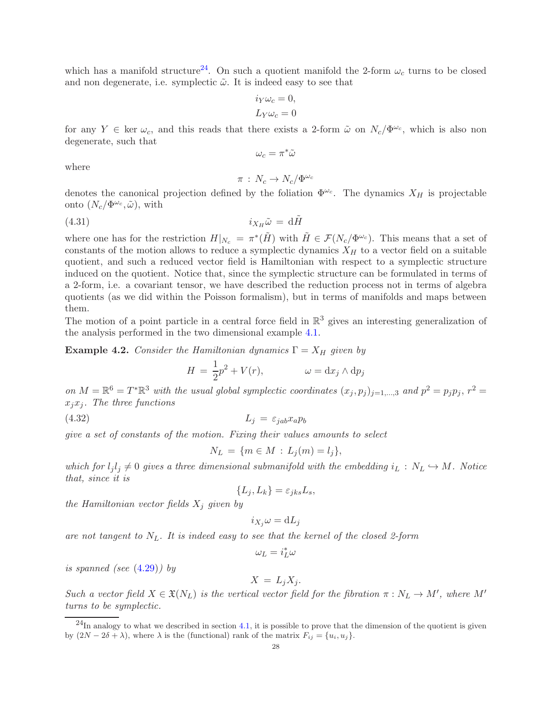which has a manifold structure<sup>[24](#page-27-0)</sup>. On such a quotient manifold the 2-form  $\omega_c$  turns to be closed and non degenerate, i.e. symplectic  $\tilde{\omega}$ . It is indeed easy to see that

$$
i_Y \omega_c = 0,
$$
  

$$
L_Y \omega_c = 0
$$

for any  $Y \in \text{ker } \omega_c$ , and this reads that there exists a 2-form  $\tilde{\omega}$  on  $N_c/\Phi^{\omega_c}$ , which is also non degenerate, such that

$$
\omega_c = \pi^* \tilde{\omega}
$$

where

<span id="page-27-2"></span>
$$
\pi\,:\,N_c\to N_c/\Phi^{\omega_c}
$$

denotes the canonical projection defined by the foliation  $\Phi^{\omega_c}$ . The dynamics  $X_H$  is projectable onto  $(N_c/\Phi^{\omega_c}, \tilde{\omega})$ , with

$$
(4.31)\t\t\t i_{X_H}\tilde{\omega} = d\tilde{H}
$$

where one has for the restriction  $H|_{N_c} = \pi^*(\tilde{H})$  with  $\tilde{H} \in \mathcal{F}(N_c/\Phi^{\omega_c})$ . This means that a set of constants of the motion allows to reduce a symplectic dynamics  $X_H$  to a vector field on a suitable quotient, and such a reduced vector field is Hamiltonian with respect to a symplectic structure induced on the quotient. Notice that, since the symplectic structure can be formulated in terms of a 2-form, i.e. a covariant tensor, we have described the reduction process not in terms of algebra quotients (as we did within the Poisson formalism), but in terms of manifolds and maps between them.

The motion of a point particle in a central force field in  $\mathbb{R}^3$  gives an interesting generalization of the analysis performed in the two dimensional example [4.1.](#page-24-0)

**Example 4.2.** Consider the Hamiltonian dynamics  $\Gamma = X_H$  given by

$$
H = \frac{1}{2}p^2 + V(r), \qquad \omega = dx_j \wedge dp_j
$$

on  $M = \mathbb{R}^6 = T^* \mathbb{R}^3$  with the usual global symplectic coordinates  $(x_j, p_j)_{j=1,\dots,3}$  and  $p^2 = p_j p_j$ ,  $r^2 =$  $x_i x_j$ . The three functions

$$
(4.32)\t\t\t\t\tL_j = \varepsilon_{jab} x_a p_b
$$

give a set of constants of the motion. Fixing their values amounts to select

<span id="page-27-1"></span>
$$
N_L = \{ m \in M : L_j(m) = l_j \},\
$$

which for  $l_i l_j \neq 0$  gives a three dimensional submanifold with the embedding  $i_L : N_L \hookrightarrow M$ . Notice that, since it is

$$
\{L_j, L_k\} = \varepsilon_{jks} L_s,
$$

the Hamiltonian vector fields  $X_i$  given by

$$
i_{X_j}\omega = dL_j
$$

are not tangent to  $N_L$ . It is indeed easy to see that the kernel of the closed 2-form

$$
\omega_L = i_L^* \omega
$$

is spanned (see [\(4.29\)](#page-26-1)) by

$$
X = L_j X_j.
$$

Such a vector field  $X \in \mathfrak{X}(N_L)$  is the vertical vector field for the fibration  $\pi : N_L \to M'$ , where  $M'$ turns to be symplectic.

<span id="page-27-0"></span> $^{24}$ In analogy to what we described in section [4.1,](#page-21-0) it is possible to prove that the dimension of the quotient is given by  $(2N - 2\delta + \lambda)$ , where  $\lambda$  is the (functional) rank of the matrix  $F_{ij} = \{u_i, u_j\}.$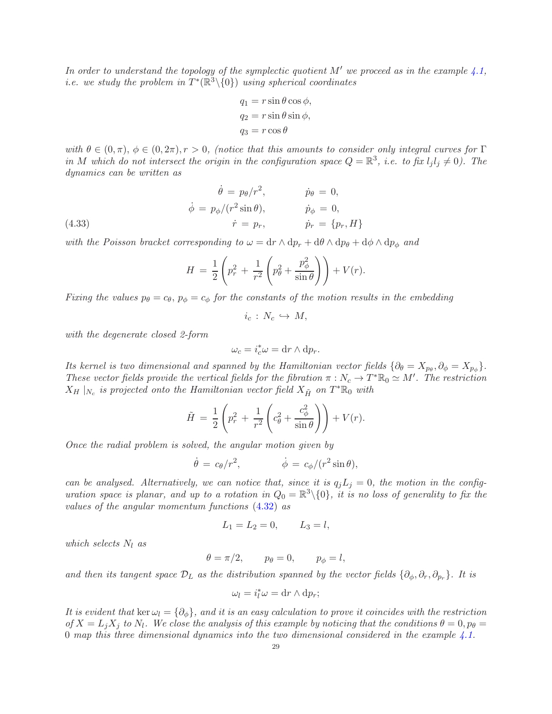In order to understand the topology of the symplectic quotient  $M'$  we proceed as in the example [4.1,](#page-24-0) *i.e.* we study the problem in  $T^*(\mathbb{R}^3 \setminus \{0\})$  using spherical coordinates

$$
q_1 = r \sin \theta \cos \phi,
$$
  
\n
$$
q_2 = r \sin \theta \sin \phi,
$$
  
\n
$$
q_3 = r \cos \theta
$$

with  $\theta \in (0, \pi), \phi \in (0, 2\pi), r > 0$ , (notice that this amounts to consider only integral curves for  $\Gamma$ in M which do not intersect the origin in the configuration space  $Q = \mathbb{R}^3$ , i.e. to fix  $l_j l_j \neq 0$ ). The dynamics can be written as

(4.33)  
\n
$$
\dot{\phi} = p_{\theta}/r^2, \qquad \dot{p}_{\theta} = 0,
$$
\n
$$
\dot{\phi} = p_{\phi}/(r^2 \sin \theta), \qquad \dot{p}_{\phi} = 0,
$$
\n
$$
\dot{r} = p_r, \qquad \dot{p}_r = \{p_r, H\}
$$

with the Poisson bracket corresponding to  $\omega = dr \wedge dp_r + d\theta \wedge dp_\theta + d\phi \wedge dp_\phi$  and

$$
H = \frac{1}{2} \left( p_r^2 + \frac{1}{r^2} \left( p_\theta^2 + \frac{p_\phi^2}{\sin \theta} \right) \right) + V(r).
$$

Fixing the values  $p_{\theta} = c_{\theta}$ ,  $p_{\phi} = c_{\phi}$  for the constants of the motion results in the embedding

 $i_c : N_c \hookrightarrow M$ ,

with the degenerate closed 2-form

$$
\omega_c = i_c^* \omega = \mathrm{d}r \wedge \mathrm{d}p_r.
$$

Its kernel is two dimensional and spanned by the Hamiltonian vector fields  $\{\partial_\theta = X_{p_\theta}, \partial_\phi = X_{p_\phi}\}$ . These vector fields provide the vertical fields for the fibration  $\pi : N_c \to T^* \mathbb{R}_0 \simeq M'$ . The restriction  $X_H\mid _{N_c}$  is projected onto the Hamiltonian vector field  $X_{\tilde{H}}$  on  $T^*\mathbb{R}_0$  with

$$
\tilde{H} = \frac{1}{2} \left( p_r^2 + \frac{1}{r^2} \left( c_\theta^2 + \frac{c_\phi^2}{\sin \theta} \right) \right) + V(r).
$$

Once the radial problem is solved, the angular motion given by

$$
\dot{\theta} = c_{\theta}/r^2, \qquad \dot{\phi} = c_{\phi}/(r^2 \sin \theta),
$$

can be analysed. Alternatively, we can notice that, since it is  $q_jL_j = 0$ , the motion in the configuration space is planar, and up to a rotation in  $Q_0 = \mathbb{R}^3 \setminus \{0\}$ , it is no loss of generality to fix the values of the angular momentum functions [\(4.32\)](#page-27-1) as

$$
L_1 = L_2 = 0, \qquad L_3 = l,
$$

which selects  $N_l$  as

$$
\theta = \pi/2, \qquad p_{\theta} = 0, \qquad p_{\phi} = l,
$$

and then its tangent space  $\mathcal{D}_L$  as the distribution spanned by the vector fields  $\{\partial_{\phi}, \partial_r, \partial_{p_r}\}$ . It is

$$
\omega_l = i_l^* \omega = \mathrm{d}r \wedge \mathrm{d}p_r;
$$

It is evident that ker  $\omega_l = \{\partial_{\phi}\}\$ , and it is an easy calculation to prove it coincides with the restriction of  $X = L_j X_j$  to  $N_l$ . We close the analysis of this example by noticing that the conditions  $\theta = 0$ ,  $p_\theta =$ 0 map this three dimensional dynamics into the two dimensional considered in the example  $\ddot{4}$ .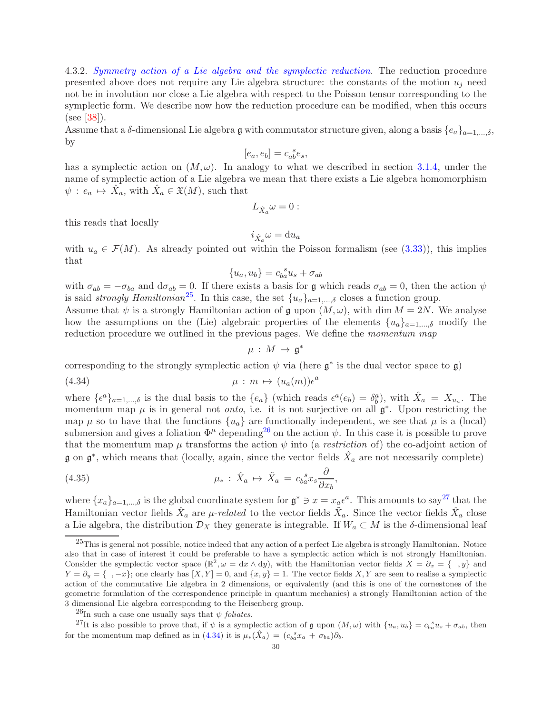4.3.2. Symmetry action of a Lie algebra and the symplectic reduction. The reduction procedure presented above does not require any Lie algebra structure: the constants of the motion  $u_j$  need not be in involution nor close a Lie algebra with respect to the Poisson tensor corresponding to the symplectic form. We describe now how the reduction procedure can be modified, when this occurs (see [\[38\]](#page-49-21)).

Assume that a  $\delta$ -dimensional Lie algebra g with commutator structure given, along a basis  $\{e_a\}_{a=1,\ldots,\delta}$ , by

$$
[e_a,e_b]=c_{ab}^{\phantom{ab}s}e_s,
$$

has a symplectic action on  $(M, \omega)$ . In analogy to what we described in section [3.1.4,](#page-14-4) under the name of symplectic action of a Lie algebra we mean that there exists a Lie algebra homomorphism  $\psi : e_a \mapsto \hat{X}_a$ , with  $\hat{X}_a \in \mathfrak{X}(M)$ , such that

$$
L_{\hat{X}_a}\omega=0:
$$

this reads that locally

$$
i_{\hat{X}_a}\omega = \mathrm{d}u_a
$$

with  $u_a \in \mathcal{F}(M)$ . As already pointed out within the Poisson formalism (see [\(3.33\)](#page-14-5)), this implies that

$$
\{u_a, u_b\} = c_{ba}^{\ s} u_s + \sigma_{ab}
$$

with  $\sigma_{ab} = -\sigma_{ba}$  and  $d\sigma_{ab} = 0$ . If there exists a basis for g which reads  $\sigma_{ab} = 0$ , then the action  $\psi$ is said *strongly Hamiltonian*<sup>[25](#page-29-0)</sup>. In this case, the set  $\{u_a\}_{a=1,\dots,\delta}$  closes a function group.

Assume that  $\psi$  is a strongly Hamiltonian action of g upon  $(M, \omega)$ , with dim  $M = 2N$ . We analyse how the assumptions on the (Lie) algebraic properties of the elements  ${u_a}_{a=1,\dots,\delta}$  modify the reduction procedure we outlined in the previous pages. We define the *momentum map* 

<span id="page-29-4"></span><span id="page-29-3"></span>
$$
\mu\,:\,M\,\rightarrow\,\mathfrak{g}^*
$$

corresponding to the strongly symplectic action  $\psi$  via (here  $\mathfrak{g}^*$  is the dual vector space to  $\mathfrak{g}$ )

(4.34) 
$$
\mu : m \mapsto (u_a(m))\epsilon^a
$$

where  $\{\epsilon^a\}_{a=1,\dots,\delta}$  is the dual basis to the  $\{e_a\}$  (which reads  $\epsilon^a(e_b) = \delta^a_b$ ), with  $\hat{X}_a = X_{u_a}$ . The momentum map  $\mu$  is in general not *onto*, i.e. it is not surjective on all  $\mathfrak{g}^*$ . Upon restricting the map  $\mu$  so to have that the functions  $\{u_a\}$  are functionally independent, we see that  $\mu$  is a (local) submersion and gives a foliation  $\Phi^{\mu}$  depending<sup>[26](#page-29-1)</sup> on the action  $\psi$ . In this case it is possible to prove that the momentum map  $\mu$  transforms the action  $\psi$  into (a *restriction* of) the co-adjoint action of  $\mathfrak g$  on  $\mathfrak g^*$ , which means that (locally, again, since the vector fields  $\hat X_a$  are not necessarily complete)

(4.35) 
$$
\mu_* : \hat{X}_a \mapsto \tilde{X}_a = c_{ba}^{\ s} x_s \frac{\partial}{\partial x_b},
$$

where  $\{x_a\}_{a=1,\dots,\delta}$  is the global coordinate system for  $\mathfrak{g}^* \ni x = x_{a} \epsilon^a$ . This amounts to say<sup>[27](#page-29-2)</sup> that the Hamiltonian vector fields  $\hat{X}_a$  are  $\mu$ -related to the vector fields  $\tilde{X}_a$ . Since the vector fields  $\hat{X}_a$  close a Lie algebra, the distribution  $\mathcal{D}_X$  they generate is integrable. If  $W_a \subset M$  is the  $\delta$ -dimensional leaf

<span id="page-29-0"></span> $^{25}$ This is general not possible, notice indeed that any action of a perfect Lie algebra is strongly Hamiltonian. Notice also that in case of interest it could be preferable to have a symplectic action which is not strongly Hamiltonian. Consider the symplectic vector space  $(\mathbb{R}^2, \omega = dx \wedge dy)$ , with the Hamiltonian vector fields  $X = \partial_x = \{\ ,y\}$  and  $Y = \partial_y = \{ \ , -x \};$  one clearly has  $[X, Y] = 0$ , and  $\{x, y\} = 1$ . The vector fields X, Y are seen to realise a symplectic action of the commutative Lie algebra in 2 dimensions, or equivalently (and this is one of the cornestones of the geometric formulation of the correspondence principle in quantum mechanics) a strongly Hamiltonian action of the 3 dimensional Lie algebra corresponding to the Heisenberg group.

<span id="page-29-1"></span><sup>&</sup>lt;sup>26</sup>In such a case one usually says that  $\psi$  foliates.

<span id="page-29-2"></span><sup>&</sup>lt;sup>27</sup>It is also possible to prove that, if  $\psi$  is a symplectic action of  $\mathfrak g$  upon  $(M, \omega)$  with  $\{u_a, u_b\} = c_{ba}^{s} u_s + \sigma_{ab}$ , then for the momentum map defined as in [\(4.34\)](#page-29-3) it is  $\mu_*(\hat{X}_a) = (c_{ba}^s x_a + \sigma_{ba})\partial_b$ .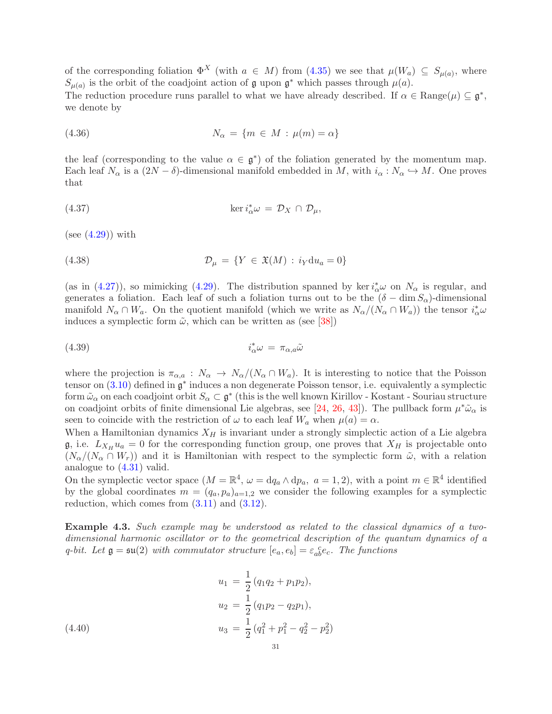of the corresponding foliation  $\Phi^X$  (with  $a \in M$ ) from [\(4.35\)](#page-29-4) we see that  $\mu(W_a) \subseteq S_{\mu(a)}$ , where  $S_{\mu(a)}$  is the orbit of the coadjoint action of  $\mathfrak g$  upon  $\mathfrak g^*$  which passes through  $\mu(a)$ .

The reduction procedure runs parallel to what we have already described. If  $\alpha \in \text{Range}(\mu) \subseteq \mathfrak{g}^*$ , we denote by

$$
(4.36) \t\t N_{\alpha} = \{m \in M : \mu(m) = \alpha\}
$$

the leaf (corresponding to the value  $\alpha \in \mathfrak{g}^*$ ) of the foliation generated by the momentum map. Each leaf  $N_{\alpha}$  is a  $(2N - \delta)$ -dimensional manifold embedded in M, with  $i_{\alpha}: N_{\alpha} \hookrightarrow M$ . One proves that

(4.37) 
$$
\ker i_{\alpha}^* \omega = \mathcal{D}_X \cap \mathcal{D}_{\mu},
$$

 $(see (4.29)) with$  $(see (4.29)) with$  $(see (4.29)) with$ 

<span id="page-30-0"></span>(4.38) 
$$
\mathcal{D}_{\mu} = \{ Y \in \mathfrak{X}(M) : i_Y \mathrm{d}u_a = 0 \}
$$

(as in [\(4.27\)](#page-26-2)), so mimicking [\(4.29\)](#page-26-1). The distribution spanned by ker  $i_{\alpha}^*\omega$  on  $N_{\alpha}$  is regular, and generates a foliation. Each leaf of such a foliation turns out to be the  $(\delta - \dim S_\alpha)$ -dimensional manifold  $N_\alpha \cap W_a$ . On the quotient manifold (which we write as  $N_\alpha/(N_\alpha \cap W_a)$ ) the tensor  $i^*_\alpha \omega$ induces a symplectic form  $\tilde{\omega}$ , which can be written as (see [\[38\]](#page-49-21))

$$
(4.39) \t\t i_{\alpha}^* \omega = \pi_{\alpha,a} \tilde{\omega}
$$

where the projection is  $\pi_{\alpha,a}: N_\alpha \to N_\alpha/(N_\alpha \cap W_a)$ . It is interesting to notice that the Poisson tensor on  $(3.10)$  defined in  $\mathfrak{g}^*$  induces a non degenerate Poisson tensor, i.e. equivalently a symplectic form  $\tilde{\omega}_{\alpha}$  on each coadjoint orbit  $S_{\alpha} \subset \mathfrak{g}^*$  (this is the well known Kirillov - Kostant - Souriau structure on coadjoint orbits of finite dimensional Lie algebras, see [\[24,](#page-49-22) [26,](#page-49-23) [43\]](#page-49-24)). The pullback form  $\mu^*\tilde{\omega}_{\alpha}$  is seen to coincide with the restriction of  $\omega$  to each leaf  $W_a$  when  $\mu(a) = \alpha$ .

When a Hamiltonian dynamics  $X_H$  is invariant under a strongly simplectic action of a Lie algebra  $\mathfrak{g}$ , i.e.  $L_{X_H} u_a = 0$  for the corresponding function group, one proves that  $X_H$  is projectable onto  $(N_{\alpha}/(N_{\alpha} \cap W_r))$  and it is Hamiltonian with respect to the symplectic form  $\tilde{\omega}$ , with a relation analogue to [\(4.31\)](#page-27-2) valid.

On the symplectic vector space  $(M = \mathbb{R}^4, \omega = dq_a \wedge dp_a, a = 1, 2)$ , with a point  $m \in \mathbb{R}^4$  identified by the global coordinates  $m = (q_a, p_a)_{a=1,2}$  we consider the following examples for a symplectic reduction, which comes from  $(3.11)$  and  $(3.12)$ .

<span id="page-30-1"></span>Example 4.3. Such example may be understood as related to the classical dynamics of a twodimensional harmonic oscillator or to the geometrical description of the quantum dynamics of a q-bit. Let  $\mathfrak{g} = \mathfrak{su}(2)$  with commutator structure  $[e_a, e_b] = \varepsilon_{ab}^{\ c} e_c$ . The functions

<span id="page-30-2"></span>(4.40)  
\n
$$
u_1 = \frac{1}{2} (q_1 q_2 + p_1 p_2),
$$
\n
$$
u_2 = \frac{1}{2} (q_1 p_2 - q_2 p_1),
$$
\n
$$
u_3 = \frac{1}{2} (q_1^2 + p_1^2 - q_2^2 - p_2^2)
$$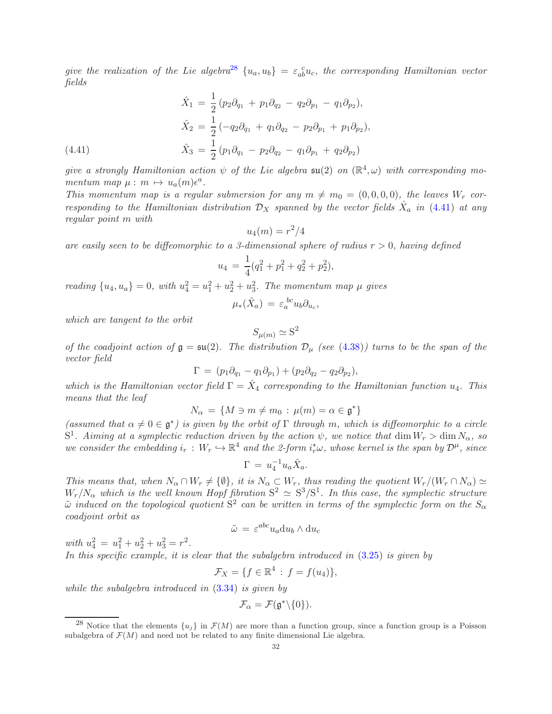give the realization of the Lie algebra<sup>[28](#page-31-0)</sup>  $\{u_a, u_b\} = \varepsilon_{ab}^c u_c$ , the corresponding Hamiltonian vector fields

(4.41) 
$$
\hat{X}_1 = \frac{1}{2} (p_2 \partial_{q_1} + p_1 \partial_{q_2} - q_2 \partial_{p_1} - q_1 \partial_{p_2}),
$$

$$
\hat{X}_2 = \frac{1}{2} (-q_2 \partial_{q_1} + q_1 \partial_{q_2} - p_2 \partial_{p_1} + p_1 \partial_{p_2}),
$$

$$
\hat{X}_3 = \frac{1}{2} (p_1 \partial_{q_1} - p_2 \partial_{q_2} - q_1 \partial_{p_1} + q_2 \partial_{p_2})
$$

<span id="page-31-1"></span>give a strongly Hamiltonian action  $\psi$  of the Lie algebra  $\mathfrak{su}(2)$  on  $(\mathbb{R}^4,\omega)$  with corresponding momentum map  $\mu : m \mapsto u_a(m)\epsilon^a$ .

This momentum map is a regular submersion for any  $m \neq m_0 = (0, 0, 0, 0)$ , the leaves  $W_r$  corresponding to the Hamiltonian distribution  $\mathcal{D}_X$  spanned by the vector fields  $\hat{X}_a$  in [\(4.41\)](#page-31-1) at any regular point m with

$$
u_4(m) = r^2/4
$$

are easily seen to be diffeomorphic to a 3-dimensional sphere of radius  $r > 0$ , having defined

$$
u_4 = \frac{1}{4}(q_1^2 + p_1^2 + q_2^2 + p_2^2),
$$

reading  $\{u_4, u_4\} = 0$ , with  $u_4^2 = u_1^2 + u_2^2 + u_3^2$ . The momentum map  $\mu$  gives

$$
\mu_*(\hat{X}_a) = \varepsilon_a^{bc} u_b \partial_{u_c},
$$

which are tangent to the orbit

$$
S_{\mu(m)} \simeq \mathrm{S}^2
$$

of the coadjoint action of  $\mathfrak{g} = \mathfrak{su}(2)$ . The distribution  $\mathcal{D}_{\mu}$  (see [\(4.38\)](#page-30-0)) turns to be the span of the vector field

$$
\Gamma = (p_1 \partial_{q_1} - q_1 \partial_{p_1}) + (p_2 \partial_{q_2} - q_2 \partial_{p_2}),
$$

which is the Hamiltonian vector field  $\Gamma = \hat{X}_4$  corresponding to the Hamiltonian function  $u_4$ . This means that the leaf

$$
N_{\alpha} = \{ M \ni m \neq m_0 : \mu(m) = \alpha \in \mathfrak{g}^* \}
$$

(assumed that  $\alpha \neq 0 \in \mathfrak{g}^*$ ) is given by the orbit of  $\Gamma$  through m, which is diffeomorphic to a circle  $S^1$ . Aiming at a symplectic reduction driven by the action  $\psi$ , we notice that  $\dim W_r > \dim N_\alpha$ , so we consider the embedding  $i_r : W_r \hookrightarrow \mathbb{R}^4$  and the 2-form  $i_r^*\omega$ , whose kernel is the span by  $\mathcal{D}^{\mu}$ , since

$$
\Gamma = u_4^{-1} u_a \hat{X}_a.
$$

This means that, when  $N_{\alpha} \cap W_r \neq \{ \emptyset \}$ , it is  $N_{\alpha} \subset W_r$ , thus reading the quotient  $W_r/(W_r \cap N_{\alpha}) \simeq$  $W_r/N_\alpha$  which is the well known Hopf fibration  $S^2 \simeq S^3/S^1$ . In this case, the symplectic structure  $\tilde{\omega}$  induced on the topological quotient  $\mathrm{S}^2$  can be written in terms of the symplectic form on the  $S_\alpha$ coadjoint orbit as

$$
\tilde{\omega} = \varepsilon^{abc} u_a \mathrm{d}u_b \wedge \mathrm{d}u_c
$$

with  $u_4^2 = u_1^2 + u_2^2 + u_3^2 = r^2$ . In this specific example, it is clear that the subalgebra introduced in  $(3.25)$  is given by

$$
\mathcal{F}_X = \{ f \in \mathbb{R}^4 : f = f(u_4) \},
$$

while the subalgebra introduced in [\(3.34\)](#page-14-3) is given by

$$
\mathcal{F}_{\alpha}=\mathcal{F}(\mathfrak{g}^*\backslash\{0\}).
$$

<span id="page-31-0"></span><sup>&</sup>lt;sup>28</sup> Notice that the elements  $\{u_i\}$  in  $\mathcal{F}(M)$  are more than a function group, since a function group is a Poisson subalgebra of  $\mathcal{F}(M)$  and need not be related to any finite dimensional Lie algebra.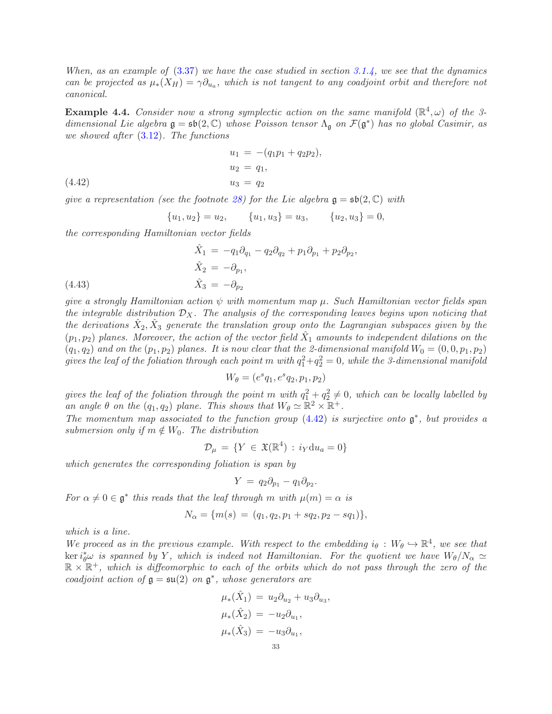When, as an example of  $(3.37)$  we have the case studied in section [3.1.4,](#page-14-4) we see that the dynamics can be projected as  $\mu_*(X_H) = \gamma \partial_{u_a}$ , which is not tangent to any coadjoint orbit and therefore not canonical.

<span id="page-32-1"></span>**Example 4.4.** Consider now a strong symplectic action on the same manifold  $(\mathbb{R}^4,\omega)$  of the 3dimensional Lie algebra  $\mathfrak{g} = \mathfrak{sb}(2, \mathbb{C})$  whose Poisson tensor  $\Lambda_{\mathfrak{g}}$  on  $\mathcal{F}(\mathfrak{g}^*)$  has no global Casimir, as we showed after [\(3.12\)](#page-10-4). The functions

(4.42) 
$$
u_1 = -(q_1p_1 + q_2p_2), u_2 = q_1, u_3 = q_2
$$

<span id="page-32-0"></span>qive a representation (see the footnote [28\)](#page-31-0) for the Lie algebra  $\mathfrak{g} = \mathfrak{sh}(2, \mathbb{C})$  with

$$
{u_1, u_2} = u_2, \qquad {u_1, u_3} = u_3, \qquad {u_2, u_3} = 0,
$$

the corresponding Hamiltonian vector fields

(4.43) 
$$
\hat{X}_1 = -q_1 \partial_{q_1} - q_2 \partial_{q_2} + p_1 \partial_{p_1} + p_2 \partial_{p_2},
$$

$$
\hat{X}_2 = -\partial_{p_1},
$$

$$
\hat{X}_3 = -\partial_{p_2}
$$

give a strongly Hamiltonian action  $\psi$  with momentum map  $\mu$ . Such Hamiltonian vector fields span the integrable distribution  $\mathcal{D}_X$ . The analysis of the corresponding leaves begins upon noticing that the derivations  $\hat{X}_2, \hat{X}_3$  generate the translation group onto the Lagrangian subspaces given by the  $(p_1, p_2)$  planes. Moreover, the action of the vector field  $\hat{X}_1$  amounts to independent dilations on the  $(q_1, q_2)$  and on the  $(p_1, p_2)$  planes. It is now clear that the 2-dimensional manifold  $W_0 = (0, 0, p_1, p_2)$ gives the leaf of the foliation through each point m with  $q_1^2+q_2^2=0$ , while the 3-dimensional manifold

$$
W_{\theta} = (e^{s}q_1, e^{s}q_2, p_1, p_2)
$$

gives the leaf of the foliation through the point m with  $q_1^2 + q_2^2 \neq 0$ , which can be locally labelled by an angle  $\theta$  on the  $(q_1, q_2)$  plane. This shows that  $W_{\theta} \simeq \mathbb{R}^2 \times \mathbb{R}^+$ .

The momentum map associated to the function group  $(4.42)$  is surjective onto  $\mathfrak{g}^*$ , but provides a submersion only if  $m \notin W_0$ . The distribution

$$
\mathcal{D}_{\mu} = \{ Y \in \mathfrak{X}(\mathbb{R}^4) : i_Y \mathrm{d}u_a = 0 \}
$$

which generates the corresponding foliation is span by

$$
Y = q_2 \partial_{p_1} - q_1 \partial_{p_2}.
$$

For  $\alpha \neq 0 \in \mathfrak{g}^*$  this reads that the leaf through m with  $\mu(m) = \alpha$  is

$$
N_{\alpha} = \{m(s) = (q_1, q_2, p_1 + sq_2, p_2 - sq_1)\},\
$$

which is a line.

We proceed as in the previous example. With respect to the embedding  $i_{\theta}: W_{\theta} \hookrightarrow \mathbb{R}^4$ , we see that  $\ker i_{\theta}^{*}\omega$  is spanned by Y, which is indeed not Hamiltonian. For the quotient we have  $W_{\theta}/N_{\alpha} \simeq$  $\mathbb{R}\times\mathbb{R}^+$ , which is diffeomorphic to each of the orbits which do not pass through the zero of the coadjoint action of  $\mathfrak{g} = \mathfrak{su}(2)$  on  $\mathfrak{g}^*$ , whose generators are

,

$$
\mu_*(\hat{X}_1) = u_2 \partial_{u_2} + u_3 \partial_{u_3}
$$
  

$$
\mu_*(\hat{X}_2) = -u_2 \partial_{u_1},
$$
  

$$
\mu_*(\hat{X}_3) = -u_3 \partial_{u_1},
$$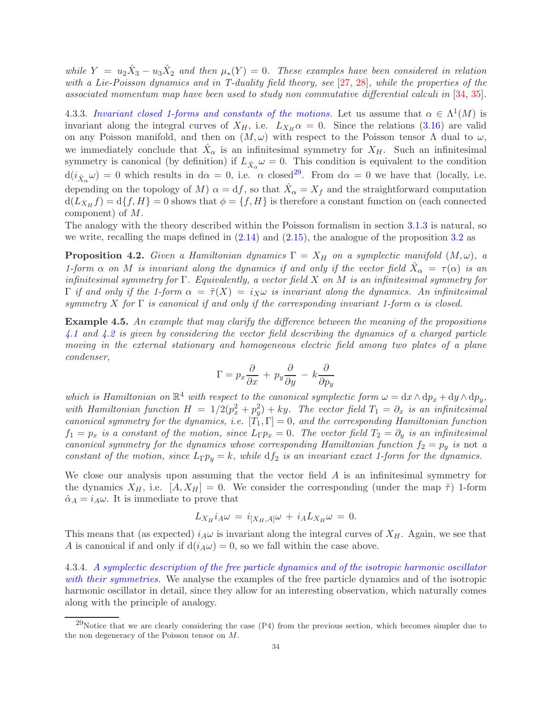while  $Y = u_2\hat{X}_3 - u_3\hat{X}_2$  and then  $\mu_*(Y) = 0$ . These examples have been considered in relation with a Lie-Poisson dynamics and in T-duality field theory, see [\[27,](#page-49-25) [28\]](#page-49-26), while the properties of the associated momentum map have been used to study non commutative differential calculi in [\[34,](#page-49-27) [35\]](#page-49-28).

4.3.3. Invariant closed 1-forms and constants of the motions. Let us assume that  $\alpha \in \Lambda^1(M)$  is invariant along the integral curves of  $X_H$ , i.e.  $L_{X_H} \alpha = 0$ . Since the relations [\(3.16\)](#page-10-2) are valid on any Poisson manifold, and then on  $(M, \omega)$  with respect to the Poisson tensor  $\Lambda$  dual to  $\omega$ , we immediately conclude that  $\hat{X}_{\alpha}$  is an infinitesimal symmetry for  $X_H$ . Such an infinitesimal symmetry is canonical (by definition) if  $L_{\hat{X}_{\alpha}}\omega = 0$ . This condition is equivalent to the condition  $d(i_{\hat{X}_{\alpha}}\omega) = 0$  which results in  $d\alpha = 0$ , i.e.  $\alpha$  closed<sup>[29](#page-33-0)</sup>. From  $d\alpha = 0$  we have that (locally, i.e. depending on the topology of M)  $\alpha = df$ , so that  $\hat{X}_{\alpha} = X_f$  and the straightforward computation  $d(L_{X_H} f) = d\{f, H\} = 0$  shows that  $\phi = \{f, H\}$  is therefore a constant function on (each connected component) of M.

The analogy with the theory described within the Poisson formalism in section [3.1.3](#page-13-2) is natural, so we write, recalling the maps defined in  $(2.14)$  and  $(2.15)$ , the analogue of the proposition [3.2](#page-13-5) as

<span id="page-33-1"></span>**Proposition 4.2.** Given a Hamiltonian dynamics  $\Gamma = X_H$  on a symplectic manifold  $(M, \omega)$ , a 1-form  $\alpha$  on M is invariant along the dynamics if and only if the vector field  $\hat{X}_{\alpha} = \tau(\alpha)$  is an infinitesimal symmetry for Γ. Equivalently, a vector field X on M is an infinitesimal symmetry for  $\Gamma$  if and only if the 1-form  $\alpha = \tilde{\tau}(X) = i_X \omega$  is invariant along the dynamics. An infinitesimal symmetry X for  $\Gamma$  is canonical if and only if the corresponding invariant 1-form  $\alpha$  is closed.

<span id="page-33-3"></span>Example 4.5. An example that may clarify the difference between the meaning of the propositions [4.1](#page-24-1) and [4.2](#page-33-1) is given by considering the vector field describing the dynamics of a charged particle moving in the external stationary and homogeneous electric field among two plates of a plane condenser,

$$
\Gamma = p_x \frac{\partial}{\partial x} + p_y \frac{\partial}{\partial y} - k \frac{\partial}{\partial p_y}
$$

which is Hamiltonian on  $\mathbb{R}^4$  with respect to the canonical symplectic form  $\omega = dx \wedge dp_x + dy \wedge dp_y$ , with Hamiltonian function  $H = 1/2(p_x^2 + p_y^2) + ky$ . The vector field  $T_1 = \partial_x$  is an infinitesimal canonical symmetry for the dynamics, i.e.  $[T_1, \Gamma] = 0$ , and the corresponding Hamiltonian function  $f_1 = p_x$  is a constant of the motion, since  $L_{\Gamma} p_x = 0$ . The vector field  $T_2 = \partial_y$  is an infinitesimal canonical symmetry for the dynamics whose corresponding Hamiltonian function  $f_2 = p_y$  is not a constant of the motion, since  $L_{\Gamma}p_y = k$ , while  $df_2$  is an invariant exact 1-form for the dynamics.

We close our analysis upon assuming that the vector field A is an infinitesimal symmetry for the dynamics  $X_H$ , i.e.  $[A, X_H] = 0$ . We consider the corresponding (under the map  $\tilde{\tau}$ ) 1-form  $\hat{\alpha}_A = i_A \omega$ . It is immediate to prove that

$$
L_{X_H} i_A \omega = i_{[X_H, A]} \omega + i_A L_{X_H} \omega = 0.
$$

This means that (as expected)  $i_A\omega$  is invariant along the integral curves of  $X_H$ . Again, we see that A is canonical if and only if  $d(i_A\omega) = 0$ , so we fall within the case above.

<span id="page-33-2"></span>4.3.4. A symplectic description of the free particle dynamics and of the isotropic harmonic oscillator with their symmetries. We analyse the examples of the free particle dynamics and of the isotropic harmonic oscillator in detail, since they allow for an interesting observation, which naturally comes along with the principle of analogy.

<span id="page-33-0"></span> $^{29}$ Notice that we are clearly considering the case (P4) from the previous section, which becomes simpler due to the non degeneracy of the Poisson tensor on M.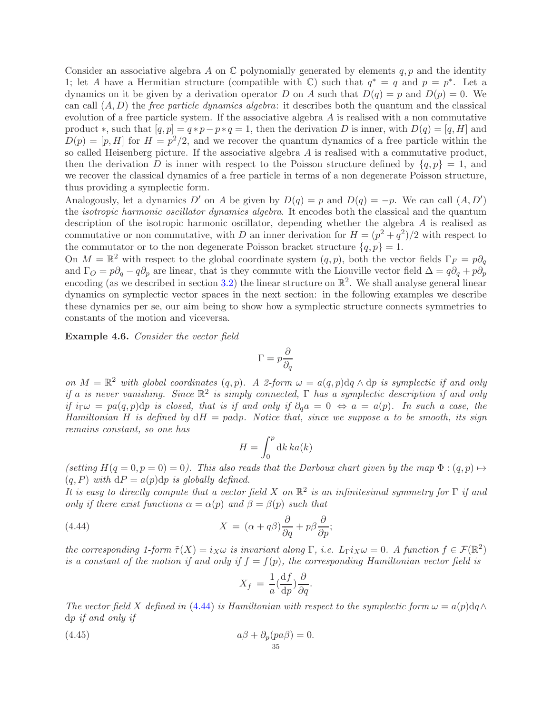Consider an associative algebra A on  $\mathbb C$  polynomially generated by elements q, p and the identity 1; let A have a Hermitian structure (compatible with  $\mathbb{C}$ ) such that  $q^* = q$  and  $p = p^*$ . Let a dynamics on it be given by a derivation operator D on A such that  $D(q) = p$  and  $D(p) = 0$ . We can call  $(A, D)$  the *free particle dynamics algebra*: it describes both the quantum and the classical evolution of a free particle system. If the associative algebra  $A$  is realised with a non commutative product  $\ast$ , such that  $[q, p] = q \ast p - p \ast q = 1$ , then the derivation D is inner, with  $D(q) = [q, H]$  and  $D(p) = [p, H]$  for  $H = p^2/2$ , and we recover the quantum dynamics of a free particle within the so called Heisenberg picture. If the associative algebra A is realised with a commutative product, then the derivation D is inner with respect to the Poisson structure defined by  $\{q, p\} = 1$ , and we recover the classical dynamics of a free particle in terms of a non degenerate Poisson structure, thus providing a symplectic form.

Analogously, let a dynamics  $D'$  on A be given by  $D(q) = p$  and  $D(q) = -p$ . We can call  $(A, D')$ the isotropic harmonic oscillator dynamics algebra. It encodes both the classical and the quantum description of the isotropic harmonic oscillator, depending whether the algebra A is realised as commutative or non commutative, with D an inner derivation for  $H = (p^2 + q^2)/2$  with respect to the commutator or to the non degenerate Poisson bracket structure  $\{q, p\} = 1$ .

On  $M = \mathbb{R}^2$  with respect to the global coordinate system  $(q, p)$ , both the vector fields  $\Gamma_F = p\partial_q$ and  $\Gamma_O = p\partial_q - q\partial_p$  are linear, that is they commute with the Liouville vector field  $\Delta = q\partial_q + p\partial_p$ encoding (as we described in section [3.2\)](#page-16-0) the linear structure on  $\mathbb{R}^2$ . We shall analyse general linear dynamics on symplectic vector spaces in the next section: in the following examples we describe these dynamics per se, our aim being to show how a symplectic structure connects symmetries to constants of the motion and viceversa.

Example 4.6. Consider the vector field

$$
\Gamma = p \frac{\partial}{\partial q}
$$

on  $M = \mathbb{R}^2$  with global coordinates  $(q, p)$ . A 2-form  $\omega = a(q, p) dq \wedge dp$  is symplectic if and only if a is never vanishing. Since  $\mathbb{R}^2$  is simply connected,  $\Gamma$  has a symplectic description if and only if  $i\Gamma \omega = pa(q, p)dp$  is closed, that is if and only if  $\partial_q a = 0 \Leftrightarrow a = a(p)$ . In such a case, the Hamiltonian H is defined by  $dH = padp$ . Notice that, since we suppose a to be smooth, its sign remains constant, so one has

$$
H = \int_0^p \mathrm{d}k \, ka(k)
$$

(setting  $H(q = 0, p = 0) = 0$ ). This also reads that the Darboux chart given by the map  $\Phi: (q, p) \mapsto$  $(q, P)$  with  $dP = a(p)dp$  is globally defined.

It is easy to directly compute that a vector field X on  $\mathbb{R}^2$  is an infinitesimal symmetry for  $\Gamma$  if and only if there exist functions  $\alpha = \alpha(p)$  and  $\beta = \beta(p)$  such that

(4.44) 
$$
X = (\alpha + q\beta)\frac{\partial}{\partial q} + p\beta\frac{\partial}{\partial p};
$$

the corresponding 1-form  $\tilde{\tau}(X) = i_X \omega$  is invariant along  $\Gamma$ , i.e.  $L_{\Gamma} i_X \omega = 0$ . A function  $f \in \mathcal{F}(\mathbb{R}^2)$ is a constant of the motion if and only if  $f = f(p)$ , the corresponding Hamiltonian vector field is

<span id="page-34-1"></span><span id="page-34-0"></span>
$$
X_f = \frac{1}{a} \left( \frac{\mathrm{d}f}{\mathrm{d}p} \right) \frac{\partial}{\partial q}.
$$

The vector field X defined in [\(4.44\)](#page-34-0) is Hamiltonian with respect to the symplectic form  $\omega = a(p) \mathrm{d}q \wedge$ dp if and only if

(4.45) 
$$
a\beta + \partial_p (p a \beta) = 0.
$$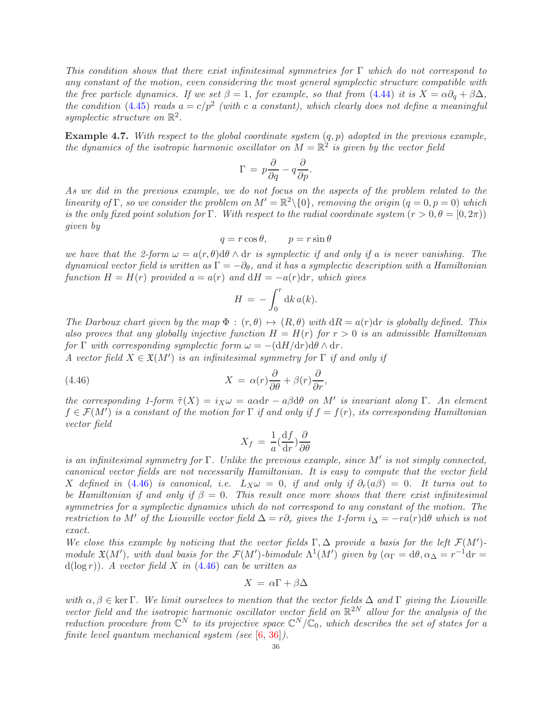This condition shows that there exist infinitesimal symmetries for  $\Gamma$  which do not correspond to any constant of the motion, even considering the most general symplectic structure compatible with the free particle dynamics. If we set  $\beta = 1$ , for example, so that from [\(4.44\)](#page-34-0) it is  $X = \alpha \partial_q + \beta \Delta$ , the condition [\(4.45\)](#page-34-1) reads  $a = c/p^2$  (with c a constant), which clearly does not define a meaningful symplectic structure on  $\mathbb{R}^2$ .

**Example 4.7.** With respect to the global coordinate system  $(q, p)$  adopted in the previous example, the dynamics of the isotropic harmonic oscillator on  $M = \mathbb{R}^2$  is given by the vector field

$$
\Gamma \,=\, p\frac{\partial}{\partial q} - q\frac{\partial}{\partial p}.
$$

As we did in the previous example, we do not focus on the aspects of the problem related to the linearity of  $\Gamma$ , so we consider the problem on  $M' = \mathbb{R}^2 \setminus \{0\}$ , removing the origin  $(q = 0, p = 0)$  which is the only fixed point solution for Γ. With respect to the radial coordinate system  $(r > 0, \theta = [0, 2\pi))$ given by

$$
q = r \cos \theta, \qquad p = r \sin \theta
$$

we have that the 2-form  $\omega = a(r, \theta) d\theta \wedge dr$  is symplectic if and only if a is never vanishing. The dynamical vector field is written as  $\Gamma = -\partial_{\theta}$ , and it has a symplectic description with a Hamiltonian function  $H = H(r)$  provided  $a = a(r)$  and  $dH = -a(r)dr$ , which gives

$$
H = -\int_0^r \mathrm{d}k \, a(k).
$$

The Darboux chart given by the map  $\Phi : (r, \theta) \mapsto (R, \theta)$  with  $dR = a(r)dr$  is globally defined. This also proves that any globally injective function  $H = H(r)$  for  $r > 0$  is an admissible Hamiltonian for  $\Gamma$  with corresponding symplectic form  $\omega = -(\mathrm{d}H/\mathrm{d}r)\mathrm{d}\theta \wedge \mathrm{d}r$ .

A vector field  $X \in \mathfrak{X}(M')$  is an infinitesimal symmetry for  $\Gamma$  if and only if

(4.46) 
$$
X = \alpha(r)\frac{\partial}{\partial \theta} + \beta(r)\frac{\partial}{\partial r},
$$

the corresponding 1-form  $\tilde{\tau}(X) = i_X \omega = a \alpha dr - a \beta d\theta$  on M' is invariant along  $\Gamma$ . An element  $f \in \mathcal{F}(M')$  is a constant of the motion for  $\Gamma$  if and only if  $f = f(r)$ , its corresponding Hamiltonian vector field

<span id="page-35-0"></span>
$$
X_f = \frac{1}{a} \left(\frac{\mathrm{d}f}{\mathrm{d}r}\right) \frac{\partial}{\partial \theta}
$$

is an infinitesimal symmetry for  $\Gamma$ . Unlike the previous example, since  $M'$  is not simply connected, canonical vector fields are not necessarily Hamiltonian. It is easy to compute that the vector field X defined in [\(4.46\)](#page-35-0) is canonical, i.e.  $L_X \omega = 0$ , if and only if  $\partial_r(a\beta) = 0$ . It turns out to be Hamiltonian if and only if  $\beta = 0$ . This result once more shows that there exist infinitesimal symmetries for a symplectic dynamics which do not correspond to any constant of the motion. The restriction to M' of the Liouville vector field  $\Delta = r \partial_r$  gives the 1-form  $i_\Delta = -r a(r) d\theta$  which is not exact.

We close this example by noticing that the vector fields  $\Gamma, \Delta$  provide a basis for the left  $\mathcal{F}(M')$ module  $\mathfrak{X}(M')$ , with dual basis for the  $\mathcal{F}(M')$ -bimodule  $\Lambda^1(M')$  given by  $(\alpha_{\Gamma} = d\theta, \alpha_{\Delta} = r^{-1}dr =$  $d(\log r)$ ). A vector field X in [\(4.46\)](#page-35-0) can be written as

$$
X = \alpha \Gamma + \beta \Delta
$$

with  $\alpha, \beta \in \text{ker }\Gamma$ . We limit ourselves to mention that the vector fields  $\Delta$  and  $\Gamma$  giving the Liouville vector field and the isotropic harmonic oscillator vector field on  $\mathbb{R}^{2N}$  allow for the analysis of the reduction procedure from  $\mathbb{C}^N$  to its projective space  $\mathbb{C}^N/\mathbb{C}_0$ , which describes the set of states for a finite level quantum mechanical system (see [\[6,](#page-48-3) [36\]](#page-49-29)).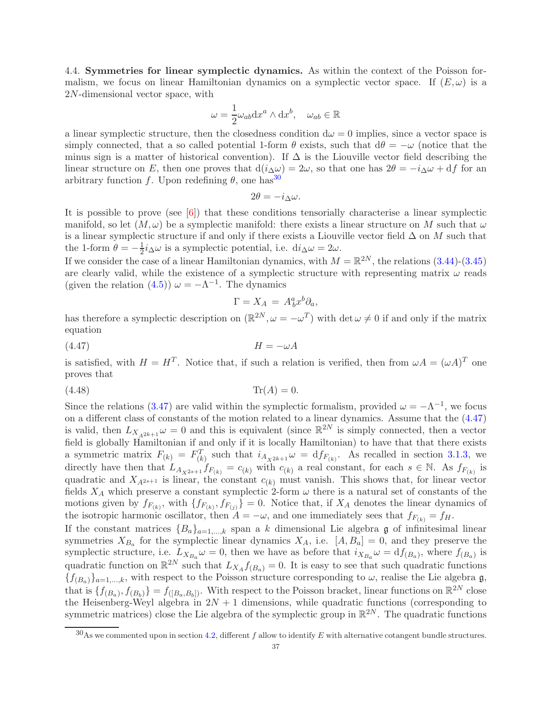<span id="page-36-0"></span>4.4. Symmetries for linear symplectic dynamics. As within the context of the Poisson formalism, we focus on linear Hamiltonian dynamics on a symplectic vector space. If  $(E, \omega)$  is a 2N-dimensional vector space, with

$$
\omega = \frac{1}{2}\omega_{ab}dx^a \wedge dx^b, \quad \omega_{ab} \in \mathbb{R}
$$

a linear symplectic structure, then the closedness condition  $d\omega = 0$  implies, since a vector space is simply connected, that a so called potential 1-form  $\theta$  exists, such that  $d\theta = -\omega$  (notice that the minus sign is a matter of historical convention). If  $\Delta$  is the Liouville vector field describing the linear structure on E, then one proves that  $d(i\Delta\omega) = 2\omega$ , so that one has  $2\theta = -i\Delta\omega + df$  for an arbitrary function f. Upon redefining  $\theta$ , one has<sup>[30](#page-36-1)</sup>

$$
2\theta = -i_{\Delta}\omega.
$$

It is possible to prove (see  $[6]$ ) that these conditions tensorially characterise a linear symplectic manifold, so let  $(M, \omega)$  be a symplectic manifold: there exists a linear structure on M such that  $\omega$ is a linear symplectic structure if and only if there exists a Liouville vector field  $\Delta$  on M such that the 1-form  $\theta = -\frac{1}{2}$  $\frac{1}{2}i_{\Delta}\omega$  is a symplectic potential, i.e.  $di_{\Delta}\omega = 2\omega$ .

If we consider the case of a linear Hamiltonian dynamics, with  $M = \mathbb{R}^{2N}$ , the relations [\(3.44\)](#page-17-5)-[\(3.45\)](#page-17-2) are clearly valid, while the existence of a symplectic structure with representing matrix  $\omega$  reads (given the relation [\(4.5\)](#page-20-1))  $\omega = -\Lambda^{-1}$ . The dynamics

<span id="page-36-3"></span><span id="page-36-2"></span>
$$
\Gamma = X_A = A^a_b x^b \partial_a,
$$

has therefore a symplectic description on  $(\mathbb{R}^{2N}, \omega = -\omega^T)$  with  $\det \omega \neq 0$  if and only if the matrix equation

(4.47) H = −ωA

is satisfied, with  $H = H^T$ . Notice that, if such a relation is verified, then from  $\omega A = (\omega A)^T$  one proves that

(4.48) Tr(A) = 0.

Since the relations [\(3.47\)](#page-17-4) are valid within the symplectic formalism, provided  $\omega = -\Lambda^{-1}$ , we focus on a different class of constants of the motion related to a linear dynamics. Assume that the [\(4.47\)](#page-36-2) is valid, then  $L_{X_{A^{2k+1}}}\omega = 0$  and this is equivalent (since  $\mathbb{R}^{2N}$  is simply connected, then a vector field is globally Hamiltonian if and only if it is locally Hamiltonian) to have that that there exists a symmetric matrix  $F_{(k)} = F_{(k)}^T$  such that  $i_{A_{X^{2k+1}}} \omega = df_{F_{(k)}}$ . As recalled in section [3.1.3,](#page-13-2) we directly have then that  $L_{A_{X^{2s+1}}} f_{F_{(k)}} = c_{(k)}$  with  $c_{(k)}$  a real constant, for each  $s \in \mathbb{N}$ . As  $f_{F_{(k)}}$  is quadratic and  $X_{A^{2s+1}}$  is linear, the constant  $c_{(k)}$  must vanish. This shows that, for linear vector fields  $X_A$  which preserve a constant symplectic 2-form  $\omega$  there is a natural set of constants of the motions given by  $f_{F_{(k)}}$ , with  $\{f_{F_{(k)}}, f_{F_{(j)}}\}=0$ . Notice that, if  $X_A$  denotes the linear dynamics of the isotropic harmonic oscillator, then  $A = -\omega$ , and one immediately sees that  $f_{F(k)} = f_H$ .

If the constant matrices  ${B_a}_{a=1,...,k}$  span a k dimensional Lie algebra g of infinitesimal linear symmetries  $X_{B_a}$  for the symplectic linear dynamics  $X_A$ , i.e.  $[A, B_a] = 0$ , and they preserve the symplectic structure, i.e.  $L_{X_{B_a}}\omega = 0$ , then we have as before that  $i_{X_{B_a}}\omega = df_{(B_a)}$ , where  $f_{(B_a)}$  is quadratic function on  $\mathbb{R}^{2N}$  such that  $L_{X_A} f_{(B_a)} = 0$ . It is easy to see that such quadratic functions  ${f_{(B_a)}}_{a=1,\dots,k}$ , with respect to the Poisson structure corresponding to  $\omega$ , realise the Lie algebra g, that is  $\{f_{(B_a)}, f_{(B_b)}\} = f_{([B_a,B_b])}$ . With respect to the Poisson bracket, linear functions on  $\mathbb{R}^{2N}$  close the Heisenberg-Weyl algebra in  $2N + 1$  dimensions, while quadratic functions (corresponding to symmetric matrices) close the Lie algebra of the symplectic group in  $\mathbb{R}^{2N}$ . The quadratic functions

<span id="page-36-1"></span> $30$ As we commented upon in section [4.2,](#page-22-0) different f allow to identify E with alternative cotangent bundle structures.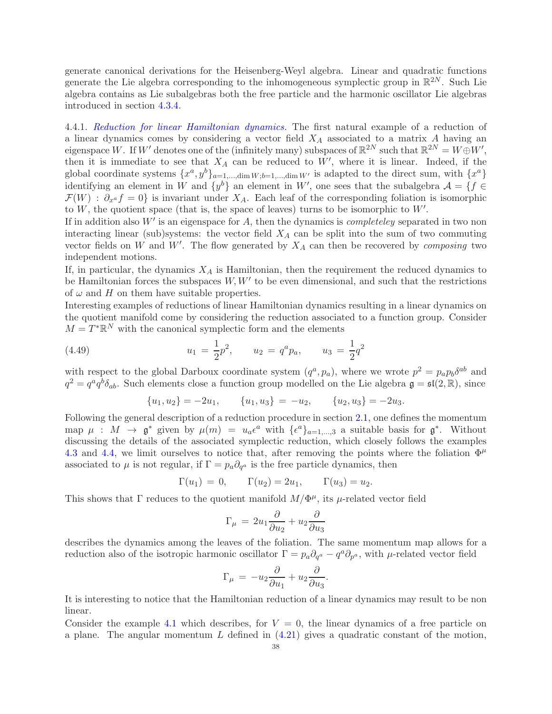generate canonical derivations for the Heisenberg-Weyl algebra. Linear and quadratic functions generate the Lie algebra corresponding to the inhomogeneous symplectic group in  $\mathbb{R}^{2N}$ . Such Lie algebra contains as Lie subalgebras both the free particle and the harmonic oscillator Lie algebras introduced in section [4.3.4.](#page-33-2)

<span id="page-37-1"></span>4.4.1. Reduction for linear Hamiltonian dynamics. The first natural example of a reduction of a linear dynamics comes by considering a vector field  $X_A$  associated to a matrix A having an eigenspace W. If W' denotes one of the (infinitely many) subspaces of  $\mathbb{R}^{2N}$  such that  $\mathbb{R}^{2N} = W \oplus W'$ , then it is immediate to see that  $X_A$  can be reduced to  $W'$ , where it is linear. Indeed, if the global coordinate systems  $\{x^a, y^b\}_{a=1,\dots,\dim W; b=1,\dots,\dim W'}$  is adapted to the direct sum, with  $\{x^a\}$ identifying an element in W and  $\{y^b\}$  an element in W', one sees that the subalgebra  $\mathcal{A} = \{f \in$  $\mathcal{F}(W)$ :  $\partial_{x} f = 0$  is invariant under  $X_A$ . Each leaf of the corresponding foliation is isomorphic to  $W$ , the quotient space (that is, the space of leaves) turns to be isomorphic to  $W'$ .

If in addition also  $W'$  is an eigenspace for  $A$ , then the dynamics is *completeley* separated in two non interacting linear (sub)systems: the vector field  $X_A$  can be split into the sum of two commuting vector fields on W and W'. The flow generated by  $X_A$  can then be recovered by *composing* two independent motions.

If, in particular, the dynamics  $X_A$  is Hamiltonian, then the requirement the reduced dynamics to be Hamiltonian forces the subspaces  $W, W'$  to be even dimensional, and such that the restrictions of  $\omega$  and H on them have suitable properties.

Interesting examples of reductions of linear Hamiltonian dynamics resulting in a linear dynamics on the quotient manifold come by considering the reduction associated to a function group. Consider  $M = T^* \mathbb{R}^N$  with the canonical symplectic form and the elements

(4.49) 
$$
u_1 = \frac{1}{2}p^2, \qquad u_2 = q^a p_a, \qquad u_3 = \frac{1}{2}q^2
$$

with respect to the global Darboux coordinate system  $(q^a, p_a)$ , where we wrote  $p^2 = p_a p_b \delta^{ab}$  and  $q^2 = q^a q^b \delta_{ab}$ . Such elements close a function group modelled on the Lie algebra  $\mathfrak{g} = \mathfrak{sl}(2,\mathbb{R})$ , since

<span id="page-37-0"></span>
$$
{u_1, u_2} = -2u_1, \qquad {u_1, u_3} = -u_2, \qquad {u_2, u_3} = -2u_3.
$$

Following the general description of a reduction procedure in section [2.1,](#page-2-1) one defines the momentum map  $\mu : M \to \mathfrak{g}^*$  given by  $\mu(m) = u_a \epsilon^a$  with  $\{\epsilon^a\}_{a=1,\dots,3}$  a suitable basis for  $\mathfrak{g}^*$ . Without discussing the details of the associated symplectic reduction, which closely follows the examples [4.3](#page-30-1) and [4.4,](#page-32-1) we limit ourselves to notice that, after removing the points where the foliation  $\Phi^{\mu}$ associated to  $\mu$  is not regular, if  $\Gamma = p_a \partial_{q^a}$  is the free particle dynamics, then

$$
\Gamma(u_1) = 0, \qquad \Gamma(u_2) = 2u_1, \qquad \Gamma(u_3) = u_2.
$$

This shows that  $\Gamma$  reduces to the quotient manifold  $M/\Phi^{\mu}$ , its  $\mu$ -related vector field

$$
\Gamma_{\mu} = 2u_1 \frac{\partial}{\partial u_2} + u_2 \frac{\partial}{\partial u_3}
$$

describes the dynamics among the leaves of the foliation. The same momentum map allows for a reduction also of the isotropic harmonic oscillator  $\Gamma = p_a \partial_{q^a} - q^a \partial_{p^a}$ , with  $\mu$ -related vector field

$$
\Gamma_{\mu} = -u_2 \frac{\partial}{\partial u_1} + u_2 \frac{\partial}{\partial u_3}.
$$

It is interesting to notice that the Hamiltonian reduction of a linear dynamics may result to be non linear.

Consider the example [4.1](#page-24-0) which describes, for  $V = 0$ , the linear dynamics of a free particle on a plane. The angular momentum L defined in  $(4.21)$  gives a quadratic constant of the motion,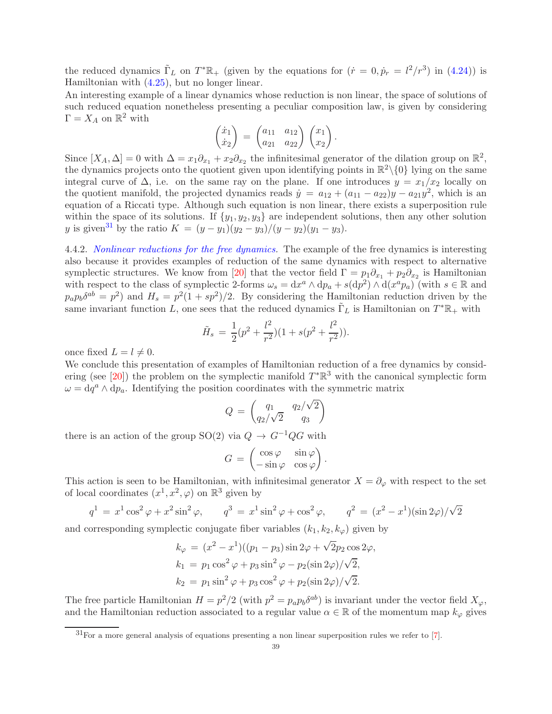the reduced dynamics  $\tilde{\Gamma}_L$  on  $T^*\mathbb{R}_+$  (given by the equations for  $(\dot{r} = 0, \dot{p}_r = l^2/r^3)$  in [\(4.24\)](#page-25-0)) is Hamiltonian with [\(4.25\)](#page-25-1), but no longer linear.

An interesting example of a linear dynamics whose reduction is non linear, the space of solutions of such reduced equation nonetheless presenting a peculiar composition law, is given by considering  $\Gamma = X_A$  on  $\mathbb{R}^2$  with

$$
\begin{pmatrix} \dot{x}_1 \\ \dot{x}_2 \end{pmatrix} = \begin{pmatrix} a_{11} & a_{12} \\ a_{21} & a_{22} \end{pmatrix} \begin{pmatrix} x_1 \\ x_2 \end{pmatrix}.
$$

Since  $[X_A, \Delta] = 0$  with  $\Delta = x_1 \partial_{x_1} + x_2 \partial_{x_2}$  the infinitesimal generator of the dilation group on  $\mathbb{R}^2$ , the dynamics projects onto the quotient given upon identifying points in  $\mathbb{R}^2 \setminus \{0\}$  lying on the same integral curve of  $\Delta$ , i.e. on the same ray on the plane. If one introduces  $y = x_1/x_2$  locally on the quotient manifold, the projected dynamics reads  $\dot{y} = a_{12} + (a_{11} - a_{22})y - a_{21}y^2$ , which is an equation of a Riccati type. Although such equation is non linear, there exists a superposition rule within the space of its solutions. If  $\{y_1, y_2, y_3\}$  are independent solutions, then any other solution y is given<sup>[31](#page-38-0)</sup> by the ratio  $K = (y - y_1)(y_2 - y_3)/(y - y_2)(y_1 - y_3)$ .

4.4.2. *Nonlinear reductions for the free dynamics*. The example of the free dynamics is interesting also because it provides examples of reduction of the same dynamics with respect to alternative symplectic structures. We know from [\[20\]](#page-49-8) that the vector field  $\Gamma = p_1 \partial_{x_1} + p_2 \partial_{x_2}$  is Hamiltonian with respect to the class of symplectic 2-forms  $\omega_s = dx^a \wedge dp_a + s(dp^2) \wedge d(x^a p_a)$  (with  $s \in \mathbb{R}$  and  $p_a p_b \delta^{ab} = p^2$  and  $H_s = p^2(1 + sp^2)/2$ . By considering the Hamiltonian reduction driven by the same invariant function L, one sees that the reduced dynamics  $\tilde{\Gamma}_L$  is Hamiltonian on  $T^*\mathbb{R}_+$  with

$$
\tilde{H}_s = \frac{1}{2}(p^2 + \frac{l^2}{r^2})(1 + s(p^2 + \frac{l^2}{r^2})).
$$

once fixed  $L = l \neq 0$ .

We conclude this presentation of examples of Hamiltonian reduction of a free dynamics by consid-ering (see [\[20\]](#page-49-8)) the problem on the symplectic manifold  $T^*\mathbb{R}^3$  with the canonical symplectic form  $\omega = dq^a \wedge dp_a$ . Identifying the position coordinates with the symmetric matrix

$$
Q = \begin{pmatrix} q_1 & q_2/\sqrt{2} \\ q_2/\sqrt{2} & q_3 \end{pmatrix}
$$

there is an action of the group SO(2) via  $Q \to G^{-1}QG$  with

$$
G = \begin{pmatrix} \cos \varphi & \sin \varphi \\ -\sin \varphi & \cos \varphi \end{pmatrix}.
$$

This action is seen to be Hamiltonian, with infinitesimal generator  $X = \partial_{\varphi}$  with respect to the set of local coordinates  $(x^1, x^2, \varphi)$  on  $\mathbb{R}^3$  given by

$$
q^{1} = x^{1} \cos^{2} \varphi + x^{2} \sin^{2} \varphi, \qquad q^{3} = x^{1} \sin^{2} \varphi + \cos^{2} \varphi, \qquad q^{2} = (x^{2} - x^{1})(\sin 2\varphi)/\sqrt{2}
$$

and corresponding symplectic conjugate fiber variables  $(k_1, k_2, k_\varphi)$  given by

$$
k_{\varphi} = (x^2 - x^1)((p_1 - p_3)\sin 2\varphi + \sqrt{2}p_2\cos 2\varphi,
$$
  
\n
$$
k_1 = p_1\cos^2\varphi + p_3\sin^2\varphi - p_2(\sin 2\varphi)/\sqrt{2},
$$
  
\n
$$
k_2 = p_1\sin^2\varphi + p_3\cos^2\varphi + p_2(\sin 2\varphi)/\sqrt{2}.
$$

The free particle Hamiltonian  $H = p^2/2$  (with  $p^2 = p_a p_b \delta^{ab}$ ) is invariant under the vector field  $X_{\varphi}$ , and the Hamiltonian reduction associated to a regular value  $\alpha \in \mathbb{R}$  of the momentum map  $k_{\varphi}$  gives

<span id="page-38-0"></span> $31$  For a more general analysis of equations presenting a non linear superposition rules we refer to [\[7\]](#page-48-8).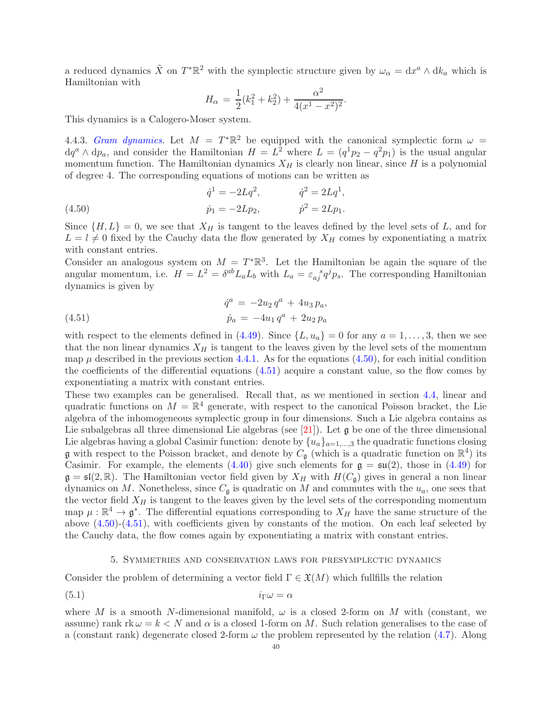a reduced dynamics  $\tilde{X}$  on  $T^*\mathbb{R}^2$  with the symplectic structure given by  $\omega_{\alpha} = dx^a \wedge dk_a$  which is Hamiltonian with

$$
H_{\alpha} = \frac{1}{2}(k_1^2 + k_2^2) + \frac{\alpha^2}{4(x^1 - x^2)^2}.
$$

This dynamics is a Calogero-Moser system.

4.4.3. Gram dynamics. Let  $M = T^* \mathbb{R}^2$  be equipped with the canonical symplectic form  $\omega =$  $dq^{a} \wedge dp_{a}$ , and consider the Hamiltonian  $H = L^{2}$  where  $L = (q^{1}p_{2} - q^{2}p_{1})$  is the usual angular momentum function. The Hamiltonian dynamics  $X_H$  is clearly non linear, since H is a polynomial of degree 4. The corresponding equations of motions can be written as

<span id="page-39-1"></span>(4.50) 
$$
\dot{q}^1 = -2Lq^2, \qquad \dot{q}^2 = 2Lq^1, \n\dot{p}_1 = -2Lp_2, \qquad \dot{p}^2 = 2Lp_1.
$$

Since  $\{H, L\} = 0$ , we see that  $X_H$  is tangent to the leaves defined by the level sets of L, and for  $L = l \neq 0$  fixed by the Cauchy data the flow generated by  $X_H$  comes by exponentiating a matrix with constant entries.

Consider an analogous system on  $M = T^*\mathbb{R}^3$ . Let the Hamiltonian be again the square of the angular momentum, i.e.  $H = L^2 = \delta^{ab} L_a L_b$  with  $L_a = \varepsilon_{aj}^{\quad \quad s} q^j p_s$ . The corresponding Hamiltonian dynamics is given by

<span id="page-39-2"></span>(4.51) 
$$
\dot{q}^a = -2u_2 q^a + 4u_3 p_a,
$$

$$
\dot{p}_a = -4u_1 q^a + 2u_2 p_a
$$

with respect to the elements defined in [\(4.49\)](#page-37-0). Since  $\{L, u_a\} = 0$  for any  $a = 1, \ldots, 3$ , then we see that the non linear dynamics  $X_H$  is tangent to the leaves given by the level sets of the momentum map  $\mu$  described in the previous section [4.4.1.](#page-37-1) As for the equations [\(4.50\)](#page-39-1), for each initial condition the coefficients of the differential equations [\(4.51\)](#page-39-2) acquire a constant value, so the flow comes by exponentiating a matrix with constant entries.

These two examples can be generalised. Recall that, as we mentioned in section [4.4,](#page-36-0) linear and quadratic functions on  $M = \mathbb{R}^4$  generate, with respect to the canonical Poisson bracket, the Lie algebra of the inhomogeneous symplectic group in four dimensions. Such a Lie algebra contains as Lie subalgebras all three dimensional Lie algebras (see [\[21\]](#page-49-6)). Let  $\mathfrak g$  be one of the three dimensional Lie algebras having a global Casimir function: denote by  $\{u_a\}_{a=1,\dots,3}$  the quadratic functions closing **g** with respect to the Poisson bracket, and denote by  $C_{\mathfrak{g}}$  (which is a quadratic function on  $\mathbb{R}^4$ ) its Casimir. For example, the elements [\(4.40\)](#page-30-2) give such elements for  $\mathfrak{g} = \mathfrak{su}(2)$ , those in [\(4.49\)](#page-37-0) for  $\mathfrak{g} = \mathfrak{sl}(2,\mathbb{R})$ . The Hamiltonian vector field given by  $X_H$  with  $H(C_{\mathfrak{g}})$  gives in general a non linear dynamics on M. Nonetheless, since  $C_{\mathfrak{q}}$  is quadratic on M and commutes with the  $u_a$ , one sees that the vector field  $X_H$  is tangent to the leaves given by the level sets of the corresponding momentum map  $\mu : \mathbb{R}^4 \to \mathfrak{g}^*$ . The differential equations corresponding to  $X_H$  have the same structure of the above [\(4.50\)](#page-39-1)-[\(4.51\)](#page-39-2), with coefficients given by constants of the motion. On each leaf selected by the Cauchy data, the flow comes again by exponentiating a matrix with constant entries.

### <span id="page-39-3"></span>5. Symmetries and conservation laws for presymplectic dynamics

<span id="page-39-0"></span>Consider the problem of determining a vector field  $\Gamma \in \mathfrak{X}(M)$  which fullfills the relation

$$
(5.1) \t\t i\Gamma \omega = \alpha
$$

where M is a smooth N-dimensional manifold,  $\omega$  is a closed 2-form on M with (constant, we assume) rank  $rk \omega = k < N$  and  $\alpha$  is a closed 1-form on M. Such relation generalises to the case of a (constant rank) degenerate closed 2-form  $\omega$  the problem represented by the relation [\(4.7\)](#page-20-2). Along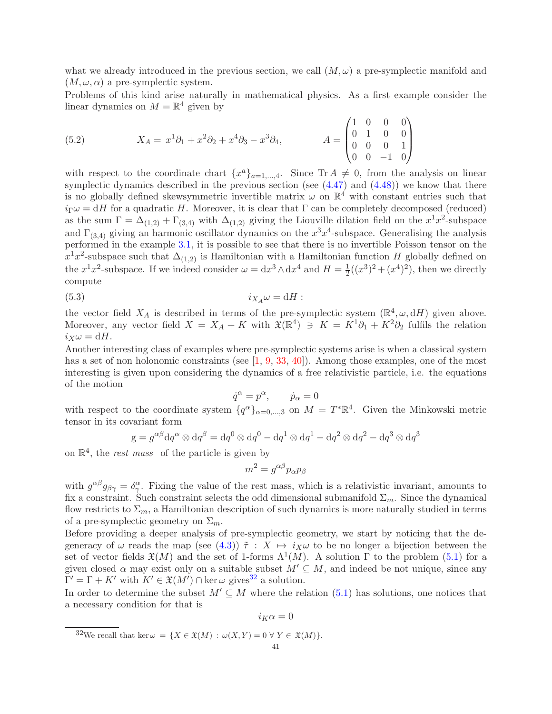what we already introduced in the previous section, we call  $(M, \omega)$  a pre-symplectic manifold and  $(M, \omega, \alpha)$  a pre-symplectic system.

Problems of this kind arise naturally in mathematical physics. As a first example consider the linear dynamics on  $M = \mathbb{R}^4$  given by

(5.2) 
$$
X_A = x^1 \partial_1 + x^2 \partial_2 + x^4 \partial_3 - x^3 \partial_4, \qquad A = \begin{pmatrix} 1 & 0 & 0 & 0 \\ 0 & 1 & 0 & 0 \\ 0 & 0 & 0 & 1 \\ 0 & 0 & -1 & 0 \end{pmatrix}
$$

with respect to the coordinate chart  $\{x^a\}_{a=1,\dots,4}$ . Since  $\text{Tr } A \neq 0$ , from the analysis on linear symplectic dynamics described in the previous section (see [\(4.47\)](#page-36-2) and [\(4.48\)](#page-36-3)) we know that there is no globally defined skewsymmetric invertible matrix  $\omega$  on  $\mathbb{R}^4$  with constant entries such that  $i_{\Gamma}\omega = dH$  for a quadratic H. Moreover, it is clear that  $\Gamma$  can be completely decomposed (reduced) as the sum  $\Gamma = \Delta_{(1,2)} + \Gamma_{(3,4)}$  with  $\Delta_{(1,2)}$  giving the Liouville dilation field on the  $x^1x^2$ -subspace and  $\Gamma_{(3,4)}$  giving an harmonic oscillator dynamics on the  $x^3x^4$ -subspace. Generalising the analysis performed in the example [3.1,](#page-18-1) it is possible to see that there is no invertible Poisson tensor on the  $x^1x^2$ -subspace such that  $\Delta_{(1,2)}$  is Hamiltonian with a Hamiltonian function H globally defined on the  $x^1x^2$ -subspace. If we indeed consider  $\omega = dx^3 \wedge dx^4$  and  $H = \frac{1}{2}$  $\frac{1}{2}((x^3)^2 + (x^4)^2)$ , then we directly compute

$$
(5.3) \t\t i_{X_A}\omega = dH:
$$

the vector field  $X_A$  is described in terms of the pre-symplectic system  $(\mathbb{R}^4, \omega, dH)$  given above. Moreover, any vector field  $X = X_A + K$  with  $\mathfrak{X}(\mathbb{R}^4) \ni K = K^1 \partial_1 + K^2 \partial_2$  fulfils the relation  $i_X \omega = dH$ .

Another interesting class of examples where pre-symplectic systems arise is when a classical system has a set of non holonomic constraints (see  $[1, 9, 33, 40]$  $[1, 9, 33, 40]$  $[1, 9, 33, 40]$  $[1, 9, 33, 40]$  $[1, 9, 33, 40]$  $[1, 9, 33, 40]$ ). Among those examples, one of the most interesting is given upon considering the dynamics of a free relativistic particle, i.e. the equations of the motion

$$
\dot{q}^{\alpha} = p^{\alpha}, \qquad \dot{p}_{\alpha} = 0
$$

with respect to the coordinate system  $\{q^{\alpha}\}_{\alpha=0,\dots,3}$  on  $M = T^*\mathbb{R}^4$ . Given the Minkowski metric tensor in its covariant form

$$
g = g^{\alpha\beta} dq^{\alpha} \otimes dq^{\beta} = dq^0 \otimes dq^0 - dq^1 \otimes dq^1 - dq^2 \otimes dq^2 - dq^3 \otimes dq^3
$$

on  $\mathbb{R}^4$ , the *rest mass* of the particle is given by

$$
m^2 = g^{\alpha\beta} p_\alpha p_\beta
$$

with  $g^{\alpha\beta}g_{\beta\gamma}=\delta^{\alpha}_{\gamma}$ . Fixing the value of the rest mass, which is a relativistic invariant, amounts to fix a constraint. Such constraint selects the odd dimensional submanifold  $\Sigma_m$ . Since the dynamical flow restricts to  $\Sigma_m$ , a Hamiltonian description of such dynamics is more naturally studied in terms of a pre-symplectic geometry on  $\Sigma_m$ .

Before providing a deeper analysis of pre-symplectic geometry, we start by noticing that the degeneracy of  $\omega$  reads the map (see [\(4.3\)](#page-19-3))  $\tilde{\tau}$  :  $X \mapsto i_X \omega$  to be no longer a bijection between the set of vector fields  $\mathfrak{X}(M)$  and the set of 1-forms  $\Lambda^1(M)$ . A solution  $\Gamma$  to the problem [\(5.1\)](#page-39-3) for a given closed  $\alpha$  may exist only on a suitable subset  $M' \subseteq M$ , and indeed be not unique, since any  $\Gamma' = \Gamma + K'$  with  $K' \in \mathfrak{X}(M') \cap \text{ker } \omega$  gives<sup>[32](#page-40-0)</sup> a solution.

In order to determine the subset  $M' \subseteq M$  where the relation [\(5.1\)](#page-39-3) has solutions, one notices that a necessary condition for that is

$$
i_K\alpha=0
$$

<span id="page-40-0"></span><sup>&</sup>lt;sup>32</sup>We recall that ker  $\omega = \{X \in \mathfrak{X}(M) : \omega(X, Y) = 0 \,\forall \, Y \in \mathfrak{X}(M)\}.$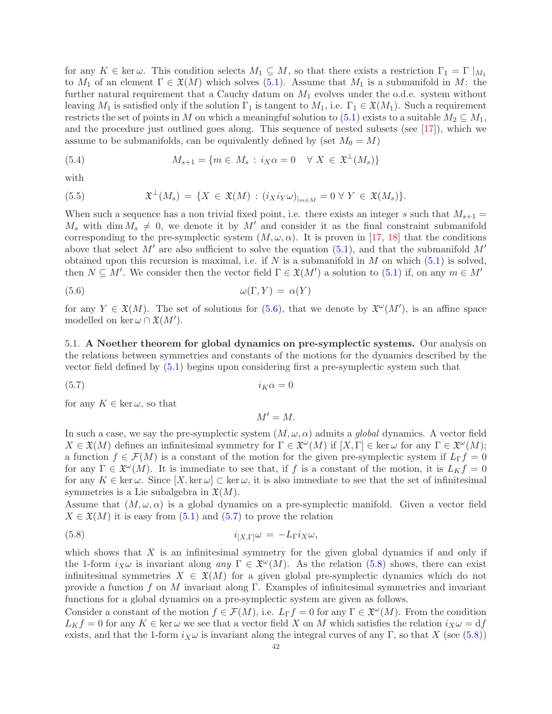for any  $K \in \text{ker } \omega$ . This condition selects  $M_1 \subseteq M$ , so that there exists a restriction  $\Gamma_1 = \Gamma |_{M_1}$ to  $M_1$  of an element  $\Gamma \in \mathfrak{X}(M)$  which solves [\(5.1\)](#page-39-3). Assume that  $M_1$  is a submanifold in M: the further natural requirement that a Cauchy datum on  $M_1$  evolves under the o.d.e. system without leaving  $M_1$  is satisfied only if the solution  $\Gamma_1$  is tangent to  $M_1$ , i.e.  $\Gamma_1 \in \mathfrak{X}(M_1)$ . Such a requirement restricts the set of points in M on which a meaningful solution to [\(5.1\)](#page-39-3) exists to a suitable  $M_2 \subseteq M_1$ , and the procedure just outlined goes along. This sequence of nested subsets (see [\[17\]](#page-49-30)), which we assume to be submanifolds, can be equivalently defined by (set  $M_0 = M$ )

<span id="page-41-4"></span>(5.4) 
$$
M_{s+1} = \{m \in M_s : i_X \alpha = 0 \quad \forall X \in \mathfrak{X}^{\perp}(M_s)\}
$$

with

<span id="page-41-5"></span>(5.5) 
$$
\mathfrak{X}^{\perp}(M_s) = \{ X \in \mathfrak{X}(M) : (i_X i_Y \omega)_{|_{m \in M}} = 0 \ \forall \ Y \in \mathfrak{X}(M_s) \}.
$$

When such a sequence has a non trivial fixed point, i.e. there exists an integer s such that  $M_{s+1}$  =  $M_s$  with dim  $M_s \neq 0$ , we denote it by M' and consider it as the final constraint submanifold corresponding to the pre-symplectic system  $(M, \omega, \alpha)$ . It is proven in [\[17,](#page-49-30) [18\]](#page-49-31) that the conditions above that select M' are also sufficient to solve the equation [\(5.1\)](#page-39-3), and that the submanifold  $M'$ obtained upon this recursion is maximal, i.e. if N is a submanifold in M on which  $(5.1)$  is solved, then  $N \subseteq M'$ . We consider then the vector field  $\Gamma \in \mathfrak{X}(M')$  a solution to [\(5.1\)](#page-39-3) if, on any  $m \in M'$ 

$$
\omega(\Gamma, Y) = \alpha(Y)
$$

for any  $Y \in \mathfrak{X}(M)$ . The set of solutions for  $(5.6)$ , that we denote by  $\mathfrak{X}^{\omega}(M')$ , is an affine space modelled on ker  $\omega \cap \mathfrak{X}(M')$ .

<span id="page-41-0"></span>5.1. A Noether theorem for global dynamics on pre-symplectic systems. Our analysis on the relations between symmetries and constants of the motions for the dynamics described by the vector field defined by [\(5.1\)](#page-39-3) begins upon considering first a pre-symplectic system such that

$$
(5.7) \t\t iK\alpha = 0
$$

for any  $K \in \ker \omega$ , so that

<span id="page-41-3"></span><span id="page-41-2"></span><span id="page-41-1"></span> $M' = M$ .

In such a case, we say the pre-symplectic system  $(M, \omega, \alpha)$  admits a global dynamics. A vector field  $X \in \mathfrak{X}(M)$  defines an infinitesimal symmetry for  $\Gamma \in \mathfrak{X}^{\omega}(M)$  if  $[X, \Gamma] \in \text{ker }\omega$  for any  $\Gamma \in \mathfrak{X}^{\omega}(M)$ ; a function  $f \in \mathcal{F}(M)$  is a constant of the motion for the given pre-symplectic system if  $L_{\Gamma} f = 0$ for any  $\Gamma \in \mathfrak{X}^{\omega}(M)$ . It is immediate to see that, if f is a constant of the motion, it is  $L_K f = 0$ for any  $K \in \ker \omega$ . Since  $[X, \ker \omega] \subset \ker \omega$ , it is also immediate to see that the set of infinitesimal symmetries is a Lie subalgebra in  $\mathfrak{X}(M)$ .

Assume that  $(M, \omega, \alpha)$  is a global dynamics on a pre-symplectic manifold. Given a vector field  $X \in \mathfrak{X}(M)$  it is easy from  $(5.1)$  and  $(5.7)$  to prove the relation

(5.8) 
$$
i_{[X,\Gamma]} \omega = -L_{\Gamma} i_X \omega,
$$

which shows that  $X$  is an infinitesimal symmetry for the given global dynamics if and only if the 1-form  $i_X\omega$  is invariant along any  $\Gamma \in \mathfrak{X}^{\omega}(M)$ . As the relation [\(5.8\)](#page-41-3) shows, there can exist infinitesimal symmetries  $X \in \mathfrak{X}(M)$  for a given global pre-symplectic dynamics which do not provide a function f on M invariant along Γ. Examples of infinitesimal symmetries and invariant functions for a global dynamics on a pre-symplectic system are given as follows.

Consider a constant of the motion  $f \in \mathcal{F}(M)$ , i.e.  $L_{\Gamma} f = 0$  for any  $\Gamma \in \mathfrak{X}^{\omega}(M)$ . From the condition  $L_K f = 0$  for any  $K \in \text{ker } \omega$  we see that a vector field X on M which satisfies the relation  $i_X \omega = df$ exists, and that the 1-form  $i_X \omega$  is invariant along the integral curves of any Γ, so that X (see [\(5.8\)](#page-41-3))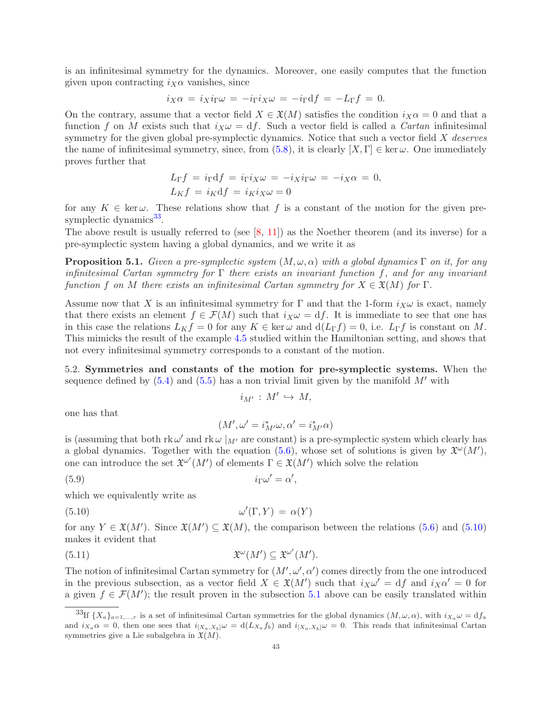is an infinitesimal symmetry for the dynamics. Moreover, one easily computes that the function given upon contracting  $i_X \alpha$  vanishes, since

$$
i_X\alpha = i_Xi_\Gamma\omega = -i_\Gamma i_X\omega = -i_\Gamma \mathrm{d} f = -L_\Gamma f = 0.
$$

On the contrary, assume that a vector field  $X \in \mathfrak{X}(M)$  satisfies the condition  $i_X \alpha = 0$  and that a function f on M exists such that  $i_X \omega = df$ . Such a vector field is called a *Cartan* infinitesimal symmetry for the given global pre-symplectic dynamics. Notice that such a vector field  $X$  deserves the name of infinitesimal symmetry, since, from [\(5.8\)](#page-41-3), it is clearly  $[X, \Gamma] \in \text{ker } \omega$ . One immediately proves further that

$$
L_{\Gamma}f = i_{\Gamma}df = i_{\Gamma}i_X\omega = -i_Xi_{\Gamma}\omega = -i_X\alpha = 0,
$$
  

$$
L_Kf = i_Kdf = i_Ki_X\omega = 0
$$

for any  $K \in \text{ker } \omega$ . These relations show that f is a constant of the motion for the given pre-symplectic dynamics<sup>[33](#page-42-1)</sup>.

The above result is usually referred to (see  $[8, 11]$  $[8, 11]$ ) as the Noether theorem (and its inverse) for a pre-symplectic system having a global dynamics, and we write it as

<span id="page-42-3"></span>**Proposition 5.1.** Given a pre-symplectic system  $(M, \omega, \alpha)$  with a global dynamics  $\Gamma$  on it, for any infinitesimal Cartan symmetry for  $\Gamma$  there exists an invariant function f, and for any invariant function f on M there exists an infinitesimal Cartan symmetry for  $X \in \mathfrak{X}(M)$  for  $\Gamma$ .

Assume now that X is an infinitesimal symmetry for  $\Gamma$  and that the 1-form  $i_X \omega$  is exact, namely that there exists an element  $f \in \mathcal{F}(M)$  such that  $i_X \omega = df$ . It is immediate to see that one has in this case the relations  $L_K f = 0$  for any  $K \in \text{ker } \omega$  and  $d(L_\Gamma f) = 0$ , i.e.  $L_\Gamma f$  is constant on M. This mimicks the result of the example [4.5](#page-33-3) studied within the Hamiltonian setting, and shows that not every infinitesimal symmetry corresponds to a constant of the motion.

<span id="page-42-0"></span>5.2. Symmetries and constants of the motion for pre-symplectic systems. When the sequence defined by  $(5.4)$  and  $(5.5)$  has a non trivial limit given by the manifold  $M'$  with

$$
i_{M'}\,:\,M'\,\hookrightarrow\,M,
$$

one has that

<span id="page-42-4"></span><span id="page-42-2"></span>
$$
(M',\omega'=i_{M'}^*\omega,\alpha'=i_{M'}^*\alpha)
$$

is (assuming that both  $\text{rk } \omega'$  and  $\text{rk } \omega |_{M'}$  are constant) is a pre-symplectic system which clearly has a global dynamics. Together with the equation [\(5.6\)](#page-41-1), whose set of solutions is given by  $\mathfrak{X}^{\omega}(M')$ , one can introduce the set  $\mathfrak{X}^{\omega'}(M')$  of elements  $\Gamma \in \mathfrak{X}(M')$  which solve the relation

$$
(5.9) \t\t i\Gamma\omega' = \alpha',
$$

which we equivalently write as

$$
\omega'(\Gamma, Y) = \alpha(Y)
$$

for any  $Y \in \mathfrak{X}(M')$ . Since  $\mathfrak{X}(M') \subseteq \mathfrak{X}(M)$ , the comparison between the relations [\(5.6\)](#page-41-1) and [\(5.10\)](#page-42-2) makes it evident that

(5.11) 
$$
\mathfrak{X}^{\omega}(M') \subseteq \mathfrak{X}^{\omega'}(M').
$$

The notion of infinitesimal Cartan symmetry for  $(M', \omega', \alpha')$  comes directly from the one introduced in the previous subsection, as a vector field  $X \in \mathfrak{X}(M')$  such that  $i_X \omega' = df$  and  $i_X \alpha' = 0$  for a given  $f \in \mathcal{F}(M')$ ; the result proven in the subsection [5.1](#page-41-0) above can be easily translated within

<span id="page-42-1"></span><sup>&</sup>lt;sup>33</sup>If  ${X_a}_{a=1,...,r}$  is a set of infinitesimal Cartan symmetries for the global dynamics  $(M, \omega, \alpha)$ , with  $i_{X_a}\omega = df_a$ and  $i_{X_a} \alpha = 0$ , then one sees that  $i_{[X_a, X_b]} \omega = d(L_{X_a} f_b)$  and  $i_{[X_a, X_b]} \omega = 0$ . This reads that infinitesimal Cartan symmetries give a Lie subalgebra in  $\mathfrak{X}(M)$ .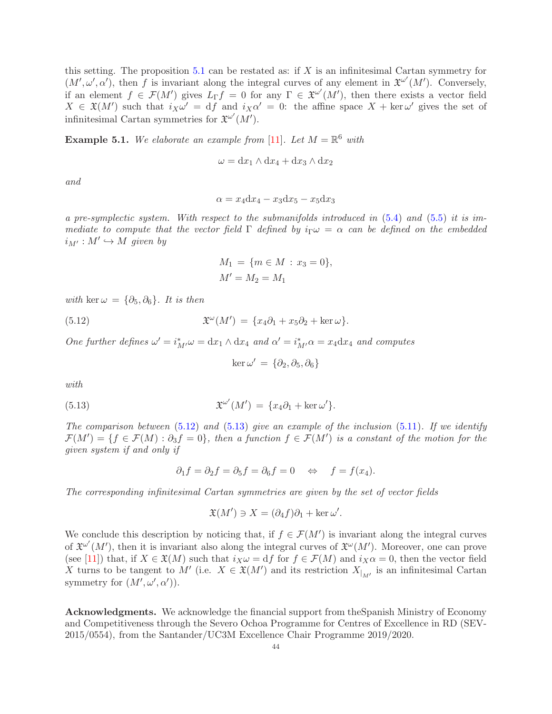this setting. The proposition [5.1](#page-42-3) can be restated as: if  $X$  is an infinitesimal Cartan symmetry for  $(M', \omega', \alpha')$ , then f is invariant along the integral curves of any element in  $\mathfrak{X}^{\omega'}(M')$ . Conversely, if an element  $f \in \mathcal{F}(M')$  gives  $L_{\Gamma} f = 0$  for any  $\Gamma \in \mathfrak{X}^{\omega'}(M')$ , then there exists a vector field  $X \in \mathfrak{X}(M')$  such that  $i_X \omega' = df$  and  $i_X \alpha' = 0$ : the affine space  $X + \ker \omega'$  gives the set of infinitesimal Cartan symmetries for  $\mathfrak{X}^{\omega'}(M')$ .

**Example 5.1.** We elaborate an example from [\[11\]](#page-48-12). Let  $M = \mathbb{R}^6$  with

$$
\omega = dx_1 \wedge dx_4 + dx_3 \wedge dx_2
$$

and

$$
\alpha = x_4 \mathrm{d}x_4 - x_3 \mathrm{d}x_5 - x_5 \mathrm{d}x_3
$$

a pre-symplectic system. With respect to the submanifolds introduced in  $(5.4)$  and  $(5.5)$  it is immediate to compute that the vector field  $\Gamma$  defined by  $i_{\Gamma}\omega = \alpha$  can be defined on the embedded  $i_{M'}:M'\hookrightarrow M$  given by

$$
M_1 = \{ m \in M : x_3 = 0 \},
$$
  

$$
M' = M_2 = M_1
$$

with ker  $\omega = {\partial_5, \partial_6}$ . It is then

(5.12) 
$$
\mathfrak{X}^{\omega}(M') = \{x_4 \partial_1 + x_5 \partial_2 + \ker \omega\}.
$$

One further defines  $\omega' = i_{M'}^* \omega = dx_1 \wedge dx_4$  and  $\alpha' = i_{M'}^* \alpha = x_4 dx_4$  and computes

<span id="page-43-2"></span><span id="page-43-1"></span>
$$
\ker \omega' = \{\partial_2, \partial_5, \partial_6\}
$$

with

(5.13) 
$$
\mathfrak{X}^{\omega'}(M') = \{x_4 \partial_1 + \ker \omega'\}.
$$

The comparison between  $(5.12)$  and  $(5.13)$  give an example of the inclusion  $(5.11)$ . If we identify  $\mathcal{F}(M') = \{f \in \mathcal{F}(M) : \partial_3 f = 0\},\$  then a function  $f \in \mathcal{F}(M')$  is a constant of the motion for the given system if and only if

$$
\partial_1 f = \partial_2 f = \partial_5 f = \partial_6 f = 0 \Leftrightarrow f = f(x_4).
$$

The corresponding infinitesimal Cartan symmetries are given by the set of vector fields

$$
\mathfrak{X}(M') \ni X = (\partial_4 f)\partial_1 + \ker \omega'.
$$

We conclude this description by noticing that, if  $f \in \mathcal{F}(M')$  is invariant along the integral curves of  $\mathfrak{X}^{\omega'}(M')$ , then it is invariant also along the integral curves of  $\mathfrak{X}^{\omega}(M')$ . Moreover, one can prove (see [\[11\]](#page-48-12)) that, if  $X \in \mathfrak{X}(M)$  such that  $i_X \omega = df$  for  $f \in \mathcal{F}(M)$  and  $i_X \alpha = 0$ , then the vector field X turns to be tangent to M' (i.e.  $X \in \mathfrak{X}(M')$  and its restriction  $X_{|_{M'}}$  is an infinitesimal Cartan symmetry for  $(M', \omega', \alpha')$ .

<span id="page-43-0"></span>Acknowledgments. We acknowledge the financial support from theSpanish Ministry of Economy and Competitiveness through the Severo Ochoa Programme for Centres of Excellence in RD (SEV-2015/0554), from the Santander/UC3M Excellence Chair Programme 2019/2020.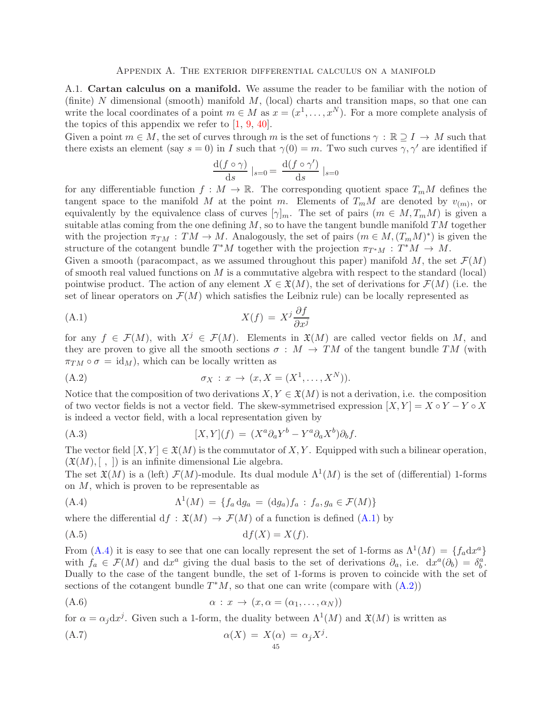<span id="page-44-1"></span><span id="page-44-0"></span>A.1. Cartan calculus on a manifold. We assume the reader to be familiar with the notion of (finite)  $N$  dimensional (smooth) manifold  $M$ , (local) charts and transition maps, so that one can write the local coordinates of a point  $m \in M$  as  $x = (x^1, \dots, x^N)$ . For a more complete analysis of the topics of this appendix we refer to [\[1,](#page-48-1) [9,](#page-48-2) [40\]](#page-49-2).

Given a point  $m \in M$ , the set of curves through m is the set of functions  $\gamma : \mathbb{R} \supseteq I \to M$  such that there exists an element (say  $s = 0$ ) in I such that  $\gamma(0) = m$ . Two such curves  $\gamma, \gamma'$  are identified if

<span id="page-44-2"></span>
$$
\frac{\mathrm{d}(f\circ\gamma)}{\mathrm{d}s}\mid_{s=0}=\frac{\mathrm{d}(f\circ\gamma')}{\mathrm{d}s}\mid_{s=0}
$$

for any differentiable function  $f : M \to \mathbb{R}$ . The corresponding quotient space  $T_mM$  defines the tangent space to the manifold M at the point m. Elements of  $T_mM$  are denoted by  $v_{(m)}$ , or equivalently by the equivalence class of curves  $[\gamma]_m$ . The set of pairs  $(m \in M, T_mM)$  is given a suitable atlas coming from the one defining  $M$ , so to have the tangent bundle manifold  $TM$  together with the projection  $\pi_{TM} : TM \to M$ . Analogously, the set of pairs  $(m \in M, (T_mM)^*)$  is given the structure of the cotangent bundle  $T^*M$  together with the projection  $\pi_{T^*M}: T^*M \to M$ .

Given a smooth (paracompact, as we assumed throughout this paper) manifold M, the set  $\mathcal{F}(M)$ of smooth real valued functions on  $M$  is a commutative algebra with respect to the standard (local) pointwise product. The action of any element  $X \in \mathfrak{X}(M)$ , the set of derivations for  $\mathcal{F}(M)$  (i.e. the set of linear operators on  $\mathcal{F}(M)$  which satisfies the Leibniz rule) can be locally represented as

$$
X(f) = X^j \frac{\partial f}{\partial x^j}
$$

for any  $f \in \mathcal{F}(M)$ , with  $X^j \in \mathcal{F}(M)$ . Elements in  $\mathfrak{X}(M)$  are called vector fields on M, and they are proven to give all the smooth sections  $\sigma : M \to TM$  of the tangent bundle TM (with  $\pi_{TM} \circ \sigma = \text{id}_M$ , which can be locally written as

<span id="page-44-4"></span>
$$
(A.2) \qquad \qquad \sigma_X: x \to (x, X = (X^1, \dots, X^N)).
$$

Notice that the composition of two derivations  $X, Y \in \mathfrak{X}(M)$  is not a derivation, i.e. the composition of two vector fields is not a vector field. The skew-symmetrised expression  $[X, Y] = X \circ Y - Y \circ X$ is indeed a vector field, with a local representation given by

(A.3) 
$$
[X,Y](f) = (X^a \partial_a Y^b - Y^a \partial_a X^b) \partial_b f.
$$

The vector field  $[X, Y] \in \mathfrak{X}(M)$  is the commutator of X, Y. Equipped with such a bilinear operation,  $(\mathfrak{X}(M), [ , ])$  is an infinite dimensional Lie algebra.

The set  $\mathfrak{X}(M)$  is a (left)  $\mathcal{F}(M)$ -module. Its dual module  $\Lambda^1(M)$  is the set of (differential) 1-forms on M, which is proven to be representable as

<span id="page-44-3"></span>(A.4) 
$$
\Lambda^1(M) = \{f_a \, dg_a = (dg_a)f_a : f_a, g_a \in \mathcal{F}(M)\}
$$

where the differential  $df : \mathfrak{X}(M) \to \mathcal{F}(M)$  of a function is defined  $(A.1)$  by

$$
(A.5) \t df(X) = X(f).
$$

From [\(A.4\)](#page-44-3) it is easy to see that one can locally represent the set of 1-forms as  $\Lambda^1(M) = \{f_a dx^a\}$ with  $f_a \in \mathcal{F}(M)$  and  $dx^a$  giving the dual basis to the set of derivations  $\partial_a$ , i.e.  $dx^a(\partial_b) = \delta^a_b$ . Dually to the case of the tangent bundle, the set of 1-forms is proven to coincide with the set of sections of the cotangent bundle  $T^*M$ , so that one can write (compare with  $(A.2)$ )

<span id="page-44-5"></span>.

$$
\alpha: x \to (x, \alpha = (\alpha_1, \dots, \alpha_N))
$$

for  $\alpha = \alpha_j dx^j$ . Given such a 1-form, the duality between  $\Lambda^1(M)$  and  $\mathfrak{X}(M)$  is written as

$$
\alpha(X) = X(\alpha) = \alpha_j X^j
$$
\n
$$
\alpha(X) = X(\alpha) = \alpha_j X^j
$$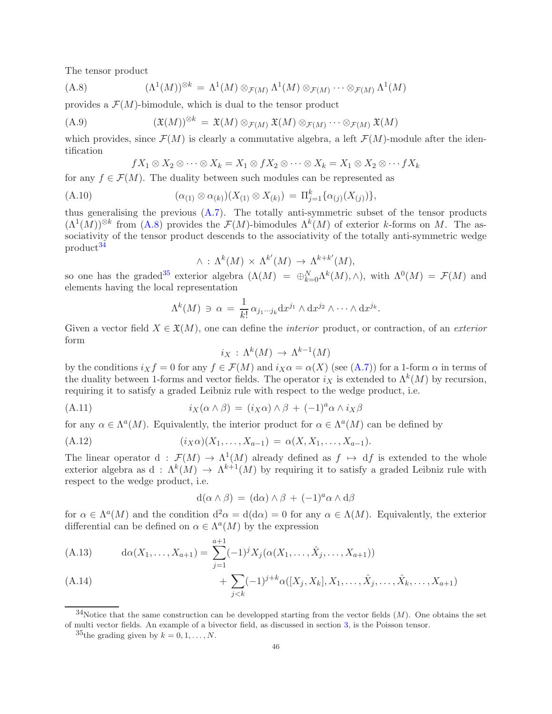The tensor product

(A.8) 
$$
(\Lambda^1(M))^{\otimes k} = \Lambda^1(M) \otimes_{\mathcal{F}(M)} \Lambda^1(M) \otimes_{\mathcal{F}(M)} \cdots \otimes_{\mathcal{F}(M)} \Lambda^1(M)
$$

provides a  $\mathcal{F}(M)$ -bimodule, which is dual to the tensor product

$$
(A.9) \qquad (\mathfrak{X}(M))^{\otimes k} = \mathfrak{X}(M) \otimes_{\mathcal{F}(M)} \mathfrak{X}(M) \otimes_{\mathcal{F}(M)} \cdots \otimes_{\mathcal{F}(M)} \mathfrak{X}(M)
$$

which provides, since  $\mathcal{F}(M)$  is clearly a commutative algebra, a left  $\mathcal{F}(M)$ -module after the identification

<span id="page-45-0"></span>
$$
fX_1 \otimes X_2 \otimes \cdots \otimes X_k = X_1 \otimes fX_2 \otimes \cdots \otimes X_k = X_1 \otimes X_2 \otimes \cdots fX_k
$$

for any  $f \in \mathcal{F}(M)$ . The duality between such modules can be represented as

(A.10) 
$$
(\alpha_{(1)} \otimes \alpha_{(k)})(X_{(1)} \otimes X_{(k)}) = \Pi_{j=1}^k {\alpha_{(j)}(X_{(j)})},
$$

thus generalising the previous  $(A.7)$ . The totally anti-symmetric subset of the tensor products  $(\Lambda^1(M))^{\otimes k}$  from [\(A.8\)](#page-45-0) provides the  $\mathcal{F}(M)$ -bimodules  $\Lambda^k(M)$  of exterior k-forms on M. The associativity of the tensor product descends to the associativity of the totally anti-symmetric wedge product<sup>[34](#page-45-1)</sup>

$$
\wedge \, : \, \Lambda^k(M) \, \times \, \Lambda^{k'}(M) \, \to \, \Lambda^{k+k'}(M),
$$

so one has the graded<sup>[35](#page-45-2)</sup> exterior algebra  $(\Lambda(M) = \bigoplus_{k=0}^{N} \Lambda^{k}(M), \wedge)$ , with  $\Lambda^{0}(M) = \mathcal{F}(M)$  and elements having the local representation

$$
\Lambda^k(M) \ni \alpha = \frac{1}{k!} \alpha_{j_1 \cdots j_k} \mathrm{d} x^{j_1} \wedge \mathrm{d} x^{j_2} \wedge \cdots \wedge \mathrm{d} x^{j_k}.
$$

Given a vector field  $X \in \mathfrak{X}(M)$ , one can define the *interior* product, or contraction, of an *exterior* form

 $i_X: \Lambda^k(M) \to \Lambda^{k-1}(M)$ 

by the conditions  $i_X f = 0$  for any  $f \in \mathcal{F}(M)$  and  $i_X \alpha = \alpha(X)$  (see  $(A.7)$ ) for a 1-form  $\alpha$  in terms of the duality between 1-forms and vector fields. The operator  $i_X$  is extended to  $\Lambda^k(M)$  by recursion, requiring it to satisfy a graded Leibniz rule with respect to the wedge product, i.e.

(A.11) 
$$
i_X(\alpha \wedge \beta) = (i_X \alpha) \wedge \beta + (-1)^a \alpha \wedge i_X \beta
$$

for any  $\alpha \in \Lambda^a(M)$ . Equivalently, the interior product for  $\alpha \in \Lambda^a(M)$  can be defined by

(A.12) 
$$
(i_X \alpha)(X_1, \ldots, X_{a-1}) = \alpha(X, X_1, \ldots, X_{a-1}).
$$

The linear operator  $d : \mathcal{F}(M) \to \Lambda^1(M)$  already defined as  $f \mapsto df$  is extended to the whole exterior algebra as  $d: \Lambda^k(M) \to \Lambda^{k+1}(M)$  by requiring it to satisfy a graded Leibniz rule with respect to the wedge product, i.e.

$$
d(\alpha \wedge \beta) = (d\alpha) \wedge \beta + (-1)^a \alpha \wedge d\beta
$$

for  $\alpha \in \Lambda^a(M)$  and the condition  $d^2\alpha = d(d\alpha) = 0$  for any  $\alpha \in \Lambda(M)$ . Equivalently, the exterior differential can be defined on  $\alpha \in \Lambda^a(M)$  by the expression

(A.13) 
$$
d\alpha(X_1, ..., X_{a+1}) = \sum_{j=1}^{a+1} (-1)^j X_j(\alpha(X_1, ..., \hat{X}_j, ..., X_{a+1}))
$$

(A.14) 
$$
+ \sum_{j < k} (-1)^{j+k} \alpha([X_j, X_k], X_1, \ldots, \hat{X}_j, \ldots, \hat{X}_k, \ldots, X_{a+1})
$$

 $34$ Notice that the same construction can be developped starting from the vector fields  $(M)$ . One obtains the set of multi vector fields. An example of a bivector field, as discussed in section [3,](#page-7-0) is the Poisson tensor.

<span id="page-45-2"></span><span id="page-45-1"></span><sup>&</sup>lt;sup>35</sup>the grading given by  $k = 0, 1, \ldots, N$ .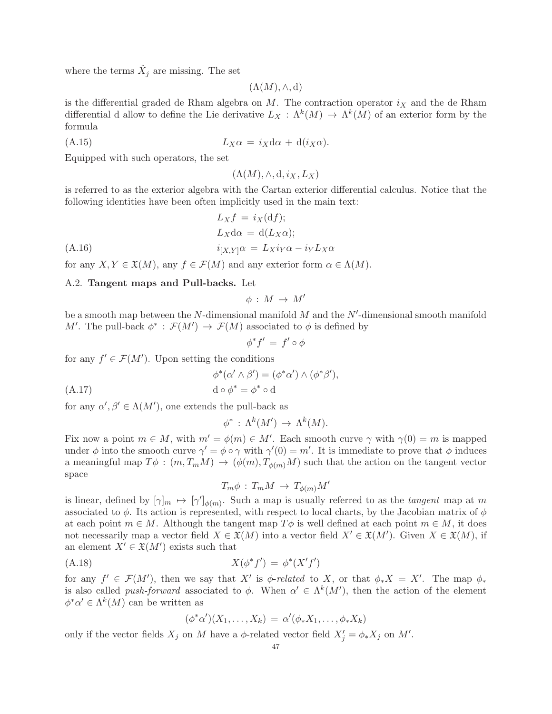where the terms  $\hat{X}_j$  are missing. The set

 $(\Lambda(M), \wedge, d)$ 

is the differential graded de Rham algebra on  $M$ . The contraction operator  $i_X$  and the de Rham differential d allow to define the Lie derivative  $L_X : \Lambda^k(M) \to \Lambda^k(M)$  of an exterior form by the formula

$$
(A.15) \t\t\t L_X\alpha = i_X d\alpha + d(i_X\alpha).
$$

Equipped with such operators, the set

 $(\Lambda(M), \wedge, d, i_X, L_X)$ 

is referred to as the exterior algebra with the Cartan exterior differential calculus. Notice that the following identities have been often implicitly used in the main text:

$$
L_X f = i_X(\mathrm{d}f);
$$
  
\n
$$
L_X \mathrm{d}\alpha = \mathrm{d}(L_X \alpha);
$$
  
\n
$$
i_{[X,Y]}\alpha = L_X i_Y \alpha - i_Y L_X \alpha
$$

<span id="page-46-0"></span>for any  $X, Y \in \mathfrak{X}(M)$ , any  $f \in \mathcal{F}(M)$  and any exterior form  $\alpha \in \Lambda(M)$ .

# A.2. Tangent maps and Pull-backs. Let

$$
\phi\,:\,M\,\to\,M'
$$

be a smooth map between the  $N$ -dimensional manifold  $M$  and the  $N'$ -dimensional smooth manifold M'. The pull-back  $\phi^* : \mathcal{F}(M') \to \mathcal{F}(M)$  associated to  $\phi$  is defined by

$$
\phi^*f' = f' \circ \phi
$$

for any  $f' \in \mathcal{F}(M')$ . Upon setting the conditions

$$
\phi^*(\alpha' \wedge \beta') = (\phi^* \alpha') \wedge (\phi^* \beta'),
$$
  
 
$$
d \circ \phi^* = \phi^* \circ d
$$

for any  $\alpha', \beta' \in \Lambda(M')$ , one extends the pull-back as

$$
\phi^* \,:\, \Lambda^k(M') \,\to\, \Lambda^k(M).
$$

Fix now a point  $m \in M$ , with  $m' = \phi(m) \in M'$ . Each smooth curve  $\gamma$  with  $\gamma(0) = m$  is mapped under  $\phi$  into the smooth curve  $\gamma' = \phi \circ \gamma$  with  $\gamma'(0) = m'$ . It is immediate to prove that  $\phi$  induces a meaningful map  $T\phi$ :  $(m, T_mM) \rightarrow (\phi(m), T_{\phi(m)}M)$  such that the action on the tangent vector space

$$
T_m \phi : T_m M \to T_{\phi(m)} M'
$$

is linear, defined by  $[\gamma]_m \mapsto [\gamma']_{\phi(m)}$ . Such a map is usually referred to as the *tangent* map at m associated to  $\phi$ . Its action is represented, with respect to local charts, by the Jacobian matrix of  $\phi$ at each point  $m \in M$ . Although the tangent map  $T\phi$  is well defined at each point  $m \in M$ , it does not necessarily map a vector field  $X \in \mathfrak{X}(M)$  into a vector field  $X' \in \mathfrak{X}(M')$ . Given  $X \in \mathfrak{X}(M)$ , if an element  $X' \in \mathfrak{X}(M')$  exists such that

$$
(A.18)\qquad \qquad X(\phi^*f') = \phi^*(X'f')
$$

for any  $f' \in \mathcal{F}(M')$ , then we say that X' is  $\phi$ -related to X, or that  $\phi_* X = X'$ . The map  $\phi_*$ is also called *push-forward* associated to  $\phi$ . When  $\alpha' \in \Lambda^k(M')$ , then the action of the element  $\phi^* \alpha' \in \Lambda^k(M)$  can be written as

$$
(\phi^*\alpha')(X_1,\ldots,X_k) = \alpha'(\phi_*X_1,\ldots,\phi_*X_k)
$$

only if the vector fields  $X_j$  on M have a  $\phi$ -related vector field  $X'_j = \phi_* X_j$  on M'.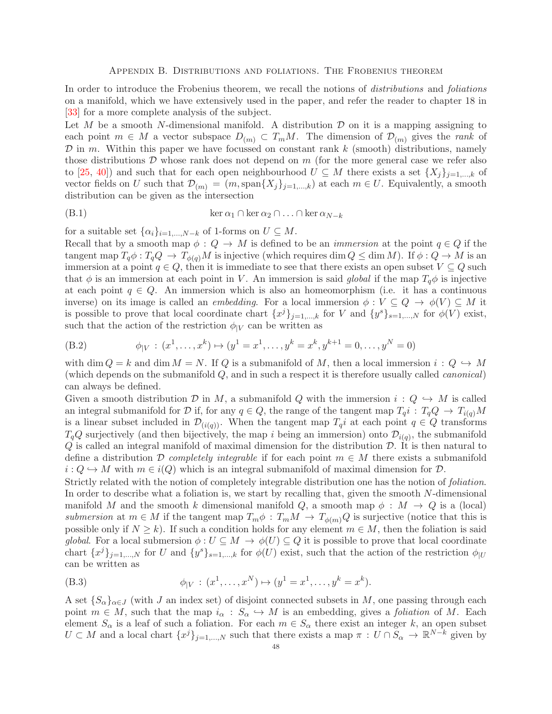### Appendix B. Distributions and foliations. The Frobenius theorem

<span id="page-47-0"></span>In order to introduce the Frobenius theorem, we recall the notions of distributions and foliations on a manifold, which we have extensively used in the paper, and refer the reader to chapter 18 in [\[33\]](#page-49-5) for a more complete analysis of the subject.

Let  $M$  be a smooth N-dimensional manifold. A distribution  $D$  on it is a mapping assigning to each point  $m \in M$  a vector subspace  $D_{(m)} \subset T_mM$ . The dimension of  $D_{(m)}$  gives the *rank* of  $\mathcal D$  in m. Within this paper we have focussed on constant rank k (smooth) distributions, namely those distributions  $D$  whose rank does not depend on  $m$  (for the more general case we refer also to [\[25,](#page-49-1) [40\]](#page-49-2)) and such that for each open neighbourhood  $U \subseteq M$  there exists a set  $\{X_j\}_{j=1,\dots,k}$  of vector fields on U such that  $\mathcal{D}_{(m)} = (m, \text{span}\{X_j\}_{j=1,\dots,k})$  at each  $m \in U$ . Equivalently, a smooth distribution can be given as the intersection

<span id="page-47-1"></span>
$$
(B.1) \qquad \ker \alpha_1 \cap \ker \alpha_2 \cap \ldots \cap \ker \alpha_{N-k}
$$

for a suitable set  $\{\alpha_i\}_{i=1,\dots,N-k}$  of 1-forms on  $U \subseteq M$ .

Recall that by a smooth map  $\phi: Q \to M$  is defined to be an *immersion* at the point  $q \in Q$  if the tangent map  $T_q\phi: T_qQ \to T_{\phi(q)}M$  is injective (which requires dim  $Q \leq \dim M$ ). If  $\phi: Q \to M$  is an immersion at a point  $q \in Q$ , then it is immediate to see that there exists an open subset  $V \subseteq Q$  such that  $\phi$  is an immersion at each point in V. An immersion is said global if the map  $T_q\phi$  is injective at each point  $q \in Q$ . An immersion which is also an homeomorphism (i.e. it has a continuous inverse) on its image is called an *embedding*. For a local immersion  $\phi: V \subseteq Q \to \phi(V) \subseteq M$  it is possible to prove that local coordinate chart  $\{x^j\}_{j=1,\dots,k}$  for V and  $\{y^s\}_{s=1,\dots,N}$  for  $\phi(V)$  exist, such that the action of the restriction  $\phi_{|V}$  can be written as

(B.2) 
$$
\phi_{|V} : (x^1, \dots, x^k) \mapsto (y^1 = x^1, \dots, y^k = x^k, y^{k+1} = 0, \dots, y^N = 0)
$$

with dim  $Q = k$  and dim  $M = N$ . If Q is a submanifold of M, then a local immersion  $i: Q \hookrightarrow M$ (which depends on the submanifold  $Q$ , and in such a respect it is therefore usually called *canonical*) can always be defined.

Given a smooth distribution D in M, a submanifold Q with the immersion  $i: Q \hookrightarrow M$  is called an integral submanifold for D if, for any  $q \in Q$ , the range of the tangent map  $T_q i : T_q Q \to T_{i(q)} M$ is a linear subset included in  $\mathcal{D}_{(i(q))}$ . When the tangent map  $T_q i$  at each point  $q \in Q$  transforms  $T_qQ$  surjectively (and then bijectively, the map i being an immersion) onto  $\mathcal{D}_{i(q)}$ , the submanifold  $Q$  is called an integral manifold of maximal dimension for the distribution  $D$ . It is then natural to define a distribution D completely integrable if for each point  $m \in M$  there exists a submanifold  $i: Q \hookrightarrow M$  with  $m \in i(Q)$  which is an integral submanifold of maximal dimension for  $D$ .

Strictly related with the notion of completely integrable distribution one has the notion of foliation. In order to describe what a foliation is, we start by recalling that, given the smooth N-dimensional manifold M and the smooth k dimensional manifold Q, a smooth map  $\phi : M \to Q$  is a (local) submersion at  $m \in M$  if the tangent map  $T_m \phi : T_m M \to T_{\phi(m)} Q$  is surjective (notice that this is possible only if  $N \geq k$ ). If such a condition holds for any element  $m \in M$ , then the foliation is said global. For a local submersion  $\phi: U \subseteq M \to \phi(U) \subseteq Q$  it is possible to prove that local coordinate chart  ${xj}_{j=1,...,N}$  for U and  ${y^s}_{s=1,...,k}$  for  $\phi(U)$  exist, such that the action of the restriction  $\phi_{|U}$ can be written as

(B.3) 
$$
\phi_{|V} : (x^1, \dots, x^N) \mapsto (y^1 = x^1, \dots, y^k = x^k).
$$

A set  $\{S_\alpha\}_{\alpha\in J}$  (with J an index set) of disjoint connected subsets in M, one passing through each point  $m \in M$ , such that the map  $i_{\alpha} : S_{\alpha} \hookrightarrow M$  is an embedding, gives a *foliation* of M. Each element  $S_{\alpha}$  is a leaf of such a foliation. For each  $m \in S_{\alpha}$  there exist an integer k, an open subset  $U \subset M$  and a local chart  $\{x^j\}_{j=1,\dots,N}$  such that there exists a map  $\pi : U \cap S_\alpha \to \mathbb{R}^{N-k}$  given by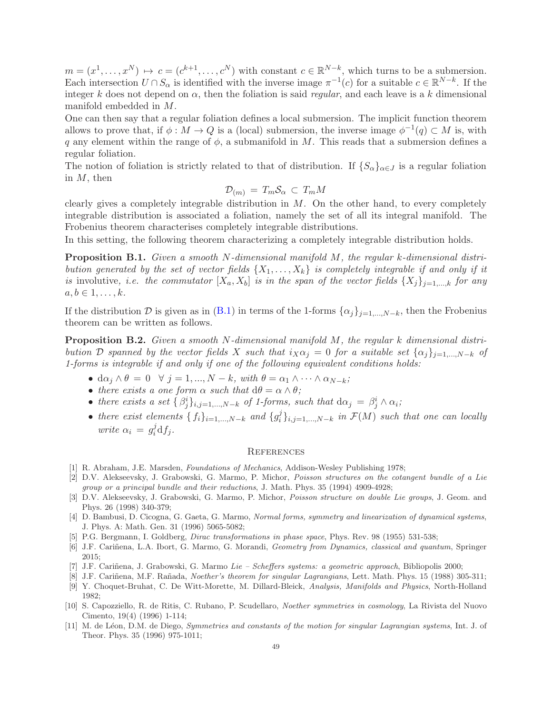$m = (x^1, \ldots, x^N) \mapsto c = (c^{k+1}, \ldots, c^N)$  with constant  $c \in \mathbb{R}^{N-k}$ , which turns to be a submersion. Each intersection  $U \cap S_\alpha$  is identified with the inverse image  $\pi^{-1}(c)$  for a suitable  $c \in \mathbb{R}^{N-k}$ . If the integer k does not depend on  $\alpha$ , then the foliation is said *regular*, and each leave is a k dimensional manifold embedded in M.

One can then say that a regular foliation defines a local submersion. The implicit function theorem allows to prove that, if  $\phi : M \to Q$  is a (local) submersion, the inverse image  $\phi^{-1}(q) \subset M$  is, with q any element within the range of  $\phi$ , a submanifold in M. This reads that a submersion defines a regular foliation.

The notion of foliation is strictly related to that of distribution. If  ${S_\alpha}_{\alpha\in J}$  is a regular foliation in  $M$ , then

$$
\mathcal{D}_{(m)} = T_m \mathcal{S}_{\alpha} \subset T_m M
$$

clearly gives a completely integrable distribution in  $M$ . On the other hand, to every completely integrable distribution is associated a foliation, namely the set of all its integral manifold. The Frobenius theorem characterises completely integrable distributions.

In this setting, the following theorem characterizing a completely integrable distribution holds.

Proposition B.1. Given a smooth N-dimensional manifold M, the regular k-dimensional distribution generated by the set of vector fields  $\{X_1, \ldots, X_k\}$  is completely integrable if and only if it is involutive, i.e. the commutator  $[X_a, X_b]$  is in the span of the vector fields  $\{X_j\}_{j=1,\dots,k}$  for any  $a, b \in 1, \ldots, k$ .

If the distribution D is given as in [\(B.1\)](#page-47-1) in terms of the 1-forms  $\{\alpha_j\}_{j=1,\dots,N-k}$ , then the Frobenius theorem can be written as follows.

<span id="page-48-5"></span>**Proposition B.2.** Given a smooth N-dimensional manifold M, the regular k dimensional distribution D spanned by the vector fields X such that  $i_X \alpha_j = 0$  for a suitable set  $\{\alpha_i\}_{i=1,\dots,N-k}$  of 1-forms is integrable if and only if one of the following equivalent conditions holds:

- $d\alpha_j \wedge \theta = 0 \quad \forall \ j = 1, ..., N k, \ with \ \theta = \alpha_1 \wedge \cdots \wedge \alpha_{N-k};$
- there exists a one form  $\alpha$  such that  $d\theta = \alpha \wedge \theta$ ;
- there exists a set  $\{\beta_j^i\}_{i,j=1,\dots,N-k}$  of 1-forms, such that  $d\alpha_j = \beta_j^i \wedge \alpha_i$ ;
- there exist elements  $\{f_i\}_{i=1,\dots,N-k}$  and  $\{g_i^j\}$  $\{G_i\}_{i,j=1,\dots,N-k}$  in  $\mathcal{F}(M)$  such that one can locally write  $\alpha_i = g_i^j$  $i^j df_j.$

### <span id="page-48-0"></span>**REFERENCES**

- <span id="page-48-6"></span><span id="page-48-1"></span>[1] R. Abraham, J.E. Marsden, Foundations of Mechanics, Addison-Wesley Publishing 1978;
- [2] D.V. Alekseevsky, J. Grabowski, G. Marmo, P. Michor, Poisson structures on the cotangent bundle of a Lie group or a principal bundle and their reductions, J. Math. Phys. 35 (1994) 4909-4928;
- <span id="page-48-7"></span>[3] D.V. Alekseevsky, J. Grabowski, G. Marmo, P. Michor, Poisson structure on double Lie groups, J. Geom. and Phys. 26 (1998) 340-379;
- <span id="page-48-9"></span>[4] D. Bambusi, D. Cicogna, G. Gaeta, G. Marmo, Normal forms, symmetry and linearization of dynamical systems, J. Phys. A: Math. Gen. 31 (1996) 5065-5082;
- <span id="page-48-10"></span><span id="page-48-3"></span>[5] P.G. Bergmann, I. Goldberg, Dirac transformations in phase space, Phys. Rev. 98 (1955) 531-538;
- [6] J.F. Cariñena, L.A. Ibort, G. Marmo, G. Morandi, *Geometry from Dynamics, classical and quantum*, Springer 2015;
- <span id="page-48-11"></span><span id="page-48-8"></span>[7] J.F. Cariñena, J. Grabowski, G. Marmo Lie – Scheffers systems: a geometric approach, Bibliopolis 2000;
- <span id="page-48-2"></span>[8] J.F. Cariñena, M.F. Rañada, Noether's theorem for singular Lagrangians, Lett. Math. Phys. 15 (1988) 305-311;
- [9] Y. Choquet-Bruhat, C. De Witt-Morette, M. Dillard-Bleick, Analysis, Manifolds and Physics, North-Holland 1982;
- <span id="page-48-4"></span>[10] S. Capozziello, R. de Ritis, C. Rubano, P. Scudellaro, Noether symmetries in cosmology, La Rivista del Nuovo Cimento, 19(4) (1996) 1-114;
- <span id="page-48-12"></span>[11] M. de Léon, D.M. de Diego, *Symmetries and constants of the motion for singular Lagrangian systems*, Int. J. of Theor. Phys. 35 (1996) 975-1011;